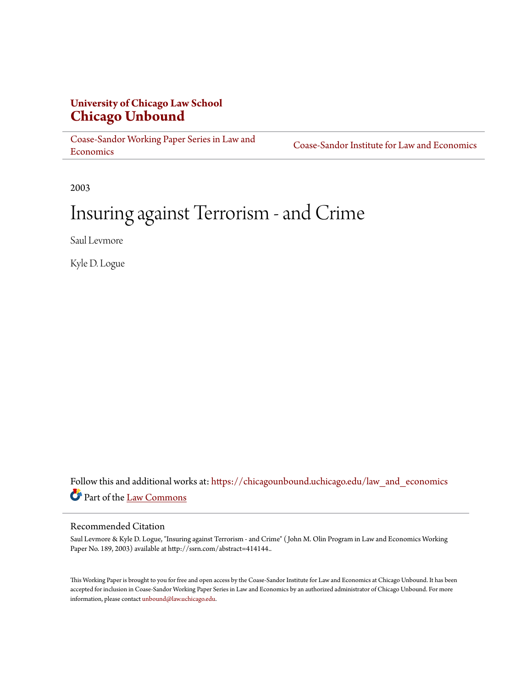# **University of Chicago Law School [Chicago Unbound](https://chicagounbound.uchicago.edu?utm_source=chicagounbound.uchicago.edu%2Flaw_and_economics%2F272&utm_medium=PDF&utm_campaign=PDFCoverPages)**

[Coase-Sandor Working Paper Series in Law and](https://chicagounbound.uchicago.edu/law_and_economics?utm_source=chicagounbound.uchicago.edu%2Flaw_and_economics%2F272&utm_medium=PDF&utm_campaign=PDFCoverPages) [Economics](https://chicagounbound.uchicago.edu/law_and_economics?utm_source=chicagounbound.uchicago.edu%2Flaw_and_economics%2F272&utm_medium=PDF&utm_campaign=PDFCoverPages)

[Coase-Sandor Institute for Law and Economics](https://chicagounbound.uchicago.edu/coase_sandor_institute?utm_source=chicagounbound.uchicago.edu%2Flaw_and_economics%2F272&utm_medium=PDF&utm_campaign=PDFCoverPages)

2003

# Insuring against Terrorism - and Crime

Saul Levmore

Kyle D. Logue

Follow this and additional works at: [https://chicagounbound.uchicago.edu/law\\_and\\_economics](https://chicagounbound.uchicago.edu/law_and_economics?utm_source=chicagounbound.uchicago.edu%2Flaw_and_economics%2F272&utm_medium=PDF&utm_campaign=PDFCoverPages) Part of the [Law Commons](http://network.bepress.com/hgg/discipline/578?utm_source=chicagounbound.uchicago.edu%2Flaw_and_economics%2F272&utm_medium=PDF&utm_campaign=PDFCoverPages)

#### Recommended Citation

Saul Levmore & Kyle D. Logue, "Insuring against Terrorism - and Crime" ( John M. Olin Program in Law and Economics Working Paper No. 189, 2003) available at http://ssrn.com/abstract=414144..

This Working Paper is brought to you for free and open access by the Coase-Sandor Institute for Law and Economics at Chicago Unbound. It has been accepted for inclusion in Coase-Sandor Working Paper Series in Law and Economics by an authorized administrator of Chicago Unbound. For more information, please contact [unbound@law.uchicago.edu.](mailto:unbound@law.uchicago.edu)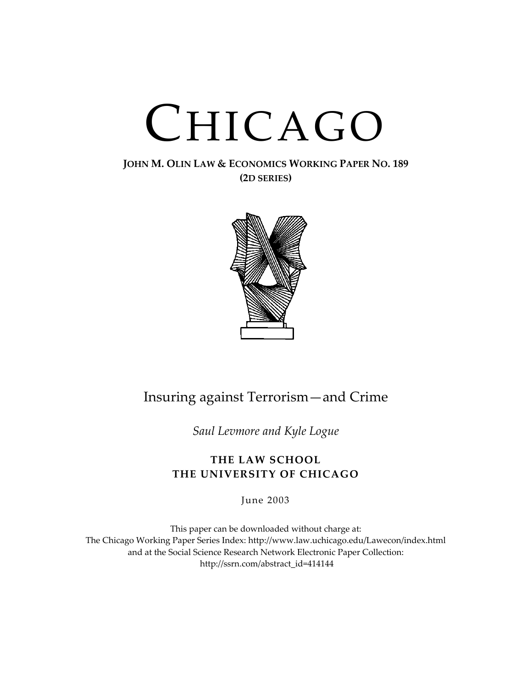# CHICAGO

## **JOHN M. OLIN LAW & ECONOMICS WORKING PAPER NO. 189 (2D SERIES)**



# Insuring against Terrorism—and Crime

*Saul Levmore and Kyle Logue*

# **THE LAW SCHOOL THE UNIVERSITY OF CHICAGO**

June 2003

This paper can be downloaded without charge at: The Chicago Working Paper Series Index: http://www.law.uchicago.edu/Lawecon/index.html and at the Social Scie[nce Research Network Electronic Paper Collection:](http://www.law.uchicago.edu/Publications/Working/index.html)  http://ssrn.com/abstract\_id=414144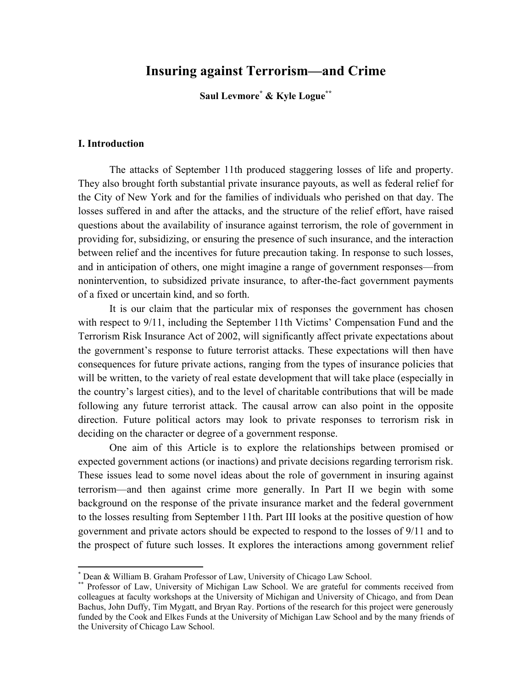# **Insuring against Terrorism—and Crime**

#### **Saul Levmore[\\*](#page-3-0) & Kyle Logu[e\\*\\*](#page-3-1)**

#### **I. Introduction**

 $\overline{a}$ 

 The attacks of September 11th produced staggering losses of life and property. They also brought forth substantial private insurance payouts, as well as federal relief for the City of New York and for the families of individuals who perished on that day. The losses suffered in and after the attacks, and the structure of the relief effort, have raised questions about the availability of insurance against terrorism, the role of government in providing for, subsidizing, or ensuring the presence of such insurance, and the interaction between relief and the incentives for future precaution taking. In response to such losses, and in anticipation of others, one might imagine a range of government responses—from nonintervention, to subsidized private insurance, to after-the-fact government payments of a fixed or uncertain kind, and so forth.

It is our claim that the particular mix of responses the government has chosen with respect to 9/11, including the September 11th Victims' Compensation Fund and the Terrorism Risk Insurance Act of 2002, will significantly affect private expectations about the government's response to future terrorist attacks. These expectations will then have consequences for future private actions, ranging from the types of insurance policies that will be written, to the variety of real estate development that will take place (especially in the country's largest cities), and to the level of charitable contributions that will be made following any future terrorist attack. The causal arrow can also point in the opposite direction. Future political actors may look to private responses to terrorism risk in deciding on the character or degree of a government response.

One aim of this Article is to explore the relationships between promised or expected government actions (or inactions) and private decisions regarding terrorism risk. These issues lead to some novel ideas about the role of government in insuring against terrorism—and then against crime more generally. In Part II we begin with some background on the response of the private insurance market and the federal government to the losses resulting from September 11th. Part III looks at the positive question of how government and private actors should be expected to respond to the losses of 9/11 and to the prospect of future such losses. It explores the interactions among government relief

<span id="page-3-0"></span><sup>\*</sup> Dean & William B. Graham Professor of Law, University of Chicago Law School.

<span id="page-3-1"></span>**Professor of Law, University of Michigan Law School.** We are grateful for comments received from colleagues at faculty workshops at the University of Michigan and University of Chicago, and from Dean Bachus, John Duffy, Tim Mygatt, and Bryan Ray. Portions of the research for this project were generously funded by the Cook and Elkes Funds at the University of Michigan Law School and by the many friends of the University of Chicago Law School.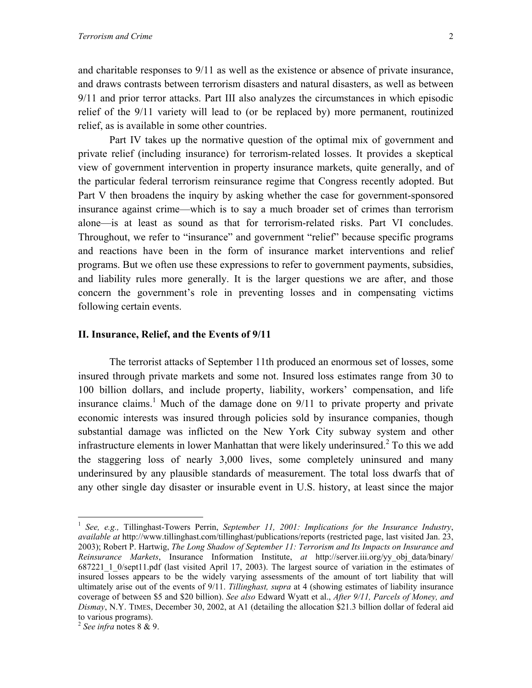and charitable responses to 9/11 as well as the existence or absence of private insurance, and draws contrasts between terrorism disasters and natural disasters, as well as between 9/11 and prior terror attacks. Part III also analyzes the circumstances in which episodic relief of the 9/11 variety will lead to (or be replaced by) more permanent, routinized relief, as is available in some other countries.

Part IV takes up the normative question of the optimal mix of government and private relief (including insurance) for terrorism-related losses. It provides a skeptical view of government intervention in property insurance markets, quite generally, and of the particular federal terrorism reinsurance regime that Congress recently adopted. But Part V then broadens the inquiry by asking whether the case for government-sponsored insurance against crime—which is to say a much broader set of crimes than terrorism alone—is at least as sound as that for terrorism-related risks. Part VI concludes. Throughout, we refer to "insurance" and government "relief" because specific programs and reactions have been in the form of insurance market interventions and relief programs. But we often use these expressions to refer to government payments, subsidies, and liability rules more generally. It is the larger questions we are after, and those concern the government's role in preventing losses and in compensating victims following certain events.

#### **II. Insurance, Relief, and the Events of 9/11**

The terrorist attacks of September 11th produced an enormous set of losses, some insured through private markets and some not. Insured loss estimates range from 30 to 100 billion dollars, and include property, liability, workers' compensation, and life insurance claims.<sup>[1](#page-4-0)</sup> Much of the damage done on  $9/11$  to private property and private economic interests was insured through policies sold by insurance companies, though substantial damage was inflicted on the New York City subway system and other infrastructure elements in lower Manhattan that were likely underinsured. $2$  To this we add the staggering loss of nearly 3,000 lives, some completely uninsured and many underinsured by any plausible standards of measurement. The total loss dwarfs that of any other single day disaster or insurable event in U.S. history, at least since the major

1

<span id="page-4-0"></span><sup>1</sup> *See, e.g.,* Tillinghast-Towers Perrin, *September 11, 2001: Implications for the Insurance Industry*, *available at* http://www.tillinghast.com/tillinghast/publications/reports (restricted page, last visited Jan. 23, 2003); Robert P. Hartwig, *The Long Shadow of September 11: Terrorism and Its Impacts on Insurance and Reinsurance Markets*, Insurance Information Institute, *at* http://server.iii.org/yy\_obj\_data/binary/ 687221\_1\_0/sept11.pdf (last visited April 17, 2003). The largest source of variation in the estimates of insured losses appears to be the widely varying assessments of the amount of tort liability that will ultimately arise out of the events of 9/11. *Tillinghast, supra* at 4 (showing estimates of liability insurance coverage of between \$5 and \$20 billion). *See also* Edward Wyatt et al., *After 9/11, Parcels of Money, and Dismay*, N.Y. TIMES, December 30, 2002, at A1 (detailing the allocation \$21.3 billion dollar of federal aid to various programs).

<span id="page-4-1"></span><sup>2</sup> *See infra* notes 8 & 9.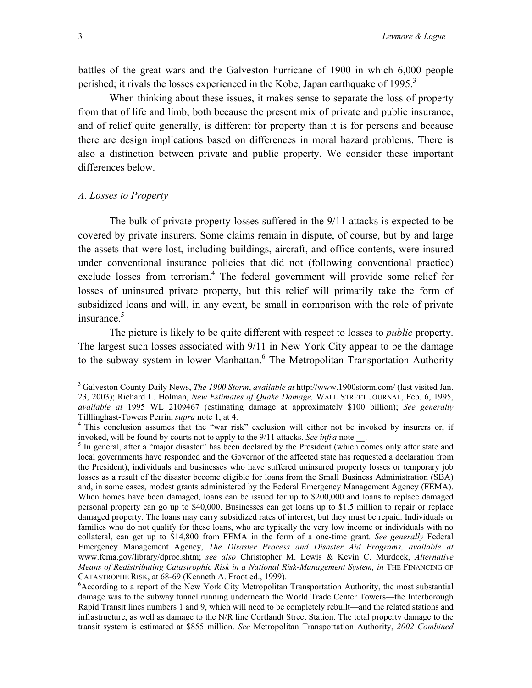<span id="page-5-3"></span>battles of the great wars and the Galveston hurricane of 1900 in which 6,000 people perished; it rivals the losses experienced in the Kobe, Japan earthquake of 1995.<sup>3</sup>

When thinking about these issues, it makes sense to separate the loss of property from that of life and limb, both because the present mix of private and public insurance, and of relief quite generally, is different for property than it is for persons and because there are design implications based on differences in moral hazard problems. There is also a distinction between private and public property. We consider these important differences below.

#### *A. Losses to Property*

The bulk of private property losses suffered in the 9/11 attacks is expected to be covered by private insurers. Some claims remain in dispute, of course, but by and large the assets that were lost, including buildings, aircraft, and office contents, were insured under conventional insurance policies that did not (following conventional practice) exclude losses from terrorism.<sup>[4](#page-5-1)</sup> The federal government will provide some relief for losses of uninsured private property, but this relief will primarily take the form of subsidized loans and will, in any event, be small in comparison with the role of private insurance.<sup>5</sup>

The picture is likely to be quite different with respect to losses to *public* property. The largest such losses associated with 9/11 in New York City appear to be the damage to the subway system in lower Manhattan.<sup>[6](#page-5-3)</sup> The Metropolitan Transportation Authority

<span id="page-5-0"></span><sup>3</sup> Galveston County Daily News, *The 1900 Storm*, *available at* h[ttp://www.1900storm.com/](http://www.1900storm.com/) (last visited Jan. 23, 2003); Richard L. Holman, *New Estimates of Quake Damage,* WALL STREET JOURNAL, Feb. 6, 1995, *available at* 1995 WL 2109467 (estimating damage at approximately \$100 billion); *See generally* Tilllinghast-Towers Perrin, *supra* note 1, at 4. 4 This conclusion assumes that the "war risk" exclusion will either not be invoked by insurers or, if

<span id="page-5-1"></span>invoked, will be found by courts not to apply to the 9/11 attacks. *See infra* note .

<span id="page-5-2"></span> $<sup>5</sup>$  In general, after a "major disaster" has been declared by the President (which comes only after state and</sup> local governments have responded and the Governor of the affected state has requested a declaration from the President), individuals and businesses who have suffered uninsured property losses or temporary job losses as a result of the disaster become eligible for loans from the Small Business Administration (SBA) and, in some cases, modest grants administered by the Federal Emergency Management Agency (FEMA). When homes have been damaged, loans can be issued for up to \$200,000 and loans to replace damaged personal property can go up to \$40,000. Businesses can get loans up to \$1.5 million to repair or replace damaged property. The loans may carry subsidized rates of interest, but they must be repaid. Individuals or families who do not qualify for these loans, who are typically the very low income or individuals with no collateral, can get up to \$14,800 from FEMA in the form of a one-time grant. *See generally* Federal Emergency Management Agency, *The Disaster Process and Disaster Aid Programs, available at* [www.fema.gov/library/dproc.shtm;](http://www.fema.gov/) *see also* Christopher M. Lewis & Kevin C. Murdock, *Alternative Means of Redistributing Catastrophic Risk in a National Risk-Management System, in* THE FINANCING OF CATASTROPHE RISK, at 68-69 (Kenneth A. Froot ed., 1999).

 ${}^{6}$ According to a report of the New York City Metropolitan Transportation Authority, the most substantial damage was to the subway tunnel running underneath the World Trade Center Towers—the Interborough Rapid Transit lines numbers 1 and 9, which will need to be completely rebuilt—and the related stations and infrastructure, as well as damage to the N/R line Cortlandt Street Station. The total property damage to the transit system is estimated at \$855 million. *See* Metropolitan Transportation Authority, *2002 Combined*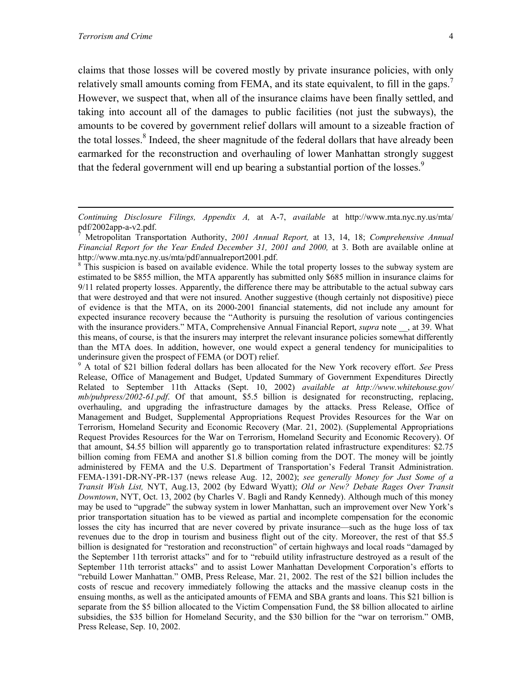<u>.</u>

claims that those losses will be covered mostly by private insurance policies, with only relatively small amounts coming from FEMA, and its state equivalent, to fill in the gaps.<sup>7</sup> However, we suspect that, when all of the insurance claims have been finally settled, and taking into account all of the damages to public facilities (not just the subways), the amounts to be covered by government relief dollars will amount to a sizeable fraction of the total losses.<sup>8</sup> Indeed, the sheer magnitude of the federal dollars that have already been earmarked for the reconstruction and overhauling of lower Manhattan strongly suggest that the federal government will end up bearing a substantial portion of the losses.<sup>9</sup>

<span id="page-6-2"></span>9 A total of \$21 billion federal dollars has been allocated for the New York recovery effort. *See* Press Release, Office of Management and Budget, Updated Summary of Government Expenditures Directly Related to September 11th Attacks (Sept. 10, 2002) *available at http://www.whitehouse.gov/ mb/pubpress/2002-61.pdf*. Of that amount, \$5.5 billion is designated for reconstructing, replacing, overhauling, and upgrading the infrastructure damages by the attacks. Press Release, Office of Management and Budget, Supplemental Appropriations Request Provides Resources for the War on Terrorism, Homeland Security and Economic Recovery (Mar. 21, 2002). (Supplemental Appropriations Request Provides Resources for the War on Terrorism, Homeland Security and Economic Recovery). Of that amount, \$4.55 billion will apparently go to transportation related infrastructure expenditures: \$2.75 billion coming from FEMA and another \$1.8 billion coming from the DOT. The money will be jointly administered by FEMA and the U.S. Department of Transportation's Federal Transit Administration. FEMA-1391-DR-NY-PR-137 (news release Aug. 12, 2002); *see generally Money for Just Some of a Transit Wish List,* NYT, Aug.13, 2002 (by Edward Wyatt); *Old or New? Debate Rages Over Transit Downtown*, NYT, Oct. 13, 2002 (by Charles V. Bagli and Randy Kennedy). Although much of this money may be used to "upgrade" the subway system in lower Manhattan, such an improvement over New York's prior transportation situation has to be viewed as partial and incomplete compensation for the economic losses the city has incurred that are never covered by private insurance—such as the huge loss of tax revenues due to the drop in tourism and business flight out of the city. Moreover, the rest of that \$5.5 billion is designated for "restoration and reconstruction" of certain highways and local roads "damaged by the September 11th terrorist attacks" and for to "rebuild utility infrastructure destroyed as a result of the September 11th terrorist attacks" and to assist Lower Manhattan Development Corporation's efforts to "rebuild Lower Manhattan." OMB, Press Release, Mar. 21, 2002. The rest of the \$21 billion includes the costs of rescue and recovery immediately following the attacks and the massive cleanup costs in the ensuing months, as well as the anticipated amounts of FEMA and SBA grants and loans. This \$21 billion is separate from the \$5 billion allocated to the Victim Compensation Fund, the \$8 billion allocated to airline subsidies, the \$35 billion for Homeland Security, and the \$30 billion for the "war on terrorism." OMB, Press Release, Sep. 10, 2002.

*Continuing Disclosure Filings, Appendix A,* at A-7, *available* at http://www.mta.nyc.ny.us/mta/ pdf/2002app-a-v2.pdf.

<span id="page-6-0"></span><sup>7</sup> Metropolitan Transportation Authority, *2001 Annual Report,* at 13, 14, 18; *Comprehensive Annual Financial Report for the Year Ended December 31, 2001 and 2000,* at 3. Both are available online at http://www.mta.nyc.ny.us/mta/pdf/annualreport2001.pdf.

<span id="page-6-1"></span><sup>&</sup>lt;sup>8</sup> This suspicion is based on available evidence. While the total property losses to the subway system are estimated to be \$855 million, the MTA apparently has submitted only \$685 million in insurance claims for 9/11 related property losses. Apparently, the difference there may be attributable to the actual subway cars that were destroyed and that were not insured. Another suggestive (though certainly not dispositive) piece of evidence is that the MTA, on its 2000-2001 financial statements, did not include any amount for expected insurance recovery because the "Authority is pursuing the resolution of various contingencies with the insurance providers." MTA, Comprehensive Annual Financial Report, *supra* note \_\_, at 39. What this means, of course, is that the insurers may interpret the relevant insurance policies somewhat differently than the MTA does. In addition, however, one would expect a general tendency for municipalities to underinsure given the prospect of FEMA (or DOT) relief.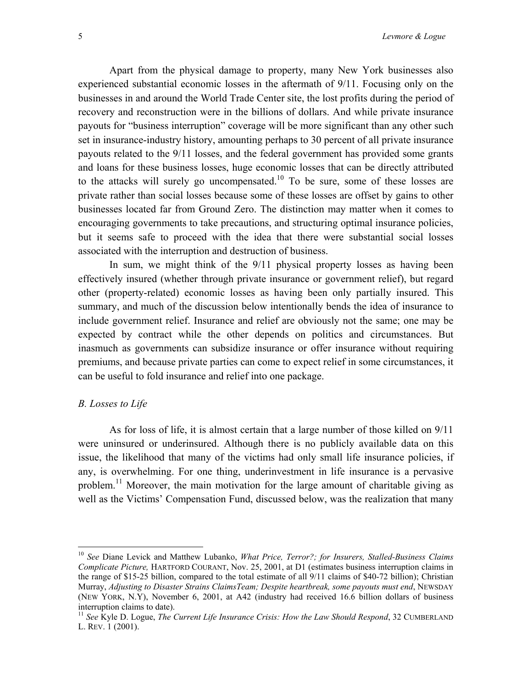Apart from the physical damage to property, many New York businesses also experienced substantial economic losses in the aftermath of 9/11. Focusing only on the businesses in and around the World Trade Center site, the lost profits during the period of recovery and reconstruction were in the billions of dollars. And while private insurance payouts for "business interruption" coverage will be more significant than any other such set in insurance-industry history, amounting perhaps to 30 percent of all private insurance payouts related to the 9/11 losses, and the federal government has provided some grants and loans for these business losses, huge economic losses that can be directly attributed to the attacks will surely go uncompensated.<sup>10</sup> To be sure, some of these losses are private rather than social losses because some of these losses are offset by gains to other businesses located far from Ground Zero. The distinction may matter when it comes to encouraging governments to take precautions, and structuring optimal insurance policies, but it seems safe to proceed with the idea that there were substantial social losses associated with the interruption and destruction of business.

In sum, we might think of the 9/11 physical property losses as having been effectively insured (whether through private insurance or government relief), but regard other (property-related) economic losses as having been only partially insured. This summary, and much of the discussion below intentionally bends the idea of insurance to include government relief. Insurance and relief are obviously not the same; one may be expected by contract while the other depends on politics and circumstances. But inasmuch as governments can subsidize insurance or offer insurance without requiring premiums, and because private parties can come to expect relief in some circumstances, it can be useful to fold insurance and relief into one package.

#### *B. Losses to Life*

 $\overline{a}$ 

As for loss of life, it is almost certain that a large number of those killed on 9/11 were uninsured or underinsured. Although there is no publicly available data on this issue, the likelihood that many of the victims had only small life insurance policies, if any, is overwhelming. For one thing, underinvestment in life insurance is a pervasive problem.<sup>11</sup> Moreover, the main motivation for the large amount of charitable giving as well as the Victims' Compensation Fund, discussed below, was the realization that many

<span id="page-7-0"></span><sup>10</sup> *See* Diane Levick and Matthew Lubanko, *What Price, Terror?; for Insurers, Stalled-Business Claims Complicate Picture,* HARTFORD COURANT, Nov. 25, 2001, at D1 (estimates business interruption claims in the range of \$15-25 billion, compared to the total estimate of all 9/11 claims of \$40-72 billion); Christian Murray, *Adjusting to Disaster Strains ClaimsTeam; Despite heartbreak, some payouts must end*, NEWSDAY (NEW YORK, N.Y), November 6, 2001, at A42 (industry had received 16.6 billion dollars of business interruption claims to date).

<span id="page-7-1"></span><sup>&</sup>lt;sup>11</sup> See Kyle D. Logue, *The Current Life Insurance Crisis: How the Law Should Respond*, 32 CUMBERLAND L. REV. 1 (2001).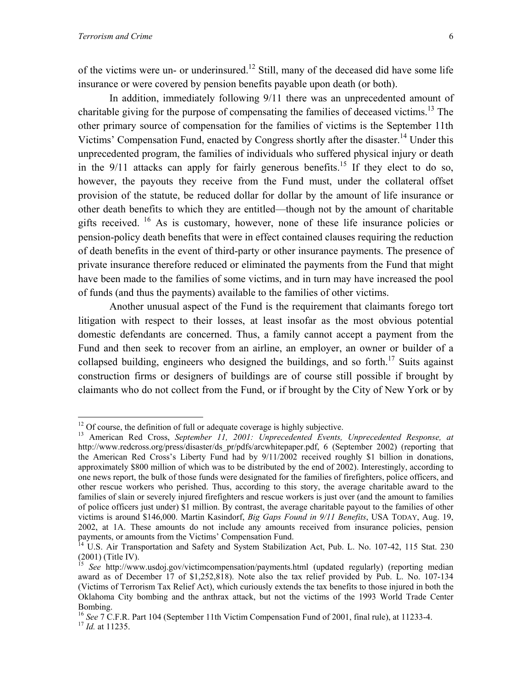of the victims were un- or underinsured.<sup>12</sup> Still, many of the deceased did have some life insurance or were covered by pension benefits payable upon death (or both).

In addition, immediately following 9/11 there was an unprecedented amount of charitable giving for the purpose of compensating the families of deceased victims.<sup>13</sup> The other primary source of compensation for the families of victims is the September 11th Victims' Compensation Fund, enacted by Congress shortly after the disaster.<sup>14</sup> Under this unprecedented program, the families of individuals who suffered physical injury or death in the  $9/11$  attacks can apply for fairly generous benefits.<sup>15</sup> If they elect to do so, however, the payouts they receive from the Fund must, under the collateral offset provision of the statute, be reduced dollar for dollar by the amount of life insurance or other death benefits to which they are entitled—though not by the amount of charitable gifts received. [16](#page-8-4) As is customary, however, none of these life insurance policies or pension-policy death benefits that were in effect contained clauses requiring the reduction of death benefits in the event of third-party or other insurance payments. The presence of private insurance therefore reduced or eliminated the payments from the Fund that might have been made to the families of some victims, and in turn may have increased the pool of funds (and thus the payments) available to the families of other victims.

Another unusual aspect of the Fund is the requirement that claimants forego tort litigation with respect to their losses, at least insofar as the most obvious potential domestic defendants are concerned. Thus, a family cannot accept a payment from the Fund and then seek to recover from an airline, an employer, an owner or builder of a collapsed building, engineers who designed the buildings, and so forth.<sup>17</sup> Suits against construction firms or designers of buildings are of course still possible if brought by claimants who do not collect from the Fund, or if brought by the City of New York or by

<span id="page-8-0"></span> $12$  Of course, the definition of full or adequate coverage is highly subjective.

<span id="page-8-1"></span><sup>&</sup>lt;sup>13</sup> American Red Cross, September 11, 2001: Unprecedented Events, Unprecedented Response, at http://www.redcross.org/press/disaster/ds\_pr/pdfs/arcwhitepaper.pdf, 6 (September 2002) (reporting that the American Red Cross's Liberty Fund had by 9/11/2002 received roughly \$1 billion in donations, approximately \$800 million of which was to be distributed by the end of 2002). Interestingly, according to one news report, the bulk of those funds were designated for the families of firefighters, police officers, and other rescue workers who perished. Thus, according to this story, the average charitable award to the families of slain or severely injured firefighters and rescue workers is just over (and the amount to families of police officers just under) \$1 million. By contrast, the average charitable payout to the families of other victims is around \$146,000. Martin Kasindorf, *Big Gaps Found in 9/11 Benefits*, USA TODAY, Aug. 19, 2002, at 1A. These amounts do not include any amounts received from insurance policies, pension payments, or amounts from the Victims' Compensation Fund.

<span id="page-8-2"></span><sup>&</sup>lt;sup>14</sup> U.S. Air Transportation and Safety and System Stabilization Act, Pub. L. No. 107-42, 115 Stat. 230  $(2001)$  (Title IV).

<span id="page-8-3"></span><sup>15</sup> *See* http://www.usdoj.gov/victimcompensation/payments.html (updated regularly) (reporting median award as of December 17 of \$1,252,818). Note also the tax relief provided by Pub. L. No. 107-134 (Victims of Terrorism Tax Relief Act), which curiously extends the tax benefits to those injured in both the Oklahoma City bombing and the anthrax attack, but not the victims of the 1993 World Trade Center Bombing.

<span id="page-8-4"></span><sup>16</sup> *See* 7 C.F.R. Part 104 (September 11th Victim Compensation Fund of 2001, final rule), at 11233-4. 17 *Id.* at 11235.

<span id="page-8-5"></span>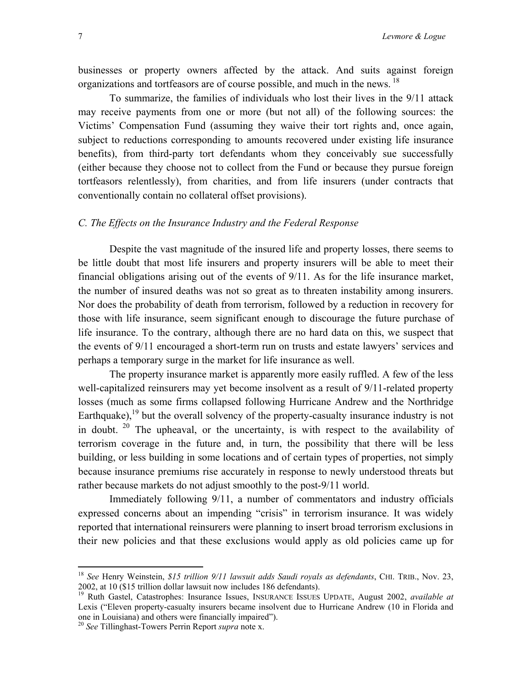businesses or property owners affected by the attack. And suits against foreign organizations and tortfeasors are of course possible, and much in the news. <sup>[18](#page-9-0)</sup>

To summarize, the families of individuals who lost their lives in the 9/11 attack may receive payments from one or more (but not all) of the following sources: the Victims' Compensation Fund (assuming they waive their tort rights and, once again, subject to reductions corresponding to amounts recovered under existing life insurance benefits), from third-party tort defendants whom they conceivably sue successfully (either because they choose not to collect from the Fund or because they pursue foreign tortfeasors relentlessly), from charities, and from life insurers (under contracts that conventionally contain no collateral offset provisions).

#### *C. The Effects on the Insurance Industry and the Federal Response*

Despite the vast magnitude of the insured life and property losses, there seems to be little doubt that most life insurers and property insurers will be able to meet their financial obligations arising out of the events of 9/11. As for the life insurance market, the number of insured deaths was not so great as to threaten instability among insurers. Nor does the probability of death from terrorism, followed by a reduction in recovery for those with life insurance, seem significant enough to discourage the future purchase of life insurance. To the contrary, although there are no hard data on this, we suspect that the events of 9/11 encouraged a short-term run on trusts and estate lawyers' services and perhaps a temporary surge in the market for life insurance as well.

The property insurance market is apparently more easily ruffled. A few of the less well-capitalized reinsurers may yet become insolvent as a result of 9/11-related property losses (much as some firms collapsed following Hurricane Andrew and the Northridge Earthquake),  $19$  but the overall solvency of the property-casualty insurance industry is not in doubt.  $20$  The upheaval, or the uncertainty, is with respect to the availability of terrorism coverage in the future and, in turn, the possibility that there will be less building, or less building in some locations and of certain types of properties, not simply because insurance premiums rise accurately in response to newly understood threats but rather because markets do not adjust smoothly to the post-9/11 world.

Immediately following 9/11, a number of commentators and industry officials expressed concerns about an impending "crisis" in terrorism insurance. It was widely reported that international reinsurers were planning to insert broad terrorism exclusions in their new policies and that these exclusions would apply as old policies came up for

<span id="page-9-0"></span><sup>&</sup>lt;sup>18</sup> *See* Henry Weinstein, *\$15 trillion 9/11 lawsuit adds Saudi royals as defendants*, CHI. TRIB., Nov. 23, 2002, at 10 (\$15 trillion dollar lawsuit now includes 186 defendants).

<span id="page-9-1"></span><sup>&</sup>lt;sup>19</sup> Ruth Gastel, Catastrophes: Insurance Issues, INSURANCE ISSUES UPDATE, August 2002, *available at* Lexis ("Eleven property-casualty insurers became insolvent due to Hurricane Andrew (10 in Florida and one in Louisiana) and others were financially impaired"). 20 *See* Tillinghast-Towers Perrin Report *supra* note x.

<span id="page-9-2"></span>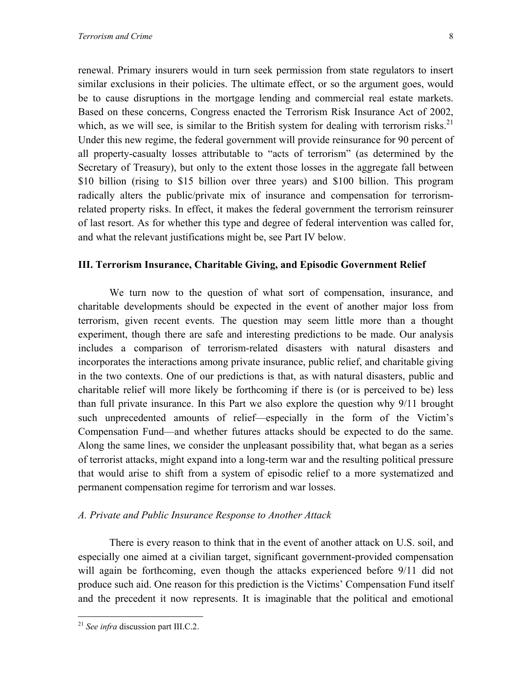renewal. Primary insurers would in turn seek permission from state regulators to insert similar exclusions in their policies. The ultimate effect, or so the argument goes, would be to cause disruptions in the mortgage lending and commercial real estate markets. Based on these concerns, Congress enacted the Terrorism Risk Insurance Act of 2002, which, as we will see, is similar to the British system for dealing with terrorism risks.<sup>21</sup> Under this new regime, the federal government will provide reinsurance for 90 percent of all property-casualty losses attributable to "acts of terrorism" (as determined by the Secretary of Treasury), but only to the extent those losses in the aggregate fall between \$10 billion (rising to \$15 billion over three years) and \$100 billion. This program radically alters the public/private mix of insurance and compensation for terrorismrelated property risks. In effect, it makes the federal government the terrorism reinsurer of last resort. As for whether this type and degree of federal intervention was called for, and what the relevant justifications might be, see Part IV below.

#### **III. Terrorism Insurance, Charitable Giving, and Episodic Government Relief**

We turn now to the question of what sort of compensation, insurance, and charitable developments should be expected in the event of another major loss from terrorism, given recent events. The question may seem little more than a thought experiment, though there are safe and interesting predictions to be made. Our analysis includes a comparison of terrorism-related disasters with natural disasters and incorporates the interactions among private insurance, public relief, and charitable giving in the two contexts. One of our predictions is that, as with natural disasters, public and charitable relief will more likely be forthcoming if there is (or is perceived to be) less than full private insurance. In this Part we also explore the question why 9/11 brought such unprecedented amounts of relief—especially in the form of the Victim's Compensation Fund—and whether futures attacks should be expected to do the same. Along the same lines, we consider the unpleasant possibility that, what began as a series of terrorist attacks, might expand into a long-term war and the resulting political pressure that would arise to shift from a system of episodic relief to a more systematized and permanent compensation regime for terrorism and war losses.

#### *A. Private and Public Insurance Response to Another Attack*

There is every reason to think that in the event of another attack on U.S. soil, and especially one aimed at a civilian target, significant government-provided compensation will again be forthcoming, even though the attacks experienced before 9/11 did not produce such aid. One reason for this prediction is the Victims' Compensation Fund itself and the precedent it now represents. It is imaginable that the political and emotional

1

<span id="page-10-0"></span><sup>21</sup> *See infra* discussion part III.C.2.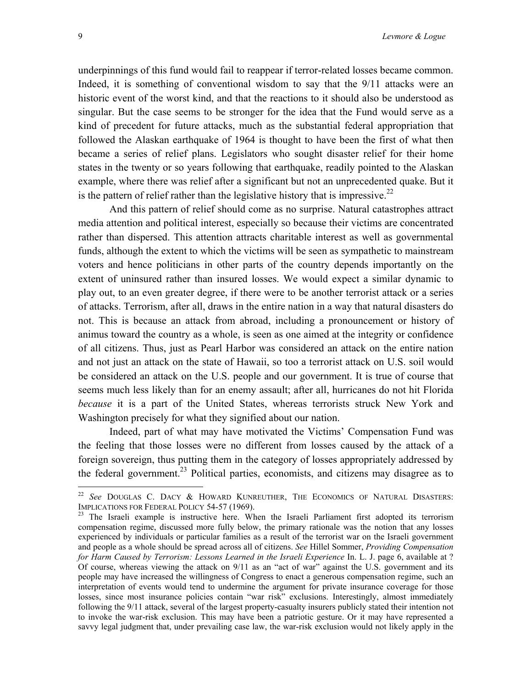<span id="page-11-1"></span>underpinnings of this fund would fail to reappear if terror-related losses became common. Indeed, it is something of conventional wisdom to say that the 9/11 attacks were an historic event of the worst kind, and that the reactions to it should also be understood as singular. But the case seems to be stronger for the idea that the Fund would serve as a kind of precedent for future attacks, much as the substantial federal appropriation that followed the Alaskan earthquake of 1964 is thought to have been the first of what then became a series of relief plans. Legislators who sought disaster relief for their home states in the twenty or so years following that earthquake, readily pointed to the Alaskan example, where there was relief after a significant but not an unprecedented quake. But it is the pattern of relief rather than the legislative history that is impressive.<sup>22</sup>

And this pattern of relief should come as no surprise. Natural catastrophes attract media attention and political interest, especially so because their victims are concentrated rather than dispersed. This attention attracts charitable interest as well as governmental funds, although the extent to which the victims will be seen as sympathetic to mainstream voters and hence politicians in other parts of the country depends importantly on the extent of uninsured rather than insured losses. We would expect a similar dynamic to play out, to an even greater degree, if there were to be another terrorist attack or a series of attacks. Terrorism, after all, draws in the entire nation in a way that natural disasters do not. This is because an attack from abroad, including a pronouncement or history of animus toward the country as a whole, is seen as one aimed at the integrity or confidence of all citizens. Thus, just as Pearl Harbor was considered an attack on the entire nation and not just an attack on the state of Hawaii, so too a terrorist attack on U.S. soil would be considered an attack on the U.S. people and our government. It is true of course that seems much less likely than for an enemy assault; after all, hurricanes do not hit Florida *because* it is a part of the United States, whereas terrorists struck New York and Washington precisely for what they signified about our nation.

Indeed, part of what may have motivated the Victims' Compensation Fund was the feeling that those losses were no different from losses caused by the attack of a foreign sovereign, thus putting them in the category of losses appropriately addressed by the federal government.<sup>23</sup> Political parties, economists, and citizens may disagree as to

<span id="page-11-0"></span><sup>22</sup> *See* DOUGLAS C. DACY & HOWARD KUNREUTHER, THE ECONOMICS OF NATURAL DISASTERS: IMPLICATIONS FOR FEDERAL POLICY 54-57 (1969).<br><sup>23</sup> The Israeli example is instructive here. When the Israeli Parliament first adopted its terrorism

compensation regime, discussed more fully below, the primary rationale was the notion that any losses experienced by individuals or particular families as a result of the terrorist war on the Israeli government and people as a whole should be spread across all of citizens. *See* Hillel Sommer, *Providing Compensation for Harm Caused by Terrorism: Lessons Learned in the Israeli Experience* In. L. J. page 6, available at ? Of course, whereas viewing the attack on 9/11 as an "act of war" against the U.S. government and its people may have increased the willingness of Congress to enact a generous compensation regime, such an interpretation of events would tend to undermine the argument for private insurance coverage for those losses, since most insurance policies contain "war risk" exclusions. Interestingly, almost immediately following the 9/11 attack, several of the largest property-casualty insurers publicly stated their intention not to invoke the war-risk exclusion. This may have been a patriotic gesture. Or it may have represented a savvy legal judgment that, under prevailing case law, the war-risk exclusion would not likely apply in the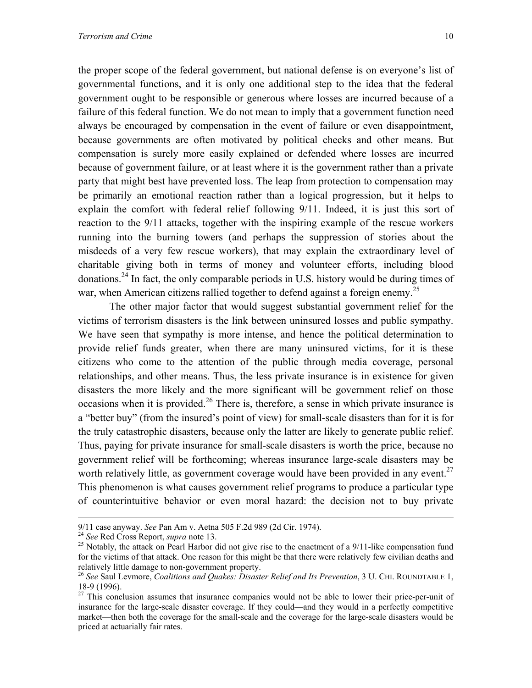the proper scope of the federal government, but national defense is on everyone's list of governmental functions, and it is only one additional step to the idea that the federal government ought to be responsible or generous where losses are incurred because of a failure of this federal function. We do not mean to imply that a government function need always be encouraged by compensation in the event of failure or even disappointment, because governments are often motivated by political checks and other means. But compensation is surely more easily explained or defended where losses are incurred because of government failure, or at least where it is the government rather than a private party that might best have prevented loss. The leap from protection to compensation may be primarily an emotional reaction rather than a logical progression, but it helps to explain the comfort with federal relief following 9/11. Indeed, it is just this sort of reaction to the 9/11 attacks, together with the inspiring example of the rescue workers running into the burning towers (and perhaps the suppression of stories about the

misdeeds of a very few rescue workers), that may explain the extraordinary level of charitable giving both in terms of money and volunteer efforts, including blood donations.[24 I](#page-12-0)n fact, the only comparable periods in U.S. history would be during times of war, when American citizens rallied together to defend against a foreign enemy.<sup>25</sup>

The other major factor that would suggest substantial government relief for the victims of terrorism disasters is the link between uninsured losses and public sympathy. We have seen that sympathy is more intense, and hence the political determination to provide relief funds greater, when there are many uninsured victims, for it is these citizens who come to the attention of the public through media coverage, personal relationships, and other means. Thus, the less private insurance is in existence for given disasters the more likely and the more significant will be government relief on those occasions when it is provided.<sup>26</sup> There is, therefore, a sense in which private insurance is a "better buy" (from the insured's point of view) for small-scale disasters than for it is for the truly catastrophic disasters, because only the latter are likely to generate public relief. Thus, paying for private insurance for small-scale disasters is worth the price, because no government relief will be forthcoming; whereas insurance large-scale disasters may be worth relatively little, as government coverage would have been provided in any event.<sup>27</sup> This phenomenon is what causes government relief programs to produce a particular type of counterintuitive behavior or even moral hazard: the decision not to buy private

<span id="page-12-1"></span><span id="page-12-0"></span>

<sup>9/11</sup> case anyway. See Pan Am v. Aetna 505 F.2d 989 (2d Cir. 1974).<br><sup>24</sup> See Red Cross Report, *supra* note 13.<br><sup>25</sup> Notably, the attack on Pearl Harbor did not give rise to the enactment of a 9/11-like compensation fund for the victims of that attack. One reason for this might be that there were relatively few civilian deaths and relatively little damage to non-government property.

<span id="page-12-2"></span><sup>&</sup>lt;sup>26</sup> See Saul Levmore, *Coalitions and Quakes: Disaster Relief and Its Prevention*, 3 U. CHI. ROUNDTABLE 1, 18-9 (1996).

<span id="page-12-3"></span> $27$  This conclusion assumes that insurance companies would not be able to lower their price-per-unit of insurance for the large-scale disaster coverage. If they could—and they would in a perfectly competitive market—then both the coverage for the small-scale and the coverage for the large-scale disasters would be priced at actuarially fair rates.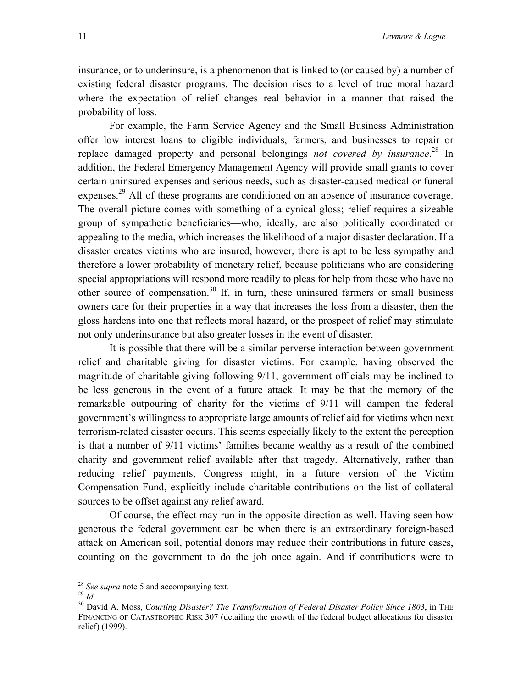insurance, or to underinsure, is a phenomenon that is linked to (or caused by) a number of existing federal disaster programs. The decision rises to a level of true moral hazard where the expectation of relief changes real behavior in a manner that raised the probability of loss.

For example, the Farm Service Agency and the Small Business Administration offer low interest loans to eligible individuals, farmers, and businesses to repair or replace damaged property and personal belongings *not covered by insurance*. [28](#page-13-0) In addition, the Federal Emergency Management Agency will provide small grants to cover certain uninsured expenses and serious needs, such as disaster-caused medical or funeral expenses.<sup>29</sup> All of these programs are conditioned on an absence of insurance coverage. The overall picture comes with something of a cynical gloss; relief requires a sizeable group of sympathetic beneficiaries—who, ideally, are also politically coordinated or appealing to the media, which increases the likelihood of a major disaster declaration. If a disaster creates victims who are insured, however, there is apt to be less sympathy and therefore a lower probability of monetary relief, because politicians who are considering special appropriations will respond more readily to pleas for help from those who have no other source of compensation.[30](#page-13-2) If, in turn, these uninsured farmers or small business owners care for their properties in a way that increases the loss from a disaster, then the gloss hardens into one that reflects moral hazard, or the prospect of relief may stimulate not only underinsurance but also greater losses in the event of disaster.

It is possible that there will be a similar perverse interaction between government relief and charitable giving for disaster victims. For example, having observed the magnitude of charitable giving following 9/11, government officials may be inclined to be less generous in the event of a future attack. It may be that the memory of the remarkable outpouring of charity for the victims of 9/11 will dampen the federal government's willingness to appropriate large amounts of relief aid for victims when next terrorism-related disaster occurs. This seems especially likely to the extent the perception is that a number of 9/11 victims' families became wealthy as a result of the combined charity and government relief available after that tragedy. Alternatively, rather than reducing relief payments, Congress might, in a future version of the Victim Compensation Fund, explicitly include charitable contributions on the list of collateral sources to be offset against any relief award.

Of course, the effect may run in the opposite direction as well. Having seen how generous the federal government can be when there is an extraordinary foreign-based attack on American soil, potential donors may reduce their contributions in future cases, counting on the government to do the job once again. And if contributions were to

1

<span id="page-13-0"></span>

<span id="page-13-2"></span><span id="page-13-1"></span>

<sup>&</sup>lt;sup>28</sup> *See supra* note 5 and accompanying text.<br><sup>29</sup> *Id.* 30 David A. Moss, *Courting Disaster? The Transformation of Federal Disaster Policy Since 1803*, in THE FINANCING OF CATASTROPHIC RISK 307 (detailing the growth of the federal budget allocations for disaster relief) (1999).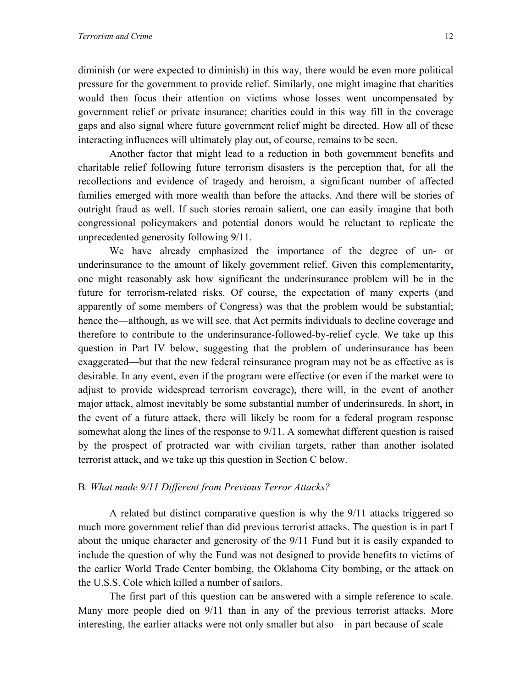diminish (or were expected to diminish) in this way, there would be even more political pressure for the government to provide relief. Similarly, one might imagine that charities would then focus their attention on victims whose losses went uncompensated by government relief or private insurance; charities could in this way fill in the coverage gaps and also signal where future government relief might be directed. How all of these interacting influences will ultimately play out, of course, remains to be seen.

Another factor that might lead to a reduction in both government benefits and charitable relief following future terrorism disasters is the perception that, for all the recollections and evidence of tragedy and heroism, a significant number of affected families emerged with more wealth than before the attacks. And there will be stories of outright fraud as well. If such stories remain salient, one can easily imagine that both congressional policymakers and potential donors would be reluctant to replicate the unprecedented generosity following 9/11.

We have already emphasized the importance of the degree of un- or underinsurance to the amount of likely government relief. Given this complementarity, one might reasonably ask how significant the underinsurance problem will be in the future for terrorism-related risks. Of course, the expectation of many experts (and apparently of some members of Congress) was that the problem would be substantial; hence the—although, as we will see, that Act permits individuals to decline coverage and therefore to contribute to the underinsurance-followed-by-relief cycle. We take up this question in Part IV below, suggesting that the problem of underinsurance has been exaggerated—but that the new federal reinsurance program may not be as effective as is desirable. In any event, even if the program were effective (or even if the market were to adjust to provide widespread terrorism coverage), there will, in the event of another major attack, almost inevitably be some substantial number of underinsureds. In short, in the event of a future attack, there will likely be room for a federal program response somewhat along the lines of the response to 9/11. A somewhat different question is raised by the prospect of protracted war with civilian targets, rather than another isolated terrorist attack, and we take up this question in Section C below.

#### B*. What made 9/11 Different from Previous Terror Attacks?*

A related but distinct comparative question is why the 9/11 attacks triggered so much more government relief than did previous terrorist attacks. The question is in part I about the unique character and generosity of the 9/11 Fund but it is easily expanded to include the question of why the Fund was not designed to provide benefits to victims of the earlier World Trade Center bombing, the Oklahoma City bombing, or the attack on the U.S.S. Cole which killed a number of sailors.

The first part of this question can be answered with a simple reference to scale. Many more people died on 9/11 than in any of the previous terrorist attacks. More interesting, the earlier attacks were not only smaller but also—in part because of scale—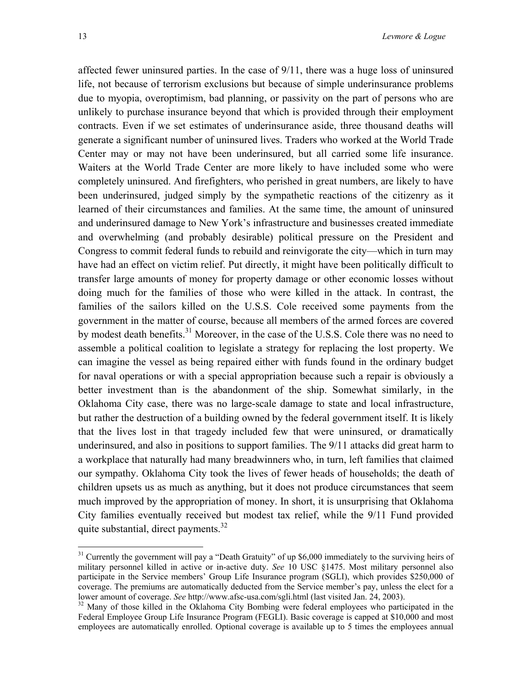<span id="page-15-1"></span>affected fewer uninsured parties. In the case of 9/11, there was a huge loss of uninsured life, not because of terrorism exclusions but because of simple underinsurance problems due to myopia, overoptimism, bad planning, or passivity on the part of persons who are unlikely to purchase insurance beyond that which is provided through their employment contracts. Even if we set estimates of underinsurance aside, three thousand deaths will generate a significant number of uninsured lives. Traders who worked at the World Trade Center may or may not have been underinsured, but all carried some life insurance. Waiters at the World Trade Center are more likely to have included some who were completely uninsured. And firefighters, who perished in great numbers, are likely to have been underinsured, judged simply by the sympathetic reactions of the citizenry as it learned of their circumstances and families. At the same time, the amount of uninsured and underinsured damage to New York's infrastructure and businesses created immediate and overwhelming (and probably desirable) political pressure on the President and Congress to commit federal funds to rebuild and reinvigorate the city—which in turn may have had an effect on victim relief. Put directly, it might have been politically difficult to transfer large amounts of money for property damage or other economic losses without doing much for the families of those who were killed in the attack. In contrast, the families of the sailors killed on the U.S.S. Cole received some payments from the government in the matter of course, because all members of the armed forces are covered by modest death benefits.<sup>31</sup> Moreover, in the case of the U.S.S. Cole there was no need to assemble a political coalition to legislate a strategy for replacing the lost property. We can imagine the vessel as being repaired either with funds found in the ordinary budget for naval operations or with a special appropriation because such a repair is obviously a better investment than is the abandonment of the ship. Somewhat similarly, in the Oklahoma City case, there was no large-scale damage to state and local infrastructure, but rather the destruction of a building owned by the federal government itself. It is likely that the lives lost in that tragedy included few that were uninsured, or dramatically underinsured, and also in positions to support families. The 9/11 attacks did great harm to a workplace that naturally had many breadwinners who, in turn, left families that claimed our sympathy. Oklahoma City took the lives of fewer heads of households; the death of children upsets us as much as anything, but it does not produce circumstances that seem much improved by the appropriation of money. In short, it is unsurprising that Oklahoma City families eventually received but modest tax relief, while the 9/11 Fund provided quite substantial, direct payments. $32$ 

<span id="page-15-0"></span> $31$  Currently the government will pay a "Death Gratuity" of up \$6,000 immediately to the surviving heirs of military personnel killed in active or in-active duty. *See* 10 USC §1475. Most military personnel also participate in the Service members' Group Life Insurance program (SGLI), which provides \$250,000 of coverage. The premiums are automatically deducted from the Service member's pay, unless the elect for a lower amount of coverage. *See* http://www.afsc-usa.com/sgli.html (last visited Jan. 24, 2003).<br><sup>32</sup> Many of those killed in the Oklahoma City Bombing were federal employees who participated in the

Federal Employee Group Life Insurance Program (FEGLI). Basic coverage is capped at \$10,000 and most employees are automatically enrolled. Optional coverage is available up to 5 times the employees annual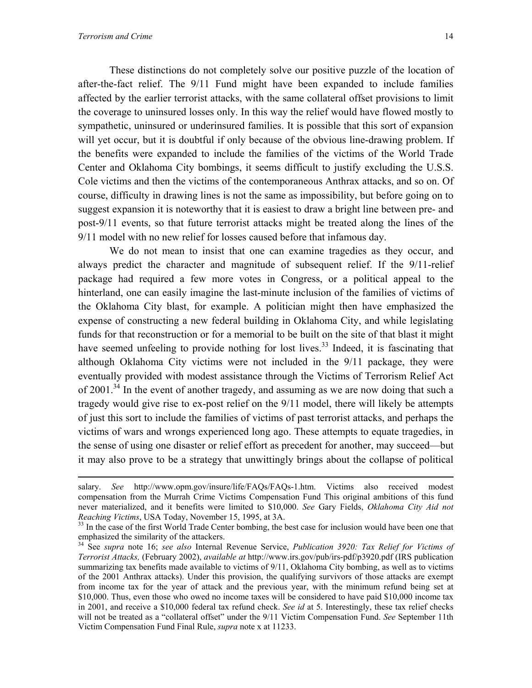These distinctions do not completely solve our positive puzzle of the location of after-the-fact relief. The 9/11 Fund might have been expanded to include families affected by the earlier terrorist attacks, with the same collateral offset provisions to limit the coverage to uninsured losses only. In this way the relief would have flowed mostly to sympathetic, uninsured or underinsured families. It is possible that this sort of expansion will yet occur, but it is doubtful if only because of the obvious line-drawing problem. If the benefits were expanded to include the families of the victims of the World Trade Center and Oklahoma City bombings, it seems difficult to justify excluding the U.S.S. Cole victims and then the victims of the contemporaneous Anthrax attacks, and so on. Of course, difficulty in drawing lines is not the same as impossibility, but before going on to suggest expansion it is noteworthy that it is easiest to draw a bright line between pre- and post-9/11 events, so that future terrorist attacks might be treated along the lines of the 9/11 model with no new relief for losses caused before that infamous day.

We do not mean to insist that one can examine tragedies as they occur, and always predict the character and magnitude of subsequent relief. If the 9/11-relief package had required a few more votes in Congress, or a political appeal to the hinterland, one can easily imagine the last-minute inclusion of the families of victims of the Oklahoma City blast, for example. A politician might then have emphasized the expense of constructing a new federal building in Oklahoma City, and while legislating funds for that reconstruction or for a memorial to be built on the site of that blast it might have seemed unfeeling to provide nothing for lost lives.<sup>33</sup> Indeed, it is fascinating that although Oklahoma City victims were not included in the 9/11 package, they were eventually provided with modest assistance through the Victims of Terrorism Relief Act of 2001.<sup>34</sup> In the event of another tragedy, and assuming as we are now doing that such a tragedy would give rise to ex-post relief on the 9/11 model, there will likely be attempts of just this sort to include the families of victims of past terrorist attacks, and perhaps the victims of wars and wrongs experienced long ago. These attempts to equate tragedies, in the sense of using one disaster or relief effort as precedent for another, may succeed—but it may also prove to be a strategy that unwittingly brings about the collapse of political

salary. *See* http://www.opm.gov/insure/life/FAQs/FAQs-1.htm. Victims also received modest compensation from the Murrah Crime Victims Compensation Fund This original ambitions of this fund never materialized, and it benefits were limited to \$10,000. *See* Gary Fields, *Oklahoma City Aid not Reaching Victims*, USA Today, November 15, 1995, at 3A.<br><sup>33</sup> In the case of the first World Trade Center bombing, the best case for inclusion would have been one that

<span id="page-16-0"></span>emphasized the similarity of the attackers.<br><sup>34</sup> See *supra* note 16; *see also* Internal Revenue Service, *Publication 3920: Tax Relief for Victims of* 

<span id="page-16-1"></span>*Terrorist Attacks,* (February 2002), *available at* http://www.irs.gov/pub/irs-pdf/p3920.pdf (IRS publication summarizing tax benefits made available to victims of 9/11, Oklahoma City bombing, as well as to victims of the 2001 Anthrax attacks). Under this provision, the qualifying survivors of those attacks are exempt from income tax for the year of attack and the previous year, with the minimum refund being set at \$10,000. Thus, even those who owed no income taxes will be considered to have paid \$10,000 income tax in 2001, and receive a \$10,000 federal tax refund check. *See id* at 5. Interestingly, these tax relief checks will not be treated as a "collateral offset" under the 9/11 Victim Compensation Fund. *See* September 11th Victim Compensation Fund Final Rule, *supra* note x at 11233.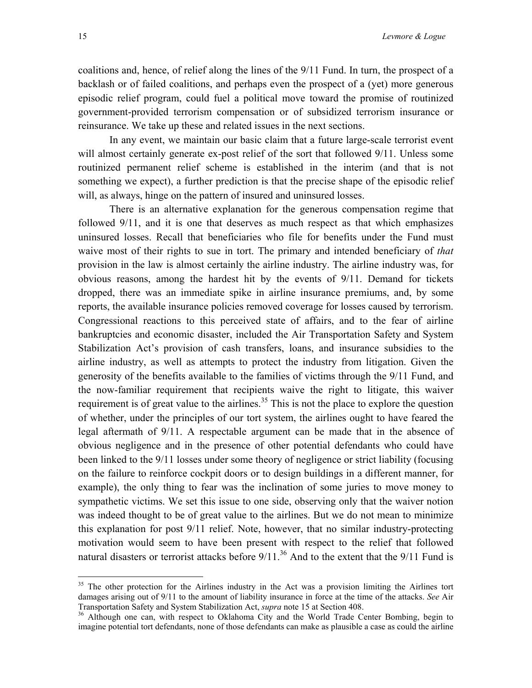<span id="page-17-1"></span>coalitions and, hence, of relief along the lines of the 9/11 Fund. In turn, the prospect of a backlash or of failed coalitions, and perhaps even the prospect of a (yet) more generous episodic relief program, could fuel a political move toward the promise of routinized government-provided terrorism compensation or of subsidized terrorism insurance or reinsurance. We take up these and related issues in the next sections.

In any event, we maintain our basic claim that a future large-scale terrorist event will almost certainly generate ex-post relief of the sort that followed 9/11. Unless some routinized permanent relief scheme is established in the interim (and that is not something we expect), a further prediction is that the precise shape of the episodic relief will, as always, hinge on the pattern of insured and uninsured losses.

There is an alternative explanation for the generous compensation regime that followed 9/11, and it is one that deserves as much respect as that which emphasizes uninsured losses. Recall that beneficiaries who file for benefits under the Fund must waive most of their rights to sue in tort. The primary and intended beneficiary of *that* provision in the law is almost certainly the airline industry. The airline industry was, for obvious reasons, among the hardest hit by the events of 9/11. Demand for tickets dropped, there was an immediate spike in airline insurance premiums, and, by some reports, the available insurance policies removed coverage for losses caused by terrorism. Congressional reactions to this perceived state of affairs, and to the fear of airline bankruptcies and economic disaster, included the Air Transportation Safety and System Stabilization Act's provision of cash transfers, loans, and insurance subsidies to the airline industry, as well as attempts to protect the industry from litigation. Given the generosity of the benefits available to the families of victims through the 9/11 Fund, and the now-familiar requirement that recipients waive the right to litigate, this waiver requirement is of great value to the airlines.<sup>35</sup> This is not the place to explore the question of whether, under the principles of our tort system, the airlines ought to have feared the legal aftermath of 9/11. A respectable argument can be made that in the absence of obvious negligence and in the presence of other potential defendants who could have been linked to the 9/11 losses under some theory of negligence or strict liability (focusing on the failure to reinforce cockpit doors or to design buildings in a different manner, for example), the only thing to fear was the inclination of some juries to move money to sympathetic victims. We set this issue to one side, observing only that the waiver notion was indeed thought to be of great value to the airlines. But we do not mean to minimize this explanation for post 9/11 relief. Note, however, that no similar industry-protecting motivation would seem to have been present with respect to the relief that followed natural disasters or terrorist attacks before  $9/11$ .<sup>36</sup> And to the extent that the  $9/11$  Fund is

<span id="page-17-0"></span><sup>&</sup>lt;sup>35</sup> The other protection for the Airlines industry in the Act was a provision limiting the Airlines tort damages arising out of 9/11 to the amount of liability insurance in force at the time of the attacks. *See* Air

<sup>&</sup>lt;sup>36</sup> Although one can, with respect to Oklahoma City and the World Trade Center Bombing, begin to imagine potential tort defendants, none of those defendants can make as plausible a case as could the airline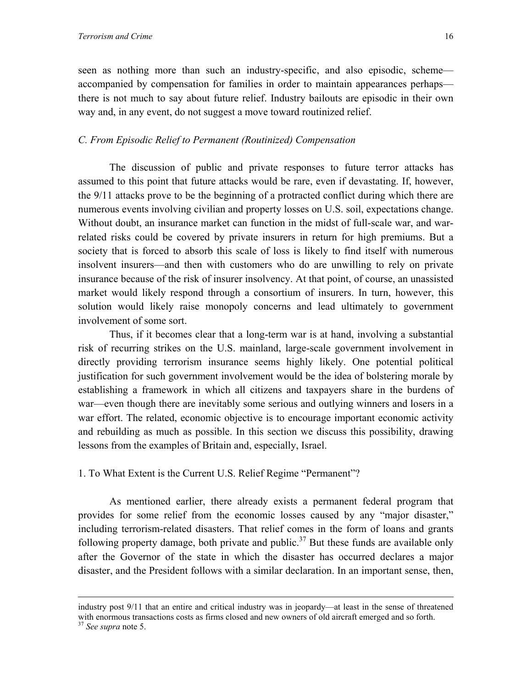seen as nothing more than such an industry-specific, and also episodic, scheme accompanied by compensation for families in order to maintain appearances perhaps there is not much to say about future relief. Industry bailouts are episodic in their own way and, in any event, do not suggest a move toward routinized relief.

#### *C. From Episodic Relief to Permanent (Routinized) Compensation*

The discussion of public and private responses to future terror attacks has assumed to this point that future attacks would be rare, even if devastating. If, however, the 9/11 attacks prove to be the beginning of a protracted conflict during which there are numerous events involving civilian and property losses on U.S. soil, expectations change. Without doubt, an insurance market can function in the midst of full-scale war, and warrelated risks could be covered by private insurers in return for high premiums. But a society that is forced to absorb this scale of loss is likely to find itself with numerous insolvent insurers—and then with customers who do are unwilling to rely on private insurance because of the risk of insurer insolvency. At that point, of course, an unassisted market would likely respond through a consortium of insurers. In turn, however, this solution would likely raise monopoly concerns and lead ultimately to government involvement of some sort.

 Thus, if it becomes clear that a long-term war is at hand, involving a substantial risk of recurring strikes on the U.S. mainland, large-scale government involvement in directly providing terrorism insurance seems highly likely. One potential political justification for such government involvement would be the idea of bolstering morale by establishing a framework in which all citizens and taxpayers share in the burdens of war—even though there are inevitably some serious and outlying winners and losers in a war effort. The related, economic objective is to encourage important economic activity and rebuilding as much as possible. In this section we discuss this possibility, drawing lessons from the examples of Britain and, especially, Israel.

1. To What Extent is the Current U.S. Relief Regime "Permanent"?

 As mentioned earlier, there already exists a permanent federal program that provides for some relief from the economic losses caused by any "major disaster," including terrorism-related disasters. That relief comes in the form of loans and grants following property damage, both private and public.<sup>37</sup> But these funds are available only after the Governor of the state in which the disaster has occurred declares a major disaster, and the President follows with a similar declaration. In an important sense, then,

<span id="page-18-0"></span>industry post 9/11 that an entire and critical industry was in jeopardy—at least in the sense of threatened with enormous transactions costs as firms closed and new owners of old aircraft emerged and so forth. 37 *See supra* note 5.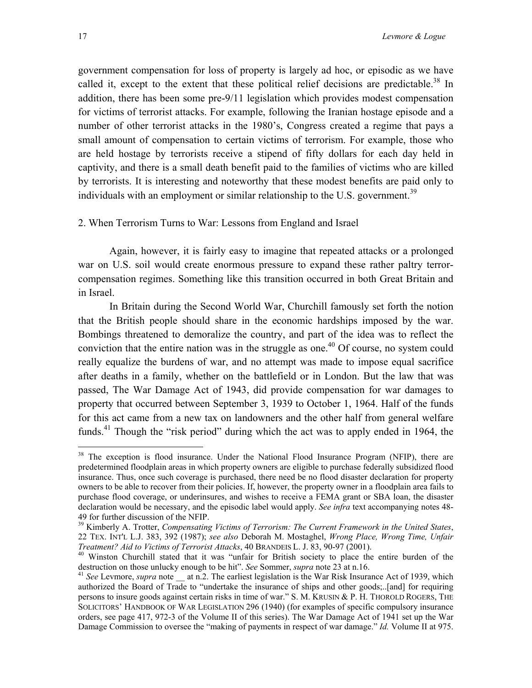<span id="page-19-3"></span>government compensation for loss of property is largely ad hoc, or episodic as we have called it, except to the extent that these political relief decisions are predictable.<sup>38</sup> In addition, there has been some pre-9/11 legislation which provides modest compensation for victims of terrorist attacks. For example, following the Iranian hostage episode and a number of other terrorist attacks in the 1980's, Congress created a regime that pays a small amount of compensation to certain victims of terrorism. For example, those who are held hostage by terrorists receive a stipend of fifty dollars for each day held in captivity, and there is a small death benefit paid to the families of victims who are killed by terrorists. It is interesting and noteworthy that these modest benefits are paid only to individuals with an employment or similar relationship to the U.S. government.<sup>[39](#page-19-1)</sup>

#### 2. When Terrorism Turns to War: Lessons from England and Israel

Again, however, it is fairly easy to imagine that repeated attacks or a prolonged war on U.S. soil would create enormous pressure to expand these rather paltry terrorcompensation regimes. Something like this transition occurred in both Great Britain and in Israel.

In Britain during the Second World War, Churchill famously set forth the notion that the British people should share in the economic hardships imposed by the war. Bombings threatened to demoralize the country, and part of the idea was to reflect the conviction that the entire nation was in the struggle as one.<sup> $40$ </sup> Of course, no system could really equalize the burdens of war, and no attempt was made to impose equal sacrifice after deaths in a family, whether on the battlefield or in London. But the law that was passed, The War Damage Act of 1943, did provide compensation for war damages to property that occurred between September 3, 1939 to October 1, 1964. Half of the funds for this act came from a new tax on landowners and the other half from general welfare funds.<sup>41</sup> Though the "risk period" during which the act was to apply ended in 1964, the

<span id="page-19-0"></span><sup>&</sup>lt;sup>38</sup> The exception is flood insurance. Under the National Flood Insurance Program (NFIP), there are predetermined floodplain areas in which property owners are eligible to purchase federally subsidized flood insurance. Thus, once such coverage is purchased, there need be no flood disaster declaration for property owners to be able to recover from their policies. If, however, the property owner in a floodplain area fails to purchase flood coverage, or underinsures, and wishes to receive a FEMA grant or SBA loan, the disaster declaration would be necessary, and the episodic label would apply. *See infra* text accompanying notes 48- 49 for further discussion of the NFIP.<br><sup>39</sup> Kimberly A. Trotter, *Compensating Victims of Terrorism: The Current Framework in the United States*,

<span id="page-19-1"></span><sup>22</sup> TEX. INT'L L.J. 383, 392 (1987); *see also* Deborah M. Mostaghel, *Wrong Place, Wrong Time, Unfair*

<span id="page-19-2"></span><sup>&</sup>lt;sup>40</sup> Winston Churchill stated that it was "unfair for British society to place the entire burden of the destruction on those unlucky enough to be hit". *See* Sommer, *supra* note 23 at n.16.<br><sup>41</sup> *See* Levmore, *supra* note at n.2. The earliest legislation is the War Risk Insurance Act of 1939, which

authorized the Board of Trade to "undertake the insurance of ships and other goods;..[and] for requiring persons to insure goods against certain risks in time of war." S. M. KRUSIN & P. H. THOROLD ROGERS, THE SOLICITORS' HANDBOOK OF WAR LEGISLATION 296 (1940) (for examples of specific compulsory insurance orders, see page 417, 972-3 of the Volume II of this series). The War Damage Act of 1941 set up the War Damage Commission to oversee the "making of payments in respect of war damage." *Id.* Volume II at 975.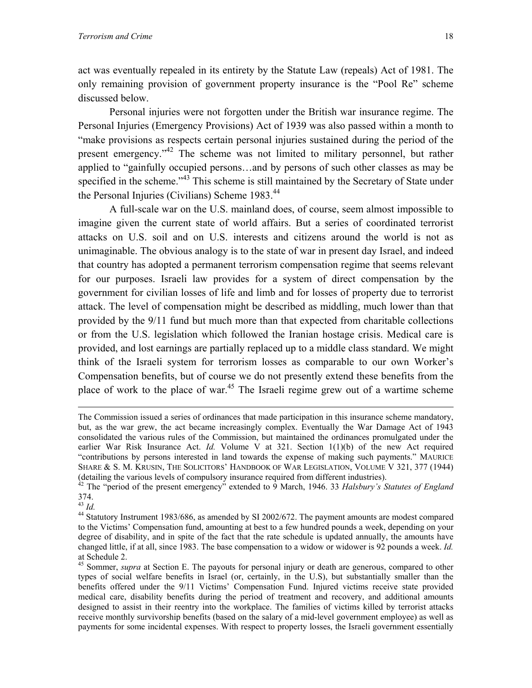<span id="page-20-3"></span>act was eventually repealed in its entirety by the Statute Law (repeals) Act of 1981. The only remaining provision of government property insurance is the "Pool Re" scheme discussed below.

 Personal injuries were not forgotten under the British war insurance regime. The Personal Injuries (Emergency Provisions) Act of 1939 was also passed within a month to "make provisions as respects certain personal injuries sustained during the period of the present emergency.["42](#page-20-0) The scheme was not limited to military personnel, but rather applied to "gainfully occupied persons…and by persons of such other classes as may be specified in the scheme."<sup>43</sup> This scheme is still maintained by the Secretary of State under the Personal Injuries (Civilians) Scheme 1983.<sup>44</sup>

A full-scale war on the U.S. mainland does, of course, seem almost impossible to imagine given the current state of world affairs. But a series of coordinated terrorist attacks on U.S. soil and on U.S. interests and citizens around the world is not as unimaginable. The obvious analogy is to the state of war in present day Israel, and indeed that country has adopted a permanent terrorism compensation regime that seems relevant for our purposes. Israeli law provides for a system of direct compensation by the government for civilian losses of life and limb and for losses of property due to terrorist attack. The level of compensation might be described as middling, much lower than that provided by the 9/11 fund but much more than that expected from charitable collections or from the U.S. legislation which followed the Iranian hostage crisis. Medical care is provided, and lost earnings are partially replaced up to a middle class standard. We might think of the Israeli system for terrorism losses as comparable to our own Worker's Compensation benefits, but of course we do not presently extend these benefits from the place of work to the place of war.<sup>45</sup> The Israeli regime grew out of a wartime scheme

<span id="page-20-1"></span>

The Commission issued a series of ordinances that made participation in this insurance scheme mandatory, but, as the war grew, the act became increasingly complex. Eventually the War Damage Act of 1943 consolidated the various rules of the Commission, but maintained the ordinances promulgated under the earlier War Risk Insurance Act. *Id.* Volume V at 321. Section 1(1)(b) of the new Act required "contributions by persons interested in land towards the expense of making such payments." MAURICE SHARE & S. M. KRUSIN, THE SOLICITORS' HANDBOOK OF WAR LEGISLATION, VOLUME V 321, 377 (1944) (detailing the various levels of compulsory insurance required from different industries).

<span id="page-20-0"></span><sup>42</sup> The "period of the present emergency" extended to 9 March, 1946. 33 *Halsbury's Statutes of England*   $374.$ <sup>43</sup> *Id.* 

<span id="page-20-2"></span><sup>&</sup>lt;sup>44</sup> Statutory Instrument 1983/686, as amended by SI 2002/672. The payment amounts are modest compared to the Victims' Compensation fund, amounting at best to a few hundred pounds a week, depending on your degree of disability, and in spite of the fact that the rate schedule is updated annually, the amounts have changed little, if at all, since 1983. The base compensation to a widow or widower is 92 pounds a week. *Id.*  at Schedule 2.

<sup>&</sup>lt;sup>45</sup> Sommer, *supra* at Section E. The payouts for personal injury or death are generous, compared to other types of social welfare benefits in Israel (or, certainly, in the U.S), but substantially smaller than the benefits offered under the 9/11 Victims' Compensation Fund. Injured victims receive state provided medical care, disability benefits during the period of treatment and recovery, and additional amounts designed to assist in their reentry into the workplace. The families of victims killed by terrorist attacks receive monthly survivorship benefits (based on the salary of a mid-level government employee) as well as payments for some incidental expenses. With respect to property losses, the Israeli government essentially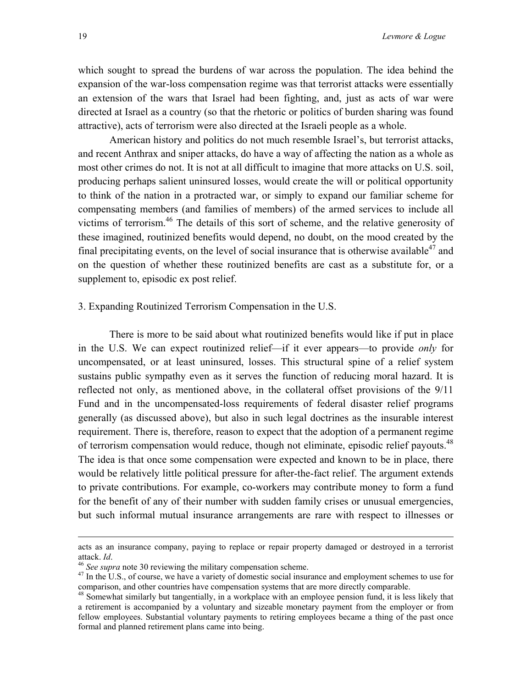which sought to spread the burdens of war across the population. The idea behind the expansion of the war-loss compensation regime was that terrorist attacks were essentially an extension of the wars that Israel had been fighting, and, just as acts of war were directed at Israel as a country (so that the rhetoric or politics of burden sharing was found attractive), acts of terrorism were also directed at the Israeli people as a whole.

American history and politics do not much resemble Israel's, but terrorist attacks, and recent Anthrax and sniper attacks, do have a way of affecting the nation as a whole as most other crimes do not. It is not at all difficult to imagine that more attacks on U.S. soil, producing perhaps salient uninsured losses, would create the will or political opportunity to think of the nation in a protracted war, or simply to expand our familiar scheme for compensating members (and families of members) of the armed services to include all victims of terrorism. [46](#page-21-0) The details of this sort of scheme, and the relative generosity of these imagined, routinized benefits would depend, no doubt, on the mood created by the final precipitating events, on the level of social insurance that is otherwise available<sup>47</sup> and on the question of whether these routinized benefits are cast as a substitute for, or a supplement to, episodic ex post relief.

#### 3. Expanding Routinized Terrorism Compensation in the U.S.

There is more to be said about what routinized benefits would like if put in place in the U.S. We can expect routinized relief—if it ever appears—to provide *only* for uncompensated, or at least uninsured, losses. This structural spine of a relief system sustains public sympathy even as it serves the function of reducing moral hazard. It is reflected not only, as mentioned above, in the collateral offset provisions of the 9/11 Fund and in the uncompensated-loss requirements of federal disaster relief programs generally (as discussed above), but also in such legal doctrines as the insurable interest requirement. There is, therefore, reason to expect that the adoption of a permanent regime of terrorism compensation would reduce, though not eliminate, episodic relief payouts.<sup>48</sup> The idea is that once some compensation were expected and known to be in place, there would be relatively little political pressure for after-the-fact relief. The argument extends to private contributions. For example, co-workers may contribute money to form a fund for the benefit of any of their number with sudden family crises or unusual emergencies, but such informal mutual insurance arrangements are rare with respect to illnesses or

acts as an insurance company, paying to replace or repair property damaged or destroyed in a terrorist

<span id="page-21-1"></span><span id="page-21-0"></span>

<sup>&</sup>lt;sup>46</sup> *See supra* note 30 reviewing the military compensation scheme.<br><sup>47</sup> In the U.S., of course, we have a variety of domestic social insurance and employment schemes to use for comparison, and other countries have compen

<span id="page-21-2"></span> $48$  Somewhat similarly but tangentially, in a workplace with an employee pension fund, it is less likely that a retirement is accompanied by a voluntary and sizeable monetary payment from the employer or from fellow employees. Substantial voluntary payments to retiring employees became a thing of the past once formal and planned retirement plans came into being.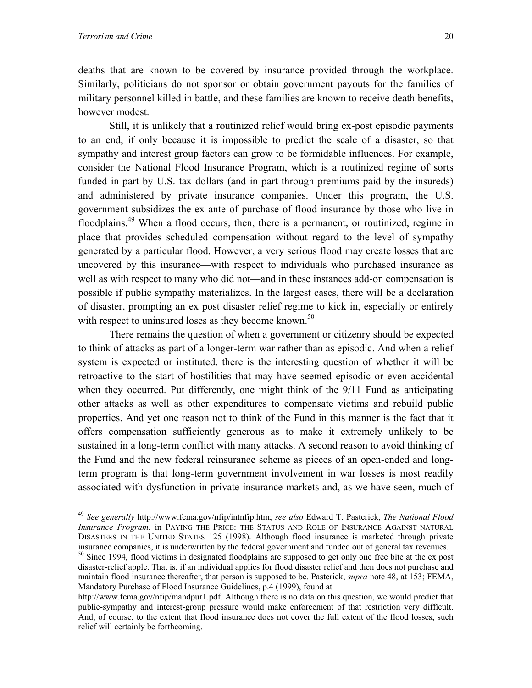$\overline{a}$ 

deaths that are known to be covered by insurance provided through the workplace. Similarly, politicians do not sponsor or obtain government payouts for the families of military personnel killed in battle, and these families are known to receive death benefits, however modest.

 Still, it is unlikely that a routinized relief would bring ex-post episodic payments to an end, if only because it is impossible to predict the scale of a disaster, so that sympathy and interest group factors can grow to be formidable influences. For example, consider the National Flood Insurance Program, which is a routinized regime of sorts funded in part by U.S. tax dollars (and in part through premiums paid by the insureds) and administered by private insurance companies. Under this program, the U.S. government subsidizes the ex ante of purchase of flood insurance by those who live in floodplains.<sup>49</sup> When a flood occurs, then, there is a permanent, or routinized, regime in place that provides scheduled compensation without regard to the level of sympathy generated by a particular flood. However, a very serious flood may create losses that are uncovered by this insurance—with respect to individuals who purchased insurance as well as with respect to many who did not—and in these instances add-on compensation is possible if public sympathy materializes. In the largest cases, there will be a declaration of disaster, prompting an ex post disaster relief regime to kick in, especially or entirely with respect to uninsured loses as they become known.<sup>[50](#page-22-1)</sup>

 There remains the question of when a government or citizenry should be expected to think of attacks as part of a longer-term war rather than as episodic. And when a relief system is expected or instituted, there is the interesting question of whether it will be retroactive to the start of hostilities that may have seemed episodic or even accidental when they occurred. Put differently, one might think of the 9/11 Fund as anticipating other attacks as well as other expenditures to compensate victims and rebuild public properties. And yet one reason not to think of the Fund in this manner is the fact that it offers compensation sufficiently generous as to make it extremely unlikely to be sustained in a long-term conflict with many attacks. A second reason to avoid thinking of the Fund and the new federal reinsurance scheme as pieces of an open-ended and longterm program is that long-term government involvement in war losses is most readily associated with dysfunction in private insurance markets and, as we have seen, much of

<span id="page-22-0"></span><sup>49</sup> *See generally* http://www.fema.gov/nfip/intnfip.htm; *see also* Edward T. Pasterick, *The National Flood Insurance Program*, in PAYING THE PRICE: THE STATUS AND ROLE OF INSURANCE AGAINST NATURAL DISASTERS IN THE UNITED STATES 125 (1998). Although flood insurance is marketed through private insurance companies, it is underwritten by the federal government and funded out of general tax revenues.

<span id="page-22-1"></span><sup>&</sup>lt;sup>50</sup> Since 1994, flood victims in designated floodplains are supposed to get only one free bite at the ex post disaster-relief apple. That is, if an individual applies for flood disaster relief and then does not purchase and maintain flood insurance thereafter, that person is supposed to be. Pasterick, *supra* note 48, at 153; FEMA, Mandatory Purchase of Flood Insurance Guidelines, p.4 (1999), found at

http://www.fema.gov/nfip/mandpur1.pdf. Although there is no data on this question, we would predict that public-sympathy and interest-group pressure would make enforcement of that restriction very difficult. And, of course, to the extent that flood insurance does not cover the full extent of the flood losses, such relief will certainly be forthcoming.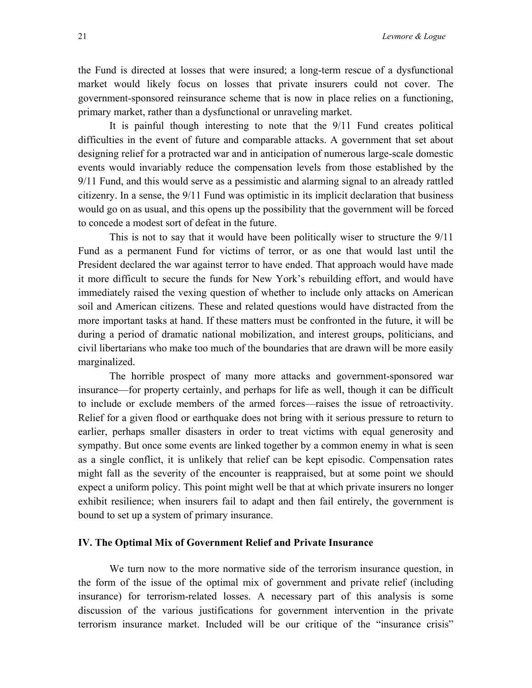the Fund is directed at losses that were insured; a long-term rescue of a dysfunctional market would likely focus on losses that private insurers could not cover. The government-sponsored reinsurance scheme that is now in place relies on a functioning, primary market, rather than a dysfunctional or unraveling market.

It is painful though interesting to note that the 9/11 Fund creates political difficulties in the event of future and comparable attacks. A government that set about designing relief for a protracted war and in anticipation of numerous large-scale domestic events would invariably reduce the compensation levels from those established by the 9/11 Fund, and this would serve as a pessimistic and alarming signal to an already rattled citizenry. In a sense, the 9/11 Fund was optimistic in its implicit declaration that business would go on as usual, and this opens up the possibility that the government will be forced to concede a modest sort of defeat in the future.

This is not to say that it would have been politically wiser to structure the 9/11 Fund as a permanent Fund for victims of terror, or as one that would last until the President declared the war against terror to have ended. That approach would have made it more difficult to secure the funds for New York's rebuilding effort, and would have immediately raised the vexing question of whether to include only attacks on American soil and American citizens. These and related questions would have distracted from the more important tasks at hand. If these matters must be confronted in the future, it will be during a period of dramatic national mobilization, and interest groups, politicians, and civil libertarians who make too much of the boundaries that are drawn will be more easily marginalized.

The horrible prospect of many more attacks and government-sponsored war insurance—for property certainly, and perhaps for life as well, though it can be difficult to include or exclude members of the armed forces—raises the issue of retroactivity. Relief for a given flood or earthquake does not bring with it serious pressure to return to earlier, perhaps smaller disasters in order to treat victims with equal generosity and sympathy. But once some events are linked together by a common enemy in what is seen as a single conflict, it is unlikely that relief can be kept episodic. Compensation rates might fall as the severity of the encounter is reappraised, but at some point we should expect a uniform policy. This point might well be that at which private insurers no longer exhibit resilience; when insurers fail to adapt and then fail entirely, the government is bound to set up a system of primary insurance.

#### **IV. The Optimal Mix of Government Relief and Private Insurance**

We turn now to the more normative side of the terrorism insurance question, in the form of the issue of the optimal mix of government and private relief (including insurance) for terrorism-related losses. A necessary part of this analysis is some discussion of the various justifications for government intervention in the private terrorism insurance market. Included will be our critique of the "insurance crisis"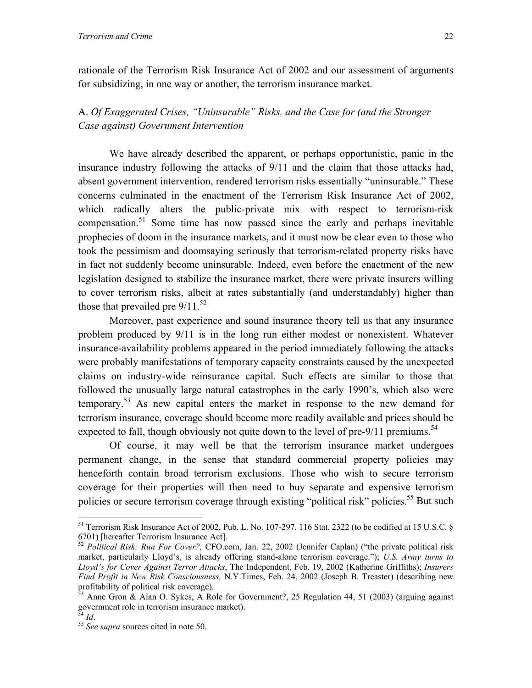rationale of the Terrorism Risk Insurance Act of 2002 and our assessment of arguments for subsidizing, in one way or another, the terrorism insurance market.

A. *Of Exaggerated Crises, "Uninsurable" Risks, and the Case for (and the Stronger Case against) Government Intervention*

We have already described the apparent, or perhaps opportunistic, panic in the insurance industry following the attacks of 9/11 and the claim that those attacks had, absent government intervention, rendered terrorism risks essentially "uninsurable." These concerns culminated in the enactment of the Terrorism Risk Insurance Act of 2002, which radically alters the public-private mix with respect to terrorism-risk compensation.[51](#page-24-0) Some time has now passed since the early and perhaps inevitable prophecies of doom in the insurance markets, and it must now be clear even to those who took the pessimism and doomsaying seriously that terrorism-related property risks have in fact not suddenly become uninsurable. Indeed, even before the enactment of the new legislation designed to stabilize the insurance market, there were private insurers willing to cover terrorism risks, albeit at rates substantially (and understandably) higher than those that prevailed pre  $9/11^{52}$ 

Moreover, past experience and sound insurance theory tell us that any insurance problem produced by 9/11 is in the long run either modest or nonexistent. Whatever insurance-availability problems appeared in the period immediately following the attacks were probably manifestations of temporary capacity constraints caused by the unexpected claims on industry-wide reinsurance capital. Such effects are similar to those that followed the unusually large natural catastrophes in the early 1990's, which also were temporary.<sup>53</sup> As new capital enters the market in response to the new demand for terrorism insurance, coverage should become more readily available and prices should be expected to fall, though obviously not quite down to the level of pre- $9/11$  premiums.<sup>54</sup>

Of course, it may well be that the terrorism insurance market undergoes permanent change, in the sense that standard commercial property policies may henceforth contain broad terrorism exclusions. Those who wish to secure terrorism coverage for their properties will then need to buy separate and expensive terrorism policies or secure terrorism coverage through existing "political risk" policies.<sup>55</sup> But such

<span id="page-24-0"></span><sup>51</sup> Terrorism Risk Insurance Act of 2002, Pub. L. No. 107-297, 116 Stat. 2322 (to be codified at 15 U.S.C. § 6701) [hereafter Terrorism Insurance Act].

<span id="page-24-1"></span><sup>52</sup> *Political Risk: Run For Cover?,* CFO.com, Jan. 22, 2002 (Jennifer Caplan) ("the private political risk market, particularly Lloyd's, is already offering stand-alone terrorism coverage."); *U.S. Army turns to Lloyd's for Cover Against Terror Attacks*, The Independent, Feb. 19, 2002 (Katherine Griffiths); *Insurers Find Profit in New Risk Consciousness,* N.Y.Times, Feb. 24, 2002 (Joseph B. Treaster) (describing new profitability of political risk coverage).

<span id="page-24-2"></span>Anne Gron & Alan O. Sykes, A Role for Government?, 25 Regulation 44, 51 (2003) (arguing against government role in terrorism insurance market).

<span id="page-24-4"></span>

<span id="page-24-3"></span><sup>54</sup> *Id*. 55 *See supra* sources cited in note 50.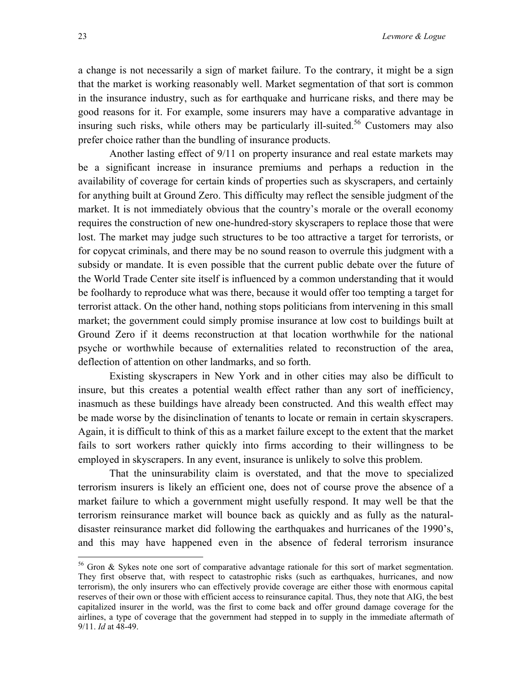a change is not necessarily a sign of market failure. To the contrary, it might be a sign that the market is working reasonably well. Market segmentation of that sort is common in the insurance industry, such as for earthquake and hurricane risks, and there may be good reasons for it. For example, some insurers may have a comparative advantage in insuring such risks, while others may be particularly ill-suited.<sup>56</sup> Customers may also prefer choice rather than the bundling of insurance products.

Another lasting effect of 9/11 on property insurance and real estate markets may be a significant increase in insurance premiums and perhaps a reduction in the availability of coverage for certain kinds of properties such as skyscrapers, and certainly for anything built at Ground Zero. This difficulty may reflect the sensible judgment of the market. It is not immediately obvious that the country's morale or the overall economy requires the construction of new one-hundred-story skyscrapers to replace those that were lost. The market may judge such structures to be too attractive a target for terrorists, or for copycat criminals, and there may be no sound reason to overrule this judgment with a subsidy or mandate. It is even possible that the current public debate over the future of the World Trade Center site itself is influenced by a common understanding that it would be foolhardy to reproduce what was there, because it would offer too tempting a target for terrorist attack. On the other hand, nothing stops politicians from intervening in this small market; the government could simply promise insurance at low cost to buildings built at Ground Zero if it deems reconstruction at that location worthwhile for the national psyche or worthwhile because of externalities related to reconstruction of the area, deflection of attention on other landmarks, and so forth.

Existing skyscrapers in New York and in other cities may also be difficult to insure, but this creates a potential wealth effect rather than any sort of inefficiency, inasmuch as these buildings have already been constructed. And this wealth effect may be made worse by the disinclination of tenants to locate or remain in certain skyscrapers. Again, it is difficult to think of this as a market failure except to the extent that the market fails to sort workers rather quickly into firms according to their willingness to be employed in skyscrapers. In any event, insurance is unlikely to solve this problem.

That the uninsurability claim is overstated, and that the move to specialized terrorism insurers is likely an efficient one, does not of course prove the absence of a market failure to which a government might usefully respond. It may well be that the terrorism reinsurance market will bounce back as quickly and as fully as the naturaldisaster reinsurance market did following the earthquakes and hurricanes of the 1990's, and this may have happened even in the absence of federal terrorism insurance

<span id="page-25-0"></span> $56$  Gron & Sykes note one sort of comparative advantage rationale for this sort of market segmentation. They first observe that, with respect to catastrophic risks (such as earthquakes, hurricanes, and now terrorism), the only insurers who can effectively provide coverage are either those with enormous capital reserves of their own or those with efficient access to reinsurance capital. Thus, they note that AIG, the best capitalized insurer in the world, was the first to come back and offer ground damage coverage for the airlines, a type of coverage that the government had stepped in to supply in the immediate aftermath of 9/11. *Id* at 48-49.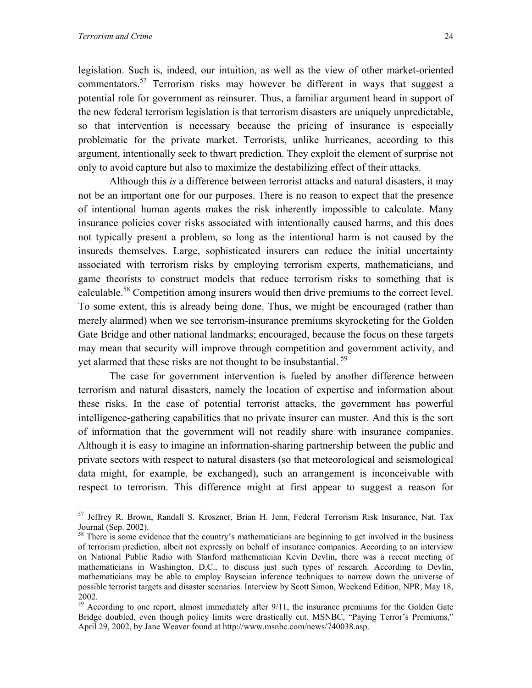<u>.</u>

legislation. Such is, indeed, our intuition, as well as the view of other market-oriented commentators.<sup>57</sup> Terrorism risks may however be different in ways that suggest a potential role for government as reinsurer. Thus, a familiar argument heard in support of the new federal terrorism legislation is that terrorism disasters are uniquely unpredictable, so that intervention is necessary because the pricing of insurance is especially problematic for the private market. Terrorists, unlike hurricanes, according to this argument, intentionally seek to thwart prediction. They exploit the element of surprise not only to avoid capture but also to maximize the destabilizing effect of their attacks.

Although this *is* a difference between terrorist attacks and natural disasters, it may not be an important one for our purposes. There is no reason to expect that the presence of intentional human agents makes the risk inherently impossible to calculate. Many insurance policies cover risks associated with intentionally caused harms, and this does not typically present a problem, so long as the intentional harm is not caused by the insureds themselves. Large, sophisticated insurers can reduce the initial uncertainty associated with terrorism risks by employing terrorism experts, mathematicians, and game theorists to construct models that reduce terrorism risks to something that is calculable.<sup>58</sup> Competition among insurers would then drive premiums to the correct level. To some extent, this is already being done. Thus, we might be encouraged (rather than merely alarmed) when we see terrorism-insurance premiums skyrocketing for the Golden Gate Bridge and other national landmarks; encouraged, because the focus on these targets may mean that security will improve through competition and government activity, and yet alarmed that these risks are not thought to be insubstantial.<sup>59</sup>

 The case for government intervention is fueled by another difference between terrorism and natural disasters, namely the location of expertise and information about these risks. In the case of potential terrorist attacks, the government has powerful intelligence-gathering capabilities that no private insurer can muster. And this is the sort of information that the government will not readily share with insurance companies. Although it is easy to imagine an information-sharing partnership between the public and private sectors with respect to natural disasters (so that meteorological and seismological data might, for example, be exchanged), such an arrangement is inconceivable with respect to terrorism. This difference might at first appear to suggest a reason for

<span id="page-26-0"></span><sup>57</sup> Jeffrey R. Brown, Randall S. Kroszner, Brian H. Jenn, Federal Terrorism Risk Insurance, Nat. Tax Journal (Sep. 2002).

<span id="page-26-1"></span> $58$  There is some evidence that the country's mathematicians are beginning to get involved in the business of terrorism prediction, albeit not expressly on behalf of insurance companies. According to an interview on National Public Radio with Stanford mathematician Kevin Devlin, there was a recent meeting of mathematicians in Washington, D.C., to discuss just such types of research. According to Devlin, mathematicians may be able to employ Bayseian inference techniques to narrow down the universe of possible terrorist targets and disaster scenarios. Interview by Scott Simon, Weekend Edition, NPR, May 18, 2002.

<span id="page-26-2"></span><sup>&</sup>lt;sup>59</sup> According to one report, almost immediately after 9/11, the insurance premiums for the Golden Gate Bridge doubled, even though policy limits were drastically cut. MSNBC, "Paying Terror's Premiums," April 29, 2002, by Jane Weaver found at http://www.msnbc.com/news/740038.asp.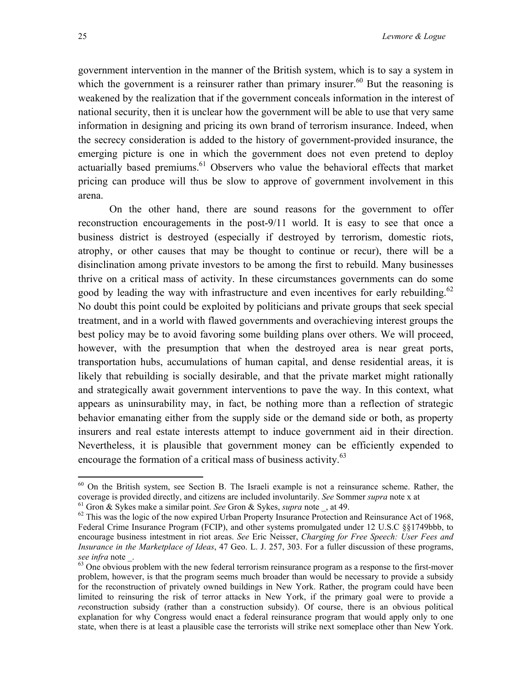<span id="page-27-3"></span>government intervention in the manner of the British system, which is to say a system in which the government is a reinsurer rather than primary insurer.<sup>60</sup> But the reasoning is weakened by the realization that if the government conceals information in the interest of national security, then it is unclear how the government will be able to use that very same information in designing and pricing its own brand of terrorism insurance. Indeed, when the secrecy consideration is added to the history of government-provided insurance, the emerging picture is one in which the government does not even pretend to deploy actuarially based premiums.<sup>61</sup> Observers who value the behavioral effects that market pricing can produce will thus be slow to approve of government involvement in this arena.

On the other hand, there are sound reasons for the government to offer reconstruction encouragements in the post-9/11 world. It is easy to see that once a business district is destroyed (especially if destroyed by terrorism, domestic riots, atrophy, or other causes that may be thought to continue or recur), there will be a disinclination among private investors to be among the first to rebuild. Many businesses thrive on a critical mass of activity. In these circumstances governments can do some good by leading the way with infrastructure and even incentives for early rebuilding.<sup>62</sup> No doubt this point could be exploited by politicians and private groups that seek special treatment, and in a world with flawed governments and overachieving interest groups the best policy may be to avoid favoring some building plans over others. We will proceed, however, with the presumption that when the destroyed area is near great ports, transportation hubs, accumulations of human capital, and dense residential areas, it is likely that rebuilding is socially desirable, and that the private market might rationally and strategically await government interventions to pave the way. In this context, what appears as uninsurability may, in fact, be nothing more than a reflection of strategic behavior emanating either from the supply side or the demand side or both, as property insurers and real estate interests attempt to induce government aid in their direction. Nevertheless, it is plausible that government money can be efficiently expended to encourage the formation of a critical mass of business activity.  $^{63}$ 

<span id="page-27-0"></span> $60$  On the British system, see Section B. The Israeli example is not a reinsurance scheme. Rather, the coverage is provided directly, and citizens are included involuntarily. See Sommer *supra* note x at

<span id="page-27-1"></span><sup>&</sup>lt;sup>61</sup> Gron & Sykes make a similar point. See Gron & Sykes, *supra* note \_, at 49.<br><sup>62</sup> This was the logic of the now expired Urban Property Insurance Protection and Reinsurance Act of 1968,

<span id="page-27-2"></span>Federal Crime Insurance Program (FCIP), and other systems promulgated under 12 U.S.C §§1749bbb, to encourage business intestment in riot areas. *See* Eric Neisser, *Charging for Free Speech: User Fees and Insurance in the Marketplace of Ideas*, 47 Geo. L. J. 257, 303. For a fuller discussion of these programs,

 $\frac{1}{63}$  One obvious problem with the new federal terrorism reinsurance program as a response to the first-mover problem, however, is that the program seems much broader than would be necessary to provide a subsidy for the reconstruction of privately owned buildings in New York. Rather, the program could have been limited to reinsuring the risk of terror attacks in New York, if the primary goal were to provide a *re*construction subsidy (rather than a construction subsidy). Of course, there is an obvious political explanation for why Congress would enact a federal reinsurance program that would apply only to one state, when there is at least a plausible case the terrorists will strike next someplace other than New York.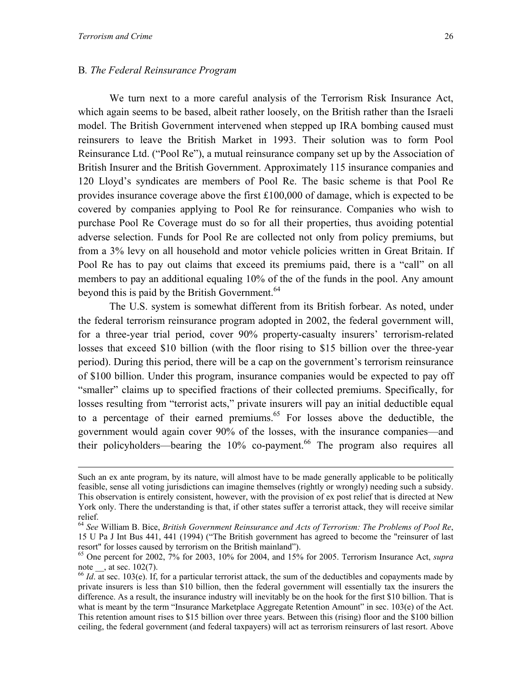#### <span id="page-28-2"></span>B*. The Federal Reinsurance Program*

We turn next to a more careful analysis of the Terrorism Risk Insurance Act, which again seems to be based, albeit rather loosely, on the British rather than the Israeli model. The British Government intervened when stepped up IRA bombing caused must reinsurers to leave the British Market in 1993. Their solution was to form Pool Reinsurance Ltd. ("Pool Re"), a mutual reinsurance company set up by the Association of British Insurer and the British Government. Approximately 115 insurance companies and 120 Lloyd's syndicates are members of Pool Re. The basic scheme is that Pool Re provides insurance coverage above the first £100,000 of damage, which is expected to be covered by companies applying to Pool Re for reinsurance. Companies who wish to purchase Pool Re Coverage must do so for all their properties, thus avoiding potential adverse selection. Funds for Pool Re are collected not only from policy premiums, but from a 3% levy on all household and motor vehicle policies written in Great Britain. If Pool Re has to pay out claims that exceed its premiums paid, there is a "call" on all members to pay an additional equaling 10% of the of the funds in the pool. Any amount beyond this is paid by the British Government.<sup>[64](#page-28-0)</sup>

The U.S. system is somewhat different from its British forbear. As noted, under the federal terrorism reinsurance program adopted in 2002, the federal government will, for a three-year trial period, cover 90% property-casualty insurers' terrorism-related losses that exceed \$10 billion (with the floor rising to \$15 billion over the three-year period). During this period, there will be a cap on the government's terrorism reinsurance of \$100 billion. Under this program, insurance companies would be expected to pay off "smaller" claims up to specified fractions of their collected premiums. Specifically, for losses resulting from "terrorist acts," private insurers will pay an initial deductible equal to a percentage of their earned premiums.<sup> $65$ </sup> For losses above the deductible, the government would again cover 90% of the losses, with the insurance companies—and their policyholders—bearing the  $10\%$  co-payment.<sup>66</sup> The program also requires all

Such an ex ante program, by its nature, will almost have to be made generally applicable to be politically feasible, sense all voting jurisdictions can imagine themselves (rightly or wrongly) needing such a subsidy. This observation is entirely consistent, however, with the provision of ex post relief that is directed at New York only. There the understanding is that, if other states suffer a terrorist attack, they will receive similar relief.

<span id="page-28-0"></span><sup>64</sup> *See* William B. Bice, *British Government Reinsurance and Acts of Terrorism: The Problems of Pool Re*, 15 U Pa J Int Bus 441, 441 (1994) ("The British government has agreed to become the "reinsurer of last resort" for losses caused by terrorism on the British mainland").

<span id="page-28-1"></span><sup>65</sup> One percent for 2002, 7% for 2003, 10% for 2004, and 15% for 2005. Terrorism Insurance Act, *supra* note  $\qquad$ , at sec. 102(7).

<sup>&</sup>lt;sup>66</sup> *Id.* at sec. 103(e). If, for a particular terrorist attack, the sum of the deductibles and copayments made by private insurers is less than \$10 billion, then the federal government will essentially tax the insurers the difference. As a result, the insurance industry will inevitably be on the hook for the first \$10 billion. That is what is meant by the term "Insurance Marketplace Aggregate Retention Amount" in sec. 103(e) of the Act. This retention amount rises to \$15 billion over three years. Between this (rising) floor and the \$100 billion ceiling, the federal government (and federal taxpayers) will act as terrorism reinsurers of last resort. Above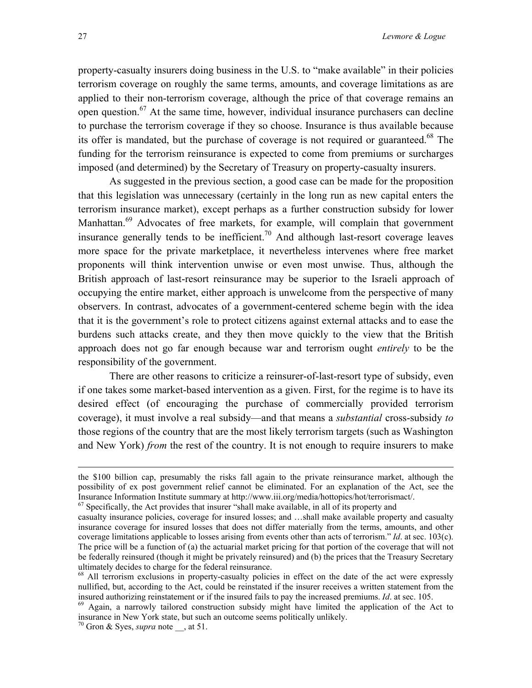property-casualty insurers doing business in the U.S. to "make available" in their policies terrorism coverage on roughly the same terms, amounts, and coverage limitations as are applied to their non-terrorism coverage, although the price of that coverage remains an open question.<sup>67</sup> At the same time, however, individual insurance purchasers can decline to purchase the terrorism coverage if they so choose. Insurance is thus available because its offer is mandated, but the purchase of coverage is not required or guaranteed.<sup>68</sup> The funding for the terrorism reinsurance is expected to come from premiums or surcharges imposed (and determined) by the Secretary of Treasury on property-casualty insurers.

As suggested in the previous section, a good case can be made for the proposition that this legislation was unnecessary (certainly in the long run as new capital enters the terrorism insurance market), except perhaps as a further construction subsidy for lower Manhattan.<sup>69</sup> Advocates of free markets, for example, will complain that government insurance generally tends to be inefficient.<sup>70</sup> And although last-resort coverage leaves more space for the private marketplace, it nevertheless intervenes where free market proponents will think intervention unwise or even most unwise. Thus, although the British approach of last-resort reinsurance may be superior to the Israeli approach of occupying the entire market, either approach is unwelcome from the perspective of many observers. In contrast, advocates of a government-centered scheme begin with the idea that it is the government's role to protect citizens against external attacks and to ease the burdens such attacks create, and they then move quickly to the view that the British approach does not go far enough because war and terrorism ought *entirely* to be the responsibility of the government.

There are other reasons to criticize a reinsurer-of-last-resort type of subsidy, even if one takes some market-based intervention as a given. First, for the regime is to have its desired effect (of encouraging the purchase of commercially provided terrorism coverage), it must involve a real subsidy—and that means a *substantial* cross-subsidy *to* those regions of the country that are the most likely terrorism targets (such as Washington and New York) *from* the rest of the country. It is not enough to require insurers to make

the \$100 billion cap, presumably the risks fall again to the private reinsurance market, although the possibility of ex post government relief cannot be eliminated. For an explanation of the Act, see the Insurance Information Institute summary at http://www.iii.org/media/hottopics/hot/terrorismact/. 67 Specifically, the Act provides that insurer "shall make available, in all of its property and

<span id="page-29-0"></span>

casualty insurance policies, coverage for insured losses; and …shall make available property and casualty insurance coverage for insured losses that does not differ materially from the terms, amounts, and other coverage limitations applicable to losses arising from events other than acts of terrorism." *Id*. at sec. 103(c). The price will be a function of (a) the actuarial market pricing for that portion of the coverage that will not be federally reinsured (though it might be privately reinsured) and (b) the prices that the Treasury Secretary ultimately decides to charge for the federal reinsurance.<br><sup>68</sup> All terrorism exclusions in property-casualty policies in effect on the date of the act were expressly

<span id="page-29-1"></span>nullified, but, according to the Act, could be reinstated if the insurer receives a written statement from the insured authorizing reinstatement or if the insured fails to pay the increased premiums. *Id*. at sec. 105.<br><sup>69</sup> Again, a narrowly tailored construction subsidy might have limited the application of the Act to

<span id="page-29-2"></span>insurance in New York state, but such an outcome seems politically unlikely. 70 Gron & Syes, *supra* note \_\_, at 51.

<span id="page-29-3"></span>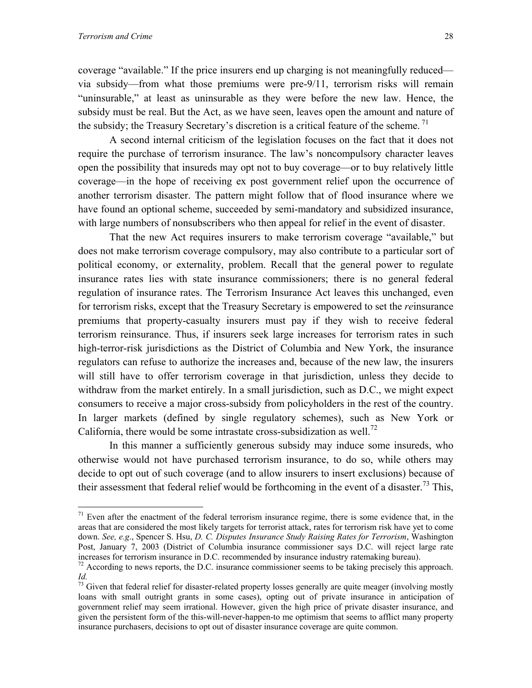<u>.</u>

coverage "available." If the price insurers end up charging is not meaningfully reduced via subsidy—from what those premiums were pre-9/11, terrorism risks will remain "uninsurable," at least as uninsurable as they were before the new law. Hence, the subsidy must be real. But the Act, as we have seen, leaves open the amount and nature of the subsidy; the Treasury Secretary's discretion is a critical feature of the scheme.<sup>71</sup>

A second internal criticism of the legislation focuses on the fact that it does not require the purchase of terrorism insurance. The law's noncompulsory character leaves open the possibility that insureds may opt not to buy coverage—or to buy relatively little coverage—in the hope of receiving ex post government relief upon the occurrence of another terrorism disaster. The pattern might follow that of flood insurance where we have found an optional scheme, succeeded by semi-mandatory and subsidized insurance, with large numbers of nonsubscribers who then appeal for relief in the event of disaster.

That the new Act requires insurers to make terrorism coverage "available," but does not make terrorism coverage compulsory, may also contribute to a particular sort of political economy, or externality, problem. Recall that the general power to regulate insurance rates lies with state insurance commissioners; there is no general federal regulation of insurance rates. The Terrorism Insurance Act leaves this unchanged, even for terrorism risks, except that the Treasury Secretary is empowered to set the *re*insurance premiums that property-casualty insurers must pay if they wish to receive federal terrorism reinsurance. Thus, if insurers seek large increases for terrorism rates in such high-terror-risk jurisdictions as the District of Columbia and New York, the insurance regulators can refuse to authorize the increases and, because of the new law, the insurers will still have to offer terrorism coverage in that jurisdiction, unless they decide to withdraw from the market entirely. In a small jurisdiction, such as D.C., we might expect consumers to receive a major cross-subsidy from policyholders in the rest of the country. In larger markets (defined by single regulatory schemes), such as New York or California, there would be some intrastate cross-subsidization as well.[72](#page-30-1)

In this manner a sufficiently generous subsidy may induce some insureds, who otherwise would not have purchased terrorism insurance, to do so, while others may decide to opt out of such coverage (and to allow insurers to insert exclusions) because of their assessment that federal relief would be forthcoming in the event of a disaster.<sup>73</sup> This,

<span id="page-30-0"></span> $71$  Even after the enactment of the federal terrorism insurance regime, there is some evidence that, in the areas that are considered the most likely targets for terrorist attack, rates for terrorism risk have yet to come down. *See, e.g*., Spencer S. Hsu, *D. C. Disputes Insurance Study Raising Rates for Terrorism*, Washington Post, January 7, 2003 (District of Columbia insurance commissioner says D.C. will reject large rate increases for terrorism insurance in D.C. recommended by insurance industry ratemaking bureau).

<span id="page-30-1"></span><sup>&</sup>lt;sup>72</sup> According to news reports, the D.C. insurance commissioner seems to be taking precisely this approach. *Id.* 73 Given that federal relief for disaster-related property losses generally are quite meager (involving mostly

<span id="page-30-2"></span>loans with small outright grants in some cases), opting out of private insurance in anticipation of government relief may seem irrational. However, given the high price of private disaster insurance, and given the persistent form of the this-will-never-happen-to me optimism that seems to afflict many property insurance purchasers, decisions to opt out of disaster insurance coverage are quite common.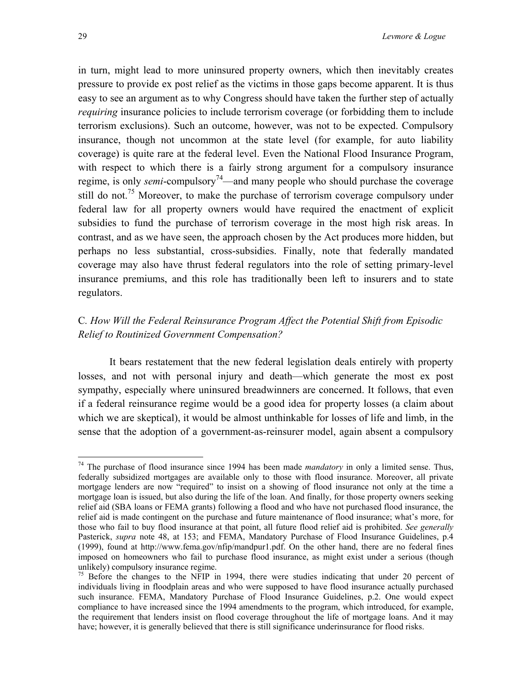in turn, might lead to more uninsured property owners, which then inevitably creates pressure to provide ex post relief as the victims in those gaps become apparent. It is thus easy to see an argument as to why Congress should have taken the further step of actually *requiring* insurance policies to include terrorism coverage (or forbidding them to include terrorism exclusions). Such an outcome, however, was not to be expected. Compulsory insurance, though not uncommon at the state level (for example, for auto liability coverage) is quite rare at the federal level. Even the National Flood Insurance Program, with respect to which there is a fairly strong argument for a compulsory insurance regime, is only *semi*-compulsory<sup>74</sup>—and many people who should purchase the coverage still do not.<sup>75</sup> Moreover, to make the purchase of terrorism coverage compulsory under federal law for all property owners would have required the enactment of explicit subsidies to fund the purchase of terrorism coverage in the most high risk areas. In contrast, and as we have seen, the approach chosen by the Act produces more hidden, but perhaps no less substantial, cross-subsidies. Finally, note that federally mandated coverage may also have thrust federal regulators into the role of setting primary-level insurance premiums, and this role has traditionally been left to insurers and to state regulators.

## C*. How Will the Federal Reinsurance Program Affect the Potential Shift from Episodic Relief to Routinized Government Compensation?*

It bears restatement that the new federal legislation deals entirely with property losses, and not with personal injury and death—which generate the most ex post sympathy, especially where uninsured breadwinners are concerned. It follows, that even if a federal reinsurance regime would be a good idea for property losses (a claim about which we are skeptical), it would be almost unthinkable for losses of life and limb, in the sense that the adoption of a government-as-reinsurer model, again absent a compulsory

<span id="page-31-0"></span><sup>74</sup> The purchase of flood insurance since 1994 has been made *mandatory* in only a limited sense. Thus, federally subsidized mortgages are available only to those with flood insurance. Moreover, all private mortgage lenders are now "required" to insist on a showing of flood insurance not only at the time a mortgage loan is issued, but also during the life of the loan. And finally, for those property owners seeking relief aid (SBA loans or FEMA grants) following a flood and who have not purchased flood insurance, the relief aid is made contingent on the purchase and future maintenance of flood insurance; what's more, for those who fail to buy flood insurance at that point, all future flood relief aid is prohibited. *See generally* Pasterick, *supra* note 48, at 153; and FEMA, Mandatory Purchase of Flood Insurance Guidelines, p.4 (1999), found at http://www.fema.gov/nfip/mandpur1.pdf. On the other hand, there are no federal fines imposed on homeowners who fail to purchase flood insurance, as might exist under a serious (though unlikely) compulsory insurance regime.<br><sup>75</sup> Before the changes to the NFIP in 1994, there were studies indicating that under 20 percent of

<span id="page-31-1"></span>individuals living in floodplain areas and who were supposed to have flood insurance actually purchased such insurance. FEMA, Mandatory Purchase of Flood Insurance Guidelines, p.2. One would expect compliance to have increased since the 1994 amendments to the program, which introduced, for example, the requirement that lenders insist on flood coverage throughout the life of mortgage loans. And it may have; however, it is generally believed that there is still significance underinsurance for flood risks.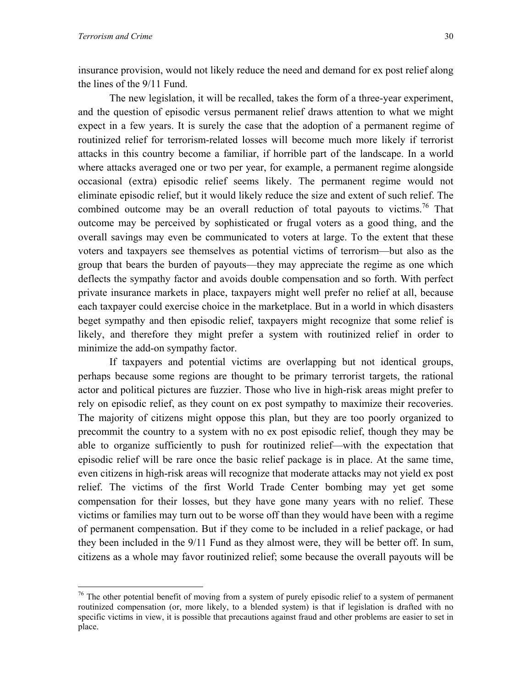$\overline{a}$ 

insurance provision, would not likely reduce the need and demand for ex post relief along the lines of the 9/11 Fund.

 The new legislation, it will be recalled, takes the form of a three-year experiment, and the question of episodic versus permanent relief draws attention to what we might expect in a few years. It is surely the case that the adoption of a permanent regime of routinized relief for terrorism-related losses will become much more likely if terrorist attacks in this country become a familiar, if horrible part of the landscape. In a world where attacks averaged one or two per year, for example, a permanent regime alongside occasional (extra) episodic relief seems likely. The permanent regime would not eliminate episodic relief, but it would likely reduce the size and extent of such relief. The combined outcome may be an overall reduction of total payouts to victims.<sup>76</sup> That outcome may be perceived by sophisticated or frugal voters as a good thing, and the overall savings may even be communicated to voters at large. To the extent that these voters and taxpayers see themselves as potential victims of terrorism—but also as the group that bears the burden of payouts—they may appreciate the regime as one which deflects the sympathy factor and avoids double compensation and so forth. With perfect private insurance markets in place, taxpayers might well prefer no relief at all, because each taxpayer could exercise choice in the marketplace. But in a world in which disasters beget sympathy and then episodic relief, taxpayers might recognize that some relief is likely, and therefore they might prefer a system with routinized relief in order to minimize the add-on sympathy factor.

 If taxpayers and potential victims are overlapping but not identical groups, perhaps because some regions are thought to be primary terrorist targets, the rational actor and political pictures are fuzzier. Those who live in high-risk areas might prefer to rely on episodic relief, as they count on ex post sympathy to maximize their recoveries. The majority of citizens might oppose this plan, but they are too poorly organized to precommit the country to a system with no ex post episodic relief, though they may be able to organize sufficiently to push for routinized relief—with the expectation that episodic relief will be rare once the basic relief package is in place. At the same time, even citizens in high-risk areas will recognize that moderate attacks may not yield ex post relief. The victims of the first World Trade Center bombing may yet get some compensation for their losses, but they have gone many years with no relief. These victims or families may turn out to be worse off than they would have been with a regime of permanent compensation. But if they come to be included in a relief package, or had they been included in the 9/11 Fund as they almost were, they will be better off. In sum, citizens as a whole may favor routinized relief; some because the overall payouts will be

<span id="page-32-0"></span> $76$  The other potential benefit of moving from a system of purely episodic relief to a system of permanent routinized compensation (or, more likely, to a blended system) is that if legislation is drafted with no specific victims in view, it is possible that precautions against fraud and other problems are easier to set in place.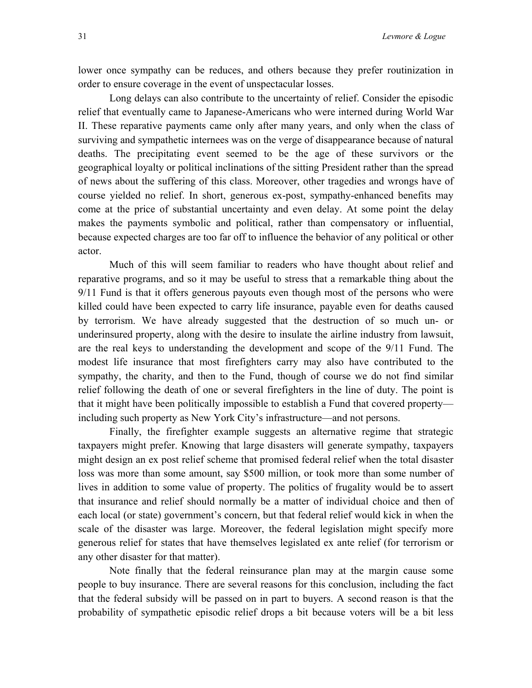lower once sympathy can be reduces, and others because they prefer routinization in order to ensure coverage in the event of unspectacular losses.

Long delays can also contribute to the uncertainty of relief. Consider the episodic relief that eventually came to Japanese-Americans who were interned during World War II. These reparative payments came only after many years, and only when the class of surviving and sympathetic internees was on the verge of disappearance because of natural deaths. The precipitating event seemed to be the age of these survivors or the geographical loyalty or political inclinations of the sitting President rather than the spread of news about the suffering of this class. Moreover, other tragedies and wrongs have of course yielded no relief. In short, generous ex-post, sympathy-enhanced benefits may come at the price of substantial uncertainty and even delay. At some point the delay makes the payments symbolic and political, rather than compensatory or influential, because expected charges are too far off to influence the behavior of any political or other actor.

Much of this will seem familiar to readers who have thought about relief and reparative programs, and so it may be useful to stress that a remarkable thing about the 9/11 Fund is that it offers generous payouts even though most of the persons who were killed could have been expected to carry life insurance, payable even for deaths caused by terrorism. We have already suggested that the destruction of so much un- or underinsured property, along with the desire to insulate the airline industry from lawsuit, are the real keys to understanding the development and scope of the 9/11 Fund. The modest life insurance that most firefighters carry may also have contributed to the sympathy, the charity, and then to the Fund, though of course we do not find similar relief following the death of one or several firefighters in the line of duty. The point is that it might have been politically impossible to establish a Fund that covered property including such property as New York City's infrastructure—and not persons.

Finally, the firefighter example suggests an alternative regime that strategic taxpayers might prefer. Knowing that large disasters will generate sympathy, taxpayers might design an ex post relief scheme that promised federal relief when the total disaster loss was more than some amount, say \$500 million, or took more than some number of lives in addition to some value of property. The politics of frugality would be to assert that insurance and relief should normally be a matter of individual choice and then of each local (or state) government's concern, but that federal relief would kick in when the scale of the disaster was large. Moreover, the federal legislation might specify more generous relief for states that have themselves legislated ex ante relief (for terrorism or any other disaster for that matter).

Note finally that the federal reinsurance plan may at the margin cause some people to buy insurance. There are several reasons for this conclusion, including the fact that the federal subsidy will be passed on in part to buyers. A second reason is that the probability of sympathetic episodic relief drops a bit because voters will be a bit less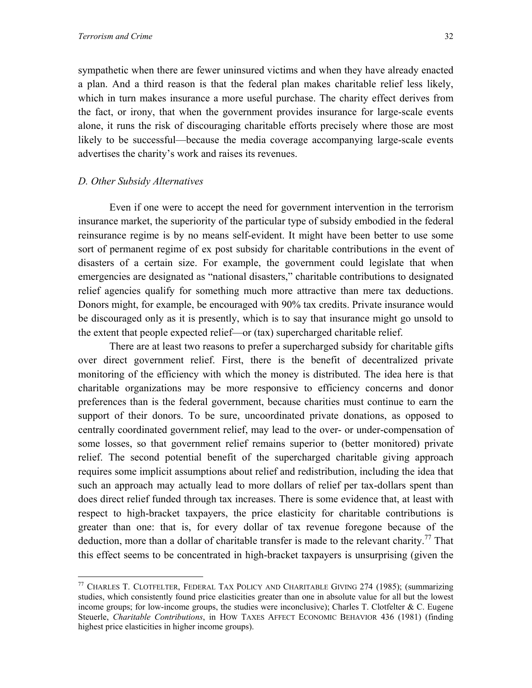sympathetic when there are fewer uninsured victims and when they have already enacted a plan. And a third reason is that the federal plan makes charitable relief less likely, which in turn makes insurance a more useful purchase. The charity effect derives from the fact, or irony, that when the government provides insurance for large-scale events alone, it runs the risk of discouraging charitable efforts precisely where those are most likely to be successful—because the media coverage accompanying large-scale events advertises the charity's work and raises its revenues.

#### *D. Other Subsidy Alternatives*

1

Even if one were to accept the need for government intervention in the terrorism insurance market, the superiority of the particular type of subsidy embodied in the federal reinsurance regime is by no means self-evident. It might have been better to use some sort of permanent regime of ex post subsidy for charitable contributions in the event of disasters of a certain size. For example, the government could legislate that when emergencies are designated as "national disasters," charitable contributions to designated relief agencies qualify for something much more attractive than mere tax deductions. Donors might, for example, be encouraged with 90% tax credits. Private insurance would be discouraged only as it is presently, which is to say that insurance might go unsold to the extent that people expected relief—or (tax) supercharged charitable relief.

There are at least two reasons to prefer a supercharged subsidy for charitable gifts over direct government relief. First, there is the benefit of decentralized private monitoring of the efficiency with which the money is distributed. The idea here is that charitable organizations may be more responsive to efficiency concerns and donor preferences than is the federal government, because charities must continue to earn the support of their donors. To be sure, uncoordinated private donations, as opposed to centrally coordinated government relief, may lead to the over- or under-compensation of some losses, so that government relief remains superior to (better monitored) private relief. The second potential benefit of the supercharged charitable giving approach requires some implicit assumptions about relief and redistribution, including the idea that such an approach may actually lead to more dollars of relief per tax-dollars spent than does direct relief funded through tax increases. There is some evidence that, at least with respect to high-bracket taxpayers, the price elasticity for charitable contributions is greater than one: that is, for every dollar of tax revenue foregone because of the deduction, more than a dollar of charitable transfer is made to the relevant charity.<sup>77</sup> That this effect seems to be concentrated in high-bracket taxpayers is unsurprising (given the

<span id="page-34-0"></span><sup>77</sup> CHARLES T. CLOTFELTER, FEDERAL TAX POLICY AND CHARITABLE GIVING 274 (1985); (summarizing studies, which consistently found price elasticities greater than one in absolute value for all but the lowest income groups; for low-income groups, the studies were inconclusive); Charles T. Clotfelter & C. Eugene Steuerle, *Charitable Contributions*, in HOW TAXES AFFECT ECONOMIC BEHAVIOR 436 (1981) (finding highest price elasticities in higher income groups).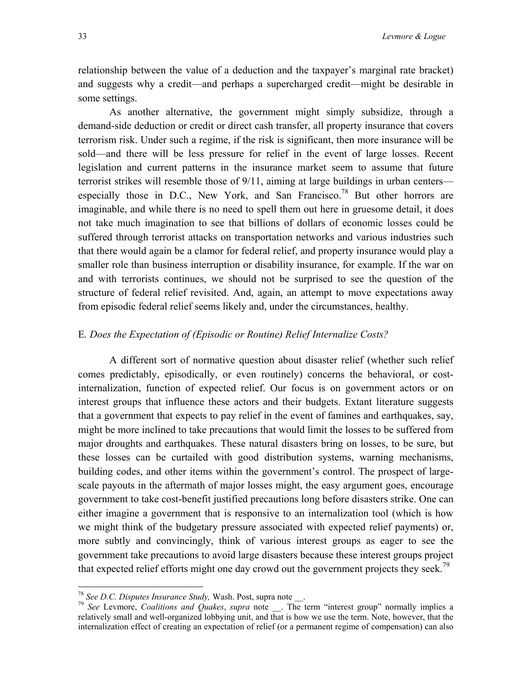<span id="page-35-1"></span>relationship between the value of a deduction and the taxpayer's marginal rate bracket) and suggests why a credit—and perhaps a supercharged credit—might be desirable in some settings.

As another alternative, the government might simply subsidize, through a demand-side deduction or credit or direct cash transfer, all property insurance that covers terrorism risk. Under such a regime, if the risk is significant, then more insurance will be sold—and there will be less pressure for relief in the event of large losses. Recent legislation and current patterns in the insurance market seem to assume that future terrorist strikes will resemble those of 9/11, aiming at large buildings in urban centers especially those in D.C., New York, and San Francisco.<sup>78</sup> But other horrors are imaginable, and while there is no need to spell them out here in gruesome detail, it does not take much imagination to see that billions of dollars of economic losses could be suffered through terrorist attacks on transportation networks and various industries such that there would again be a clamor for federal relief, and property insurance would play a smaller role than business interruption or disability insurance, for example. If the war on and with terrorists continues, we should not be surprised to see the question of the structure of federal relief revisited. And, again, an attempt to move expectations away from episodic federal relief seems likely and, under the circumstances, healthy.

#### E*. Does the Expectation of (Episodic or Routine) Relief Internalize Costs?*

A different sort of normative question about disaster relief (whether such relief comes predictably, episodically, or even routinely) concerns the behavioral, or costinternalization, function of expected relief. Our focus is on government actors or on interest groups that influence these actors and their budgets. Extant literature suggests that a government that expects to pay relief in the event of famines and earthquakes, say, might be more inclined to take precautions that would limit the losses to be suffered from major droughts and earthquakes. These natural disasters bring on losses, to be sure, but these losses can be curtailed with good distribution systems, warning mechanisms, building codes, and other items within the government's control. The prospect of largescale payouts in the aftermath of major losses might, the easy argument goes, encourage government to take cost-benefit justified precautions long before disasters strike. One can either imagine a government that is responsive to an internalization tool (which is how we might think of the budgetary pressure associated with expected relief payments) or, more subtly and convincingly, think of various interest groups as eager to see the government take precautions to avoid large disasters because these interest groups project that expected relief efforts might one day crowd out the government projects they seek.<sup>[79](#page-35-1)</sup>

<span id="page-35-0"></span> $78$  See D.C. Disputes Insurance Study, Wash. Post, supra note.

<sup>&</sup>lt;sup>79</sup> See Levmore, *Coalitions and Quakes*, *supra* note \_\_. The term "interest group" normally implies a relatively small and well-organized lobbying unit, and that is how we use the term. Note, however, that the internalization effect of creating an expectation of relief (or a permanent regime of compensation) can also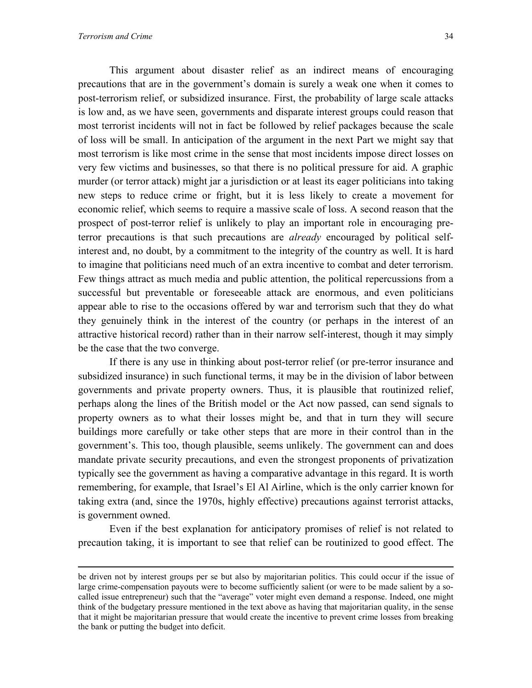This argument about disaster relief as an indirect means of encouraging precautions that are in the government's domain is surely a weak one when it comes to post-terrorism relief, or subsidized insurance. First, the probability of large scale attacks is low and, as we have seen, governments and disparate interest groups could reason that most terrorist incidents will not in fact be followed by relief packages because the scale of loss will be small. In anticipation of the argument in the next Part we might say that most terrorism is like most crime in the sense that most incidents impose direct losses on very few victims and businesses, so that there is no political pressure for aid. A graphic murder (or terror attack) might jar a jurisdiction or at least its eager politicians into taking new steps to reduce crime or fright, but it is less likely to create a movement for economic relief, which seems to require a massive scale of loss. A second reason that the prospect of post-terror relief is unlikely to play an important role in encouraging preterror precautions is that such precautions are *already* encouraged by political selfinterest and, no doubt, by a commitment to the integrity of the country as well. It is hard to imagine that politicians need much of an extra incentive to combat and deter terrorism. Few things attract as much media and public attention, the political repercussions from a successful but preventable or foreseeable attack are enormous, and even politicians appear able to rise to the occasions offered by war and terrorism such that they do what they genuinely think in the interest of the country (or perhaps in the interest of an attractive historical record) rather than in their narrow self-interest, though it may simply be the case that the two converge.

 If there is any use in thinking about post-terror relief (or pre-terror insurance and subsidized insurance) in such functional terms, it may be in the division of labor between governments and private property owners. Thus, it is plausible that routinized relief, perhaps along the lines of the British model or the Act now passed, can send signals to property owners as to what their losses might be, and that in turn they will secure buildings more carefully or take other steps that are more in their control than in the government's. This too, though plausible, seems unlikely. The government can and does mandate private security precautions, and even the strongest proponents of privatization typically see the government as having a comparative advantage in this regard. It is worth remembering, for example, that Israel's El Al Airline, which is the only carrier known for taking extra (and, since the 1970s, highly effective) precautions against terrorist attacks, is government owned.

Even if the best explanation for anticipatory promises of relief is not related to precaution taking, it is important to see that relief can be routinized to good effect. The

be driven not by interest groups per se but also by majoritarian politics. This could occur if the issue of large crime-compensation payouts were to become sufficiently salient (or were to be made salient by a socalled issue entrepreneur) such that the "average" voter might even demand a response. Indeed, one might think of the budgetary pressure mentioned in the text above as having that majoritarian quality, in the sense that it might be majoritarian pressure that would create the incentive to prevent crime losses from breaking the bank or putting the budget into deficit.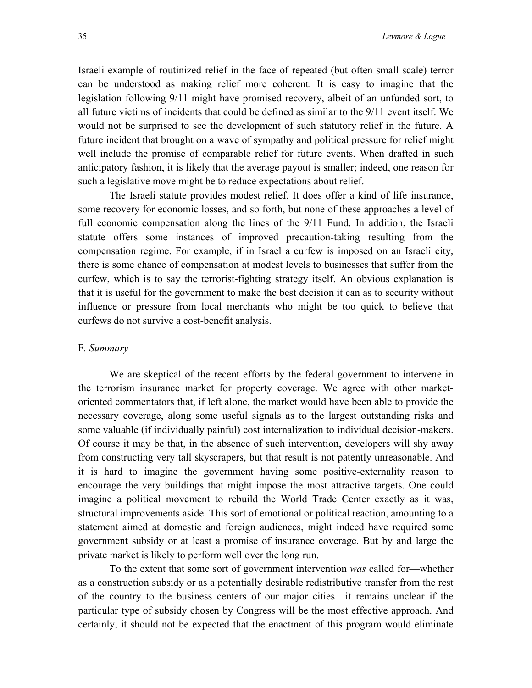Israeli example of routinized relief in the face of repeated (but often small scale) terror can be understood as making relief more coherent. It is easy to imagine that the legislation following 9/11 might have promised recovery, albeit of an unfunded sort, to all future victims of incidents that could be defined as similar to the 9/11 event itself. We would not be surprised to see the development of such statutory relief in the future. A future incident that brought on a wave of sympathy and political pressure for relief might well include the promise of comparable relief for future events. When drafted in such anticipatory fashion, it is likely that the average payout is smaller; indeed, one reason for such a legislative move might be to reduce expectations about relief.

The Israeli statute provides modest relief. It does offer a kind of life insurance, some recovery for economic losses, and so forth, but none of these approaches a level of full economic compensation along the lines of the 9/11 Fund. In addition, the Israeli statute offers some instances of improved precaution-taking resulting from the compensation regime. For example, if in Israel a curfew is imposed on an Israeli city, there is some chance of compensation at modest levels to businesses that suffer from the curfew, which is to say the terrorist-fighting strategy itself. An obvious explanation is that it is useful for the government to make the best decision it can as to security without influence or pressure from local merchants who might be too quick to believe that curfews do not survive a cost-benefit analysis.

#### F*. Summary*

We are skeptical of the recent efforts by the federal government to intervene in the terrorism insurance market for property coverage. We agree with other marketoriented commentators that, if left alone, the market would have been able to provide the necessary coverage, along some useful signals as to the largest outstanding risks and some valuable (if individually painful) cost internalization to individual decision-makers. Of course it may be that, in the absence of such intervention, developers will shy away from constructing very tall skyscrapers, but that result is not patently unreasonable. And it is hard to imagine the government having some positive-externality reason to encourage the very buildings that might impose the most attractive targets. One could imagine a political movement to rebuild the World Trade Center exactly as it was, structural improvements aside. This sort of emotional or political reaction, amounting to a statement aimed at domestic and foreign audiences, might indeed have required some government subsidy or at least a promise of insurance coverage. But by and large the private market is likely to perform well over the long run.

To the extent that some sort of government intervention *was* called for—whether as a construction subsidy or as a potentially desirable redistributive transfer from the rest of the country to the business centers of our major cities—it remains unclear if the particular type of subsidy chosen by Congress will be the most effective approach. And certainly, it should not be expected that the enactment of this program would eliminate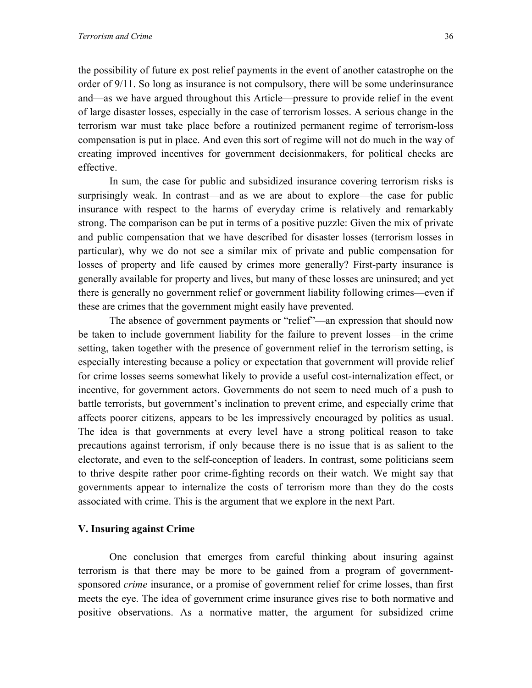the possibility of future ex post relief payments in the event of another catastrophe on the order of 9/11. So long as insurance is not compulsory, there will be some underinsurance and—as we have argued throughout this Article—pressure to provide relief in the event of large disaster losses, especially in the case of terrorism losses. A serious change in the terrorism war must take place before a routinized permanent regime of terrorism-loss compensation is put in place. And even this sort of regime will not do much in the way of creating improved incentives for government decisionmakers, for political checks are effective.

In sum, the case for public and subsidized insurance covering terrorism risks is surprisingly weak. In contrast—and as we are about to explore—the case for public insurance with respect to the harms of everyday crime is relatively and remarkably strong. The comparison can be put in terms of a positive puzzle: Given the mix of private and public compensation that we have described for disaster losses (terrorism losses in particular), why we do not see a similar mix of private and public compensation for losses of property and life caused by crimes more generally? First-party insurance is generally available for property and lives, but many of these losses are uninsured; and yet there is generally no government relief or government liability following crimes—even if these are crimes that the government might easily have prevented.

The absence of government payments or "relief"—an expression that should now be taken to include government liability for the failure to prevent losses—in the crime setting, taken together with the presence of government relief in the terrorism setting, is especially interesting because a policy or expectation that government will provide relief for crime losses seems somewhat likely to provide a useful cost-internalization effect, or incentive, for government actors. Governments do not seem to need much of a push to battle terrorists, but government's inclination to prevent crime, and especially crime that affects poorer citizens, appears to be les impressively encouraged by politics as usual. The idea is that governments at every level have a strong political reason to take precautions against terrorism, if only because there is no issue that is as salient to the electorate, and even to the self-conception of leaders. In contrast, some politicians seem to thrive despite rather poor crime-fighting records on their watch. We might say that governments appear to internalize the costs of terrorism more than they do the costs associated with crime. This is the argument that we explore in the next Part.

#### **V. Insuring against Crime**

One conclusion that emerges from careful thinking about insuring against terrorism is that there may be more to be gained from a program of governmentsponsored *crime* insurance, or a promise of government relief for crime losses, than first meets the eye. The idea of government crime insurance gives rise to both normative and positive observations. As a normative matter, the argument for subsidized crime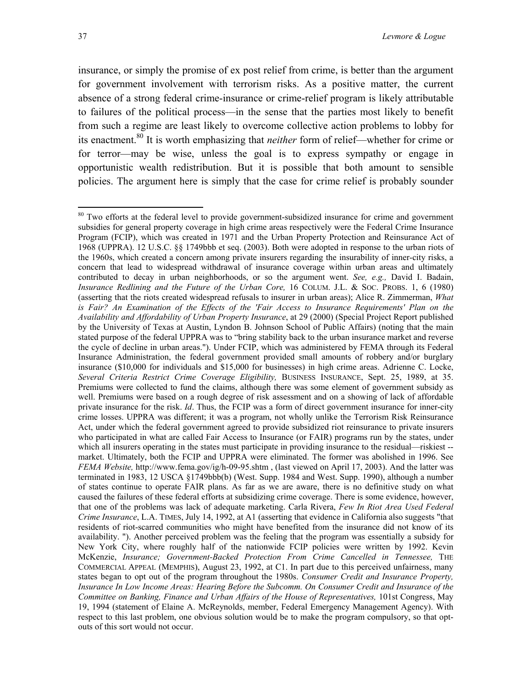insurance, or simply the promise of ex post relief from crime, is better than the argument for government involvement with terrorism risks. As a positive matter, the current absence of a strong federal crime-insurance or crime-relief program is likely attributable to failures of the political process—in the sense that the parties most likely to benefit from such a regime are least likely to overcome collective action problems to lobby for its enactment[.80](#page-39-0) It is worth emphasizing that *neither* form of relief—whether for crime or for terror—may be wise, unless the goal is to express sympathy or engage in opportunistic wealth redistribution. But it is possible that both amount to sensible policies. The argument here is simply that the case for crime relief is probably sounder

<u>.</u>

<span id="page-39-0"></span><sup>&</sup>lt;sup>80</sup> Two efforts at the federal level to provide government-subsidized insurance for crime and government subsidies for general property coverage in high crime areas respectively were the Federal Crime Insurance Program (FCIP), which was created in 1971 and the Urban Property Protection and Reinsurance Act of 1968 (UPPRA). 12 U.S.C. §§ 1749bbb et seq. (2003). Both were adopted in response to the urban riots of the 1960s, which created a concern among private insurers regarding the insurability of inner-city risks, a concern that lead to widespread withdrawal of insurance coverage within urban areas and ultimately contributed to decay in urban neighborhoods, or so the argument went. *See, e.g.,* David I. Badain, *Insurance Redlining and the Future of the Urban Core,* 16 COLUM. J.L. & SOC. PROBS. 1, 6 (1980) (asserting that the riots created widespread refusals to insurer in urban areas); Alice R. Zimmerman, *What is Fair? An Examination of the Effects of the 'Fair Access to Insurance Requirements' Plan on the Availability and Affordability of Urban Property Insurance*, at 29 (2000) (Special Project Report published by the University of Texas at Austin, Lyndon B. Johnson School of Public Affairs) (noting that the main stated purpose of the federal UPPRA was to "bring stability back to the urban insurance market and reverse the cycle of decline in urban areas."). Under FCIP, which was administered by FEMA through its Federal Insurance Administration, the federal government provided small amounts of robbery and/or burglary insurance (\$10,000 for individuals and \$15,000 for businesses) in high crime areas. Adrienne C. Locke, *Several Criteria Restrict Crime Coverage Eligibility,* BUSINESS INSURANCE, Sept. 25, 1989, at 35. Premiums were collected to fund the claims, although there was some element of government subsidy as well. Premiums were based on a rough degree of risk assessment and on a showing of lack of affordable private insurance for the risk. *Id*. Thus, the FCIP was a form of direct government insurance for inner-city crime losses. UPPRA was different; it was a program, not wholly unlike the Terrorism Risk Reinsurance Act, under which the federal government agreed to provide subsidized riot reinsurance to private insurers who participated in what are called Fair Access to Insurance (or FAIR) programs run by the states, under which all insurers operating in the states must participate in providing insurance to the residual—riskiest -market. Ultimately, both the FCIP and UPPRA were eliminated. The former was abolished in 1996. See *FEMA Website,* http://www.fema.gov/ig/h-09-95.shtm , (last viewed on April 17, 2003). And the latter was terminated in 1983, 12 USCA §1749bbb(b) (West. Supp. 1984 and West. Supp. 1990), although a number of states continue to operate FAIR plans. As far as we are aware, there is no definitive study on what caused the failures of these federal efforts at subsidizing crime coverage. There is some evidence, however, that one of the problems was lack of adequate marketing. Carla Rivera, *Few In Riot Area Used Federal Crime Insurance*, L.A. TIMES, July 14, 1992, at A1 (asserting that evidence in California also suggests "that residents of riot-scarred communities who might have benefited from the insurance did not know of its availability. "). Another perceived problem was the feeling that the program was essentially a subsidy for New York City, where roughly half of the nationwide FCIP policies were written by 1992. Kevin McKenzie, *Insurance; Government-Backed Protection From Crime Cancelled in Tennessee,* THE COMMERCIAL APPEAL (MEMPHIS), August 23, 1992, at C1. In part due to this perceived unfairness, many states began to opt out of the program throughout the 1980s. *Consumer Credit and Insurance Property, Insurance In Low Income Areas: Hearing Before the Subcomm. On Consumer Credit and Insurance of the Committee on Banking, Finance and Urban Affairs of the House of Representatives,* 101st Congress, May 19, 1994 (statement of Elaine A. McReynolds, member, Federal Emergency Management Agency). With respect to this last problem, one obvious solution would be to make the program compulsory, so that optouts of this sort would not occur.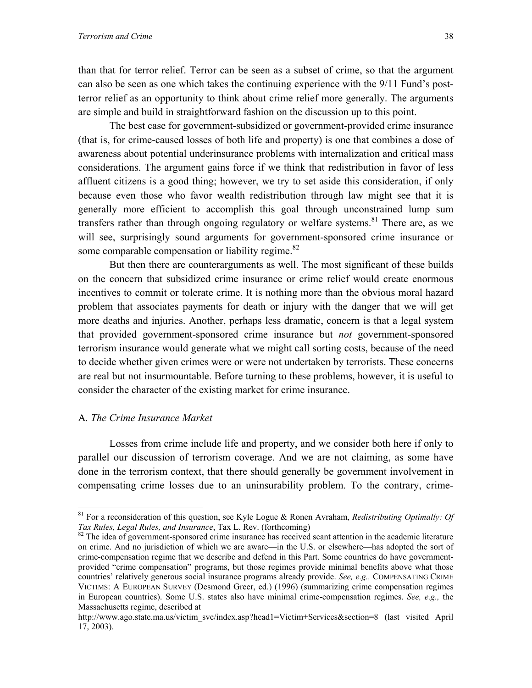than that for terror relief. Terror can be seen as a subset of crime, so that the argument can also be seen as one which takes the continuing experience with the 9/11 Fund's postterror relief as an opportunity to think about crime relief more generally. The arguments are simple and build in straightforward fashion on the discussion up to this point.

 The best case for government-subsidized or government-provided crime insurance (that is, for crime-caused losses of both life and property) is one that combines a dose of awareness about potential underinsurance problems with internalization and critical mass considerations. The argument gains force if we think that redistribution in favor of less affluent citizens is a good thing; however, we try to set aside this consideration, if only because even those who favor wealth redistribution through law might see that it is generally more efficient to accomplish this goal through unconstrained lump sum transfers rather than through ongoing regulatory or welfare systems.<sup>81</sup> There are, as we will see, surprisingly sound arguments for government-sponsored crime insurance or some comparable compensation or liability regime. $82$ 

But then there are counterarguments as well. The most significant of these builds on the concern that subsidized crime insurance or crime relief would create enormous incentives to commit or tolerate crime. It is nothing more than the obvious moral hazard problem that associates payments for death or injury with the danger that we will get more deaths and injuries. Another, perhaps less dramatic, concern is that a legal system that provided government-sponsored crime insurance but *not* government-sponsored terrorism insurance would generate what we might call sorting costs, because of the need to decide whether given crimes were or were not undertaken by terrorists. These concerns are real but not insurmountable. Before turning to these problems, however, it is useful to consider the character of the existing market for crime insurance.

#### A*. The Crime Insurance Market*

 $\overline{a}$ 

Losses from crime include life and property, and we consider both here if only to parallel our discussion of terrorism coverage. And we are not claiming, as some have done in the terrorism context, that there should generally be government involvement in compensating crime losses due to an uninsurability problem. To the contrary, crime-

<span id="page-40-0"></span><sup>81</sup> For a reconsideration of this question, see Kyle Logue & Ronen Avraham, *Redistributing Optimally: Of Tax Rules, Legal Rules, and Insurance*, Tax L. Rev. (forthcoming)<br><sup>82</sup> The idea of government-sponsored crime insurance has received scant attention in the academic literature

<span id="page-40-1"></span>on crime. And no jurisdiction of which we are aware—in the U.S. or elsewhere—has adopted the sort of crime-compensation regime that we describe and defend in this Part. Some countries do have governmentprovided "crime compensation" programs, but those regimes provide minimal benefits above what those countries' relatively generous social insurance programs already provide. *See, e.g.,* COMPENSATING CRIME VICTIMS: A EUROPEAN SURVEY (Desmond Greer, ed.) (1996) (summarizing crime compensation regimes in European countries). Some U.S. states also have minimal crime-compensation regimes. *See, e.g.,* the Massachusetts regime, described at

http://www.ago.state.ma.us/victim\_svc/index.asp?head1=Victim+Services&section=8 (last visited April 17, 2003).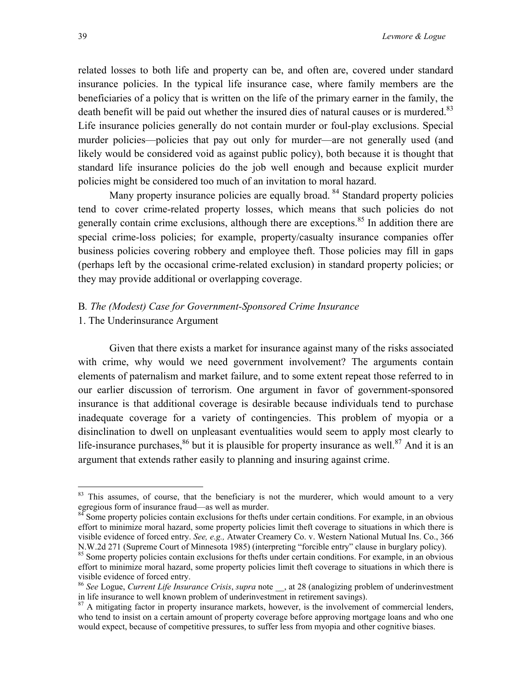related losses to both life and property can be, and often are, covered under standard insurance policies. In the typical life insurance case, where family members are the beneficiaries of a policy that is written on the life of the primary earner in the family, the death benefit will be paid out whether the insured dies of natural causes or is murdered.<sup>[83](#page-41-0)</sup> Life insurance policies generally do not contain murder or foul-play exclusions. Special murder policies—policies that pay out only for murder—are not generally used (and likely would be considered void as against public policy), both because it is thought that standard life insurance policies do the job well enough and because explicit murder policies might be considered too much of an invitation to moral hazard.

Many property insurance policies are equally broad. <sup>84</sup> Standard property policies tend to cover crime-related property losses, which means that such policies do not generally contain crime exclusions, although there are exceptions.<sup>85</sup> In addition there are special crime-loss policies; for example, property/casualty insurance companies offer business policies covering robbery and employee theft. Those policies may fill in gaps (perhaps left by the occasional crime-related exclusion) in standard property policies; or they may provide additional or overlapping coverage.

## B*. The (Modest) Case for Government-Sponsored Crime Insurance*

1. The Underinsurance Argument

Given that there exists a market for insurance against many of the risks associated with crime, why would we need government involvement? The arguments contain elements of paternalism and market failure, and to some extent repeat those referred to in our earlier discussion of terrorism. One argument in favor of government-sponsored insurance is that additional coverage is desirable because individuals tend to purchase inadequate coverage for a variety of contingencies. This problem of myopia or a disinclination to dwell on unpleasant eventualities would seem to apply most clearly to life-insurance purchases,  $86$  but it is plausible for property insurance as well.  $87$  And it is an argument that extends rather easily to planning and insuring against crime.

<span id="page-41-0"></span><sup>&</sup>lt;sup>83</sup> This assumes, of course, that the beneficiary is not the murderer, which would amount to a very egregious form of insurance fraud—as well as murder.<br><sup>84</sup> Some property policies contain exclusions for thefts under certain conditions. For example, in an obvious

<span id="page-41-1"></span>effort to minimize moral hazard, some property policies limit theft coverage to situations in which there is visible evidence of forced entry. *See, e.g.,* Atwater Creamery Co. v. Western National Mutual Ins. Co., 366

<span id="page-41-2"></span><sup>&</sup>lt;sup>85</sup> Some property policies contain exclusions for thefts under certain conditions. For example, in an obvious effort to minimize moral hazard, some property policies limit theft coverage to situations in which there is visible evidence of forced entry.<br><sup>86</sup> *See* Logue, *Current Life Insurance Crisis*, *supra* note , at 28 (analogizing problem of underinvestment

<span id="page-41-3"></span>in life insurance to well known problem of underinvestment in retirement savings).<br><sup>87</sup> A mitigating factor in property insurance markets, however, is the involvement of commercial lenders,

<span id="page-41-4"></span>who tend to insist on a certain amount of property coverage before approving mortgage loans and who one would expect, because of competitive pressures, to suffer less from myopia and other cognitive biases.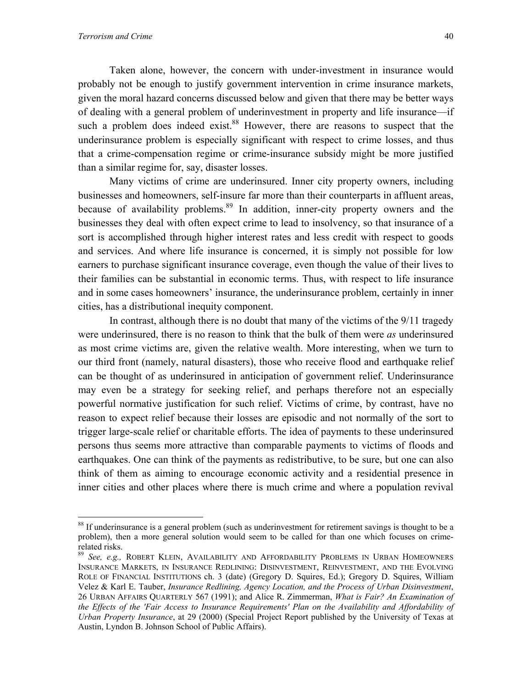1

Taken alone, however, the concern with under-investment in insurance would probably not be enough to justify government intervention in crime insurance markets, given the moral hazard concerns discussed below and given that there may be better ways of dealing with a general problem of underinvestment in property and life insurance—if such a problem does indeed exist.<sup>88</sup> However, there are reasons to suspect that the underinsurance problem is especially significant with respect to crime losses, and thus that a crime-compensation regime or crime-insurance subsidy might be more justified than a similar regime for, say, disaster losses.

Many victims of crime are underinsured. Inner city property owners, including businesses and homeowners, self-insure far more than their counterparts in affluent areas, because of availability problems.<sup>89</sup> In addition, inner-city property owners and the businesses they deal with often expect crime to lead to insolvency, so that insurance of a sort is accomplished through higher interest rates and less credit with respect to goods and services. And where life insurance is concerned, it is simply not possible for low earners to purchase significant insurance coverage, even though the value of their lives to their families can be substantial in economic terms. Thus, with respect to life insurance and in some cases homeowners' insurance, the underinsurance problem, certainly in inner cities, has a distributional inequity component.

In contrast, although there is no doubt that many of the victims of the 9/11 tragedy were underinsured, there is no reason to think that the bulk of them were *as* underinsured as most crime victims are, given the relative wealth. More interesting, when we turn to our third front (namely, natural disasters), those who receive flood and earthquake relief can be thought of as underinsured in anticipation of government relief. Underinsurance may even be a strategy for seeking relief, and perhaps therefore not an especially powerful normative justification for such relief. Victims of crime, by contrast, have no reason to expect relief because their losses are episodic and not normally of the sort to trigger large-scale relief or charitable efforts. The idea of payments to these underinsured persons thus seems more attractive than comparable payments to victims of floods and earthquakes. One can think of the payments as redistributive, to be sure, but one can also think of them as aiming to encourage economic activity and a residential presence in inner cities and other places where there is much crime and where a population revival

<span id="page-42-0"></span><sup>&</sup>lt;sup>88</sup> If underinsurance is a general problem (such as underinvestment for retirement savings is thought to be a problem), then a more general solution would seem to be called for than one which focuses on crimerelated risks.

<span id="page-42-1"></span><sup>89</sup> *See, e.g.,* ROBERT KLEIN, AVAILABILITY AND AFFORDABILITY PROBLEMS IN URBAN HOMEOWNERS INSURANCE MARKETS, IN INSURANCE REDLINING: DISINVESTMENT, REINVESTMENT, AND THE EVOLVING ROLE OF FINANCIAL INSTITUTIONS ch. 3 (date) (Gregory D. Squires, Ed.); Gregory D. Squires, William Velez & Karl E. Tauber, *Insurance Redlining, Agency Location, and the Process of Urban Disinvestment*, 26 URBAN AFFAIRS QUARTERLY 567 (1991); and Alice R. Zimmerman, *What is Fair? An Examination of the Effects of the 'Fair Access to Insurance Requirements' Plan on the Availability and Affordability of Urban Property Insurance*, at 29 (2000) (Special Project Report published by the University of Texas at Austin, Lyndon B. Johnson School of Public Affairs).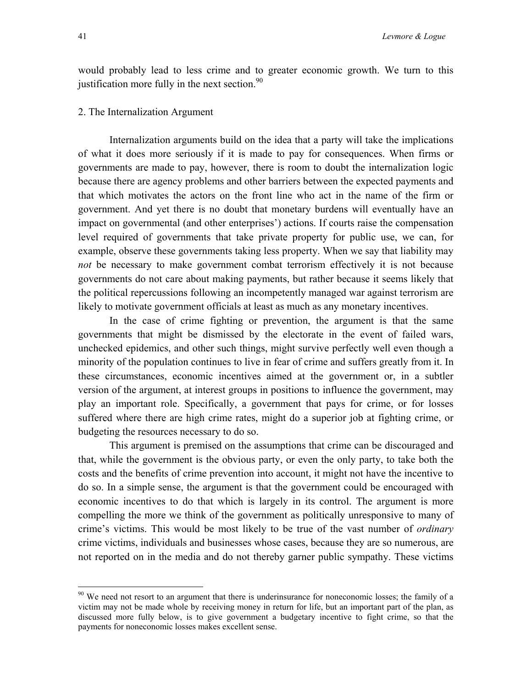would probably lead to less crime and to greater economic growth. We turn to this justification more fully in the next section. $90$ 

#### 2. The Internalization Argument

Internalization arguments build on the idea that a party will take the implications of what it does more seriously if it is made to pay for consequences. When firms or governments are made to pay, however, there is room to doubt the internalization logic because there are agency problems and other barriers between the expected payments and that which motivates the actors on the front line who act in the name of the firm or government. And yet there is no doubt that monetary burdens will eventually have an impact on governmental (and other enterprises') actions. If courts raise the compensation level required of governments that take private property for public use, we can, for example, observe these governments taking less property. When we say that liability may *not* be necessary to make government combat terrorism effectively it is not because governments do not care about making payments, but rather because it seems likely that the political repercussions following an incompetently managed war against terrorism are likely to motivate government officials at least as much as any monetary incentives.

In the case of crime fighting or prevention, the argument is that the same governments that might be dismissed by the electorate in the event of failed wars, unchecked epidemics, and other such things, might survive perfectly well even though a minority of the population continues to live in fear of crime and suffers greatly from it. In these circumstances, economic incentives aimed at the government or, in a subtler version of the argument, at interest groups in positions to influence the government, may play an important role. Specifically, a government that pays for crime, or for losses suffered where there are high crime rates, might do a superior job at fighting crime, or budgeting the resources necessary to do so.

This argument is premised on the assumptions that crime can be discouraged and that, while the government is the obvious party, or even the only party, to take both the costs and the benefits of crime prevention into account, it might not have the incentive to do so. In a simple sense, the argument is that the government could be encouraged with economic incentives to do that which is largely in its control. The argument is more compelling the more we think of the government as politically unresponsive to many of crime's victims. This would be most likely to be true of the vast number of *ordinary*  crime victims, individuals and businesses whose cases, because they are so numerous, are not reported on in the media and do not thereby garner public sympathy. These victims

<span id="page-43-0"></span><sup>&</sup>lt;sup>90</sup> We need not resort to an argument that there is underinsurance for noneconomic losses; the family of a victim may not be made whole by receiving money in return for life, but an important part of the plan, as discussed more fully below, is to give government a budgetary incentive to fight crime, so that the payments for noneconomic losses makes excellent sense.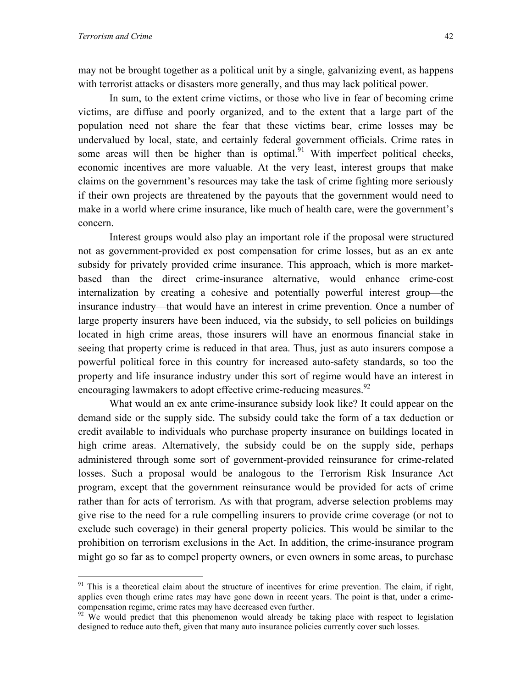$\overline{a}$ 

may not be brought together as a political unit by a single, galvanizing event, as happens with terrorist attacks or disasters more generally, and thus may lack political power.

In sum, to the extent crime victims, or those who live in fear of becoming crime victims, are diffuse and poorly organized, and to the extent that a large part of the population need not share the fear that these victims bear, crime losses may be undervalued by local, state, and certainly federal government officials. Crime rates in some areas will then be higher than is optimal.<sup>91</sup> With imperfect political checks, economic incentives are more valuable. At the very least, interest groups that make claims on the government's resources may take the task of crime fighting more seriously if their own projects are threatened by the payouts that the government would need to make in a world where crime insurance, like much of health care, were the government's concern.

Interest groups would also play an important role if the proposal were structured not as government-provided ex post compensation for crime losses, but as an ex ante subsidy for privately provided crime insurance. This approach, which is more marketbased than the direct crime-insurance alternative, would enhance crime-cost internalization by creating a cohesive and potentially powerful interest group—the insurance industry—that would have an interest in crime prevention. Once a number of large property insurers have been induced, via the subsidy, to sell policies on buildings located in high crime areas, those insurers will have an enormous financial stake in seeing that property crime is reduced in that area. Thus, just as auto insurers compose a powerful political force in this country for increased auto-safety standards, so too the property and life insurance industry under this sort of regime would have an interest in encouraging lawmakers to adopt effective crime-reducing measures.<sup>92</sup>

What would an ex ante crime-insurance subsidy look like? It could appear on the demand side or the supply side. The subsidy could take the form of a tax deduction or credit available to individuals who purchase property insurance on buildings located in high crime areas. Alternatively, the subsidy could be on the supply side, perhaps administered through some sort of government-provided reinsurance for crime-related losses. Such a proposal would be analogous to the Terrorism Risk Insurance Act program, except that the government reinsurance would be provided for acts of crime rather than for acts of terrorism. As with that program, adverse selection problems may give rise to the need for a rule compelling insurers to provide crime coverage (or not to exclude such coverage) in their general property policies. This would be similar to the prohibition on terrorism exclusions in the Act. In addition, the crime-insurance program might go so far as to compel property owners, or even owners in some areas, to purchase

<span id="page-44-0"></span> $91$  This is a theoretical claim about the structure of incentives for crime prevention. The claim, if right, applies even though crime rates may have gone down in recent years. The point is that, under a crimecompensation regime, crime rates may have decreased even further.<br><sup>92</sup> We would predict that this phenomenon would already be taking place with respect to legislation

<span id="page-44-1"></span>designed to reduce auto theft, given that many auto insurance policies currently cover such losses.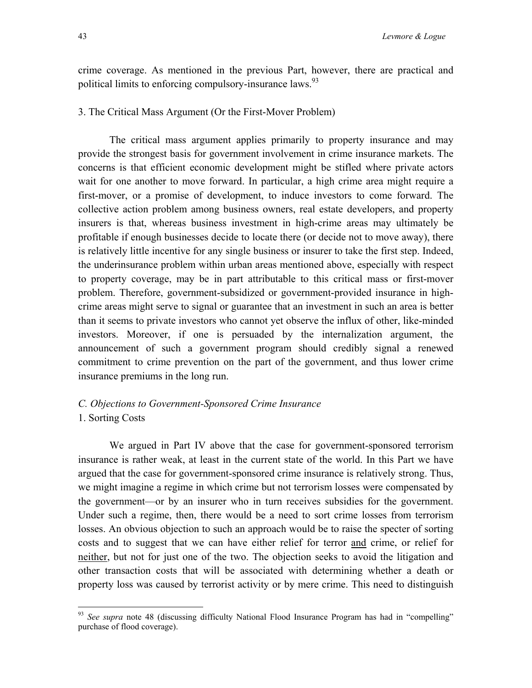crime coverage. As mentioned in the previous Part, however, there are practical and political limits to enforcing compulsory-insurance laws.<sup>[93](#page-45-0)</sup>

#### 3. The Critical Mass Argument (Or the First-Mover Problem)

The critical mass argument applies primarily to property insurance and may provide the strongest basis for government involvement in crime insurance markets. The concerns is that efficient economic development might be stifled where private actors wait for one another to move forward. In particular, a high crime area might require a first-mover, or a promise of development, to induce investors to come forward. The collective action problem among business owners, real estate developers, and property insurers is that, whereas business investment in high-crime areas may ultimately be profitable if enough businesses decide to locate there (or decide not to move away), there is relatively little incentive for any single business or insurer to take the first step. Indeed, the underinsurance problem within urban areas mentioned above, especially with respect to property coverage, may be in part attributable to this critical mass or first-mover problem. Therefore, government-subsidized or government-provided insurance in highcrime areas might serve to signal or guarantee that an investment in such an area is better than it seems to private investors who cannot yet observe the influx of other, like-minded investors. Moreover, if one is persuaded by the internalization argument, the announcement of such a government program should credibly signal a renewed commitment to crime prevention on the part of the government, and thus lower crime insurance premiums in the long run.

#### *C. Objections to Government-Sponsored Crime Insurance*  1. Sorting Costs

We argued in Part IV above that the case for government-sponsored terrorism insurance is rather weak, at least in the current state of the world. In this Part we have argued that the case for government-sponsored crime insurance is relatively strong. Thus, we might imagine a regime in which crime but not terrorism losses were compensated by the government—or by an insurer who in turn receives subsidies for the government. Under such a regime, then, there would be a need to sort crime losses from terrorism losses. An obvious objection to such an approach would be to raise the specter of sorting costs and to suggest that we can have either relief for terror and crime, or relief for neither, but not for just one of the two. The objection seeks to avoid the litigation and other transaction costs that will be associated with determining whether a death or property loss was caused by terrorist activity or by mere crime. This need to distinguish

<span id="page-45-0"></span><sup>&</sup>lt;sup>93</sup> See supra note 48 (discussing difficulty National Flood Insurance Program has had in "compelling" purchase of flood coverage).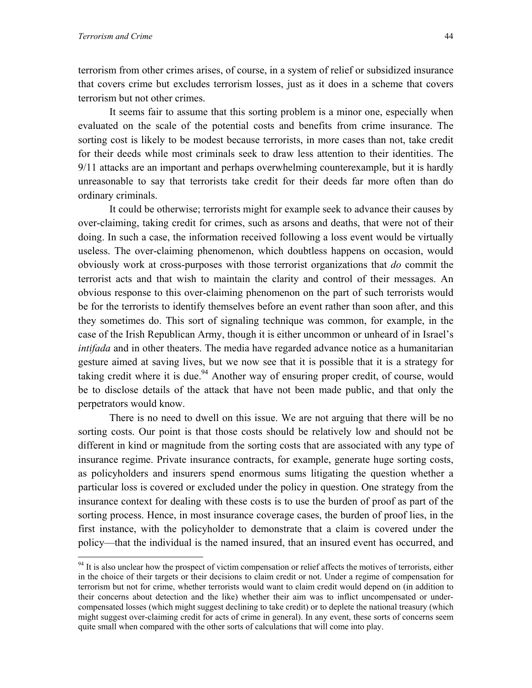$\overline{a}$ 

terrorism from other crimes arises, of course, in a system of relief or subsidized insurance that covers crime but excludes terrorism losses, just as it does in a scheme that covers terrorism but not other crimes.

It seems fair to assume that this sorting problem is a minor one, especially when evaluated on the scale of the potential costs and benefits from crime insurance. The sorting cost is likely to be modest because terrorists, in more cases than not, take credit for their deeds while most criminals seek to draw less attention to their identities. The 9/11 attacks are an important and perhaps overwhelming counterexample, but it is hardly unreasonable to say that terrorists take credit for their deeds far more often than do ordinary criminals.

 It could be otherwise; terrorists might for example seek to advance their causes by over-claiming, taking credit for crimes, such as arsons and deaths, that were not of their doing. In such a case, the information received following a loss event would be virtually useless. The over-claiming phenomenon, which doubtless happens on occasion, would obviously work at cross-purposes with those terrorist organizations that *do* commit the terrorist acts and that wish to maintain the clarity and control of their messages. An obvious response to this over-claiming phenomenon on the part of such terrorists would be for the terrorists to identify themselves before an event rather than soon after, and this they sometimes do. This sort of signaling technique was common, for example, in the case of the Irish Republican Army, though it is either uncommon or unheard of in Israel's *intifada* and in other theaters. The media have regarded advance notice as a humanitarian gesture aimed at saving lives, but we now see that it is possible that it is a strategy for taking credit where it is due.<sup>94</sup> Another way of ensuring proper credit, of course, would be to disclose details of the attack that have not been made public, and that only the perpetrators would know.

There is no need to dwell on this issue. We are not arguing that there will be no sorting costs. Our point is that those costs should be relatively low and should not be different in kind or magnitude from the sorting costs that are associated with any type of insurance regime. Private insurance contracts, for example, generate huge sorting costs, as policyholders and insurers spend enormous sums litigating the question whether a particular loss is covered or excluded under the policy in question. One strategy from the insurance context for dealing with these costs is to use the burden of proof as part of the sorting process. Hence, in most insurance coverage cases, the burden of proof lies, in the first instance, with the policyholder to demonstrate that a claim is covered under the policy—that the individual is the named insured, that an insured event has occurred, and

<span id="page-46-0"></span> $94$  It is also unclear how the prospect of victim compensation or relief affects the motives of terrorists, either in the choice of their targets or their decisions to claim credit or not. Under a regime of compensation for terrorism but not for crime, whether terrorists would want to claim credit would depend on (in addition to their concerns about detection and the like) whether their aim was to inflict uncompensated or undercompensated losses (which might suggest declining to take credit) or to deplete the national treasury (which might suggest over-claiming credit for acts of crime in general). In any event, these sorts of concerns seem quite small when compared with the other sorts of calculations that will come into play.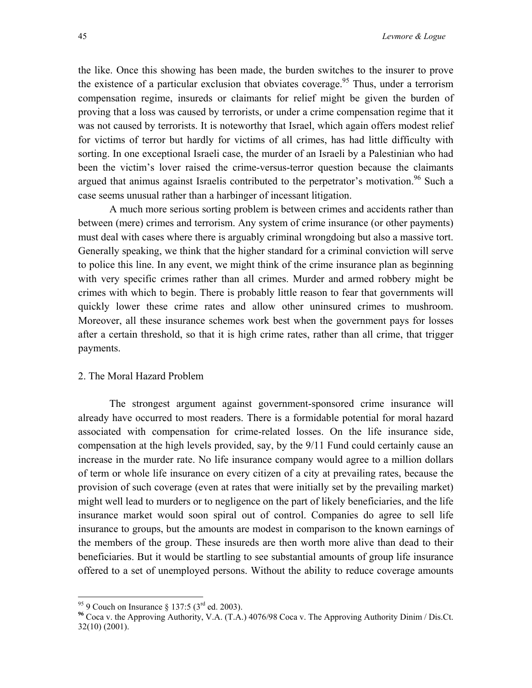the like. Once this showing has been made, the burden switches to the insurer to prove the existence of a particular exclusion that obviates coverage.<sup>95</sup> Thus, under a terrorism compensation regime, insureds or claimants for relief might be given the burden of proving that a loss was caused by terrorists, or under a crime compensation regime that it was not caused by terrorists. It is noteworthy that Israel, which again offers modest relief for victims of terror but hardly for victims of all crimes, has had little difficulty with sorting. In one exceptional Israeli case, the murder of an Israeli by a Palestinian who had been the victim's lover raised the crime-versus-terror question because the claimants argued that animus against Israelis contributed to the perpetrator's motivation.<sup>96</sup> Such a case seems unusual rather than a harbinger of incessant litigation.

A much more serious sorting problem is between crimes and accidents rather than between (mere) crimes and terrorism. Any system of crime insurance (or other payments) must deal with cases where there is arguably criminal wrongdoing but also a massive tort. Generally speaking, we think that the higher standard for a criminal conviction will serve to police this line. In any event, we might think of the crime insurance plan as beginning with very specific crimes rather than all crimes. Murder and armed robbery might be crimes with which to begin. There is probably little reason to fear that governments will quickly lower these crime rates and allow other uninsured crimes to mushroom. Moreover, all these insurance schemes work best when the government pays for losses after a certain threshold, so that it is high crime rates, rather than all crime, that trigger payments.

#### 2. The Moral Hazard Problem

The strongest argument against government-sponsored crime insurance will already have occurred to most readers. There is a formidable potential for moral hazard associated with compensation for crime-related losses. On the life insurance side, compensation at the high levels provided, say, by the 9/11 Fund could certainly cause an increase in the murder rate. No life insurance company would agree to a million dollars of term or whole life insurance on every citizen of a city at prevailing rates, because the provision of such coverage (even at rates that were initially set by the prevailing market) might well lead to murders or to negligence on the part of likely beneficiaries, and the life insurance market would soon spiral out of control. Companies do agree to sell life insurance to groups, but the amounts are modest in comparison to the known earnings of the members of the group. These insureds are then worth more alive than dead to their beneficiaries. But it would be startling to see substantial amounts of group life insurance offered to a set of unemployed persons. Without the ability to reduce coverage amounts

<span id="page-47-1"></span><span id="page-47-0"></span>

<sup>95 9</sup> Couch on Insurance § 137:5 (3rd ed. 2003). **<sup>96</sup>** Coca v. the Approving Authority, V.A. (T.A.) 4076/98 Coca v. The Approving Authority Dinim / Dis.Ct. 32(10) (2001).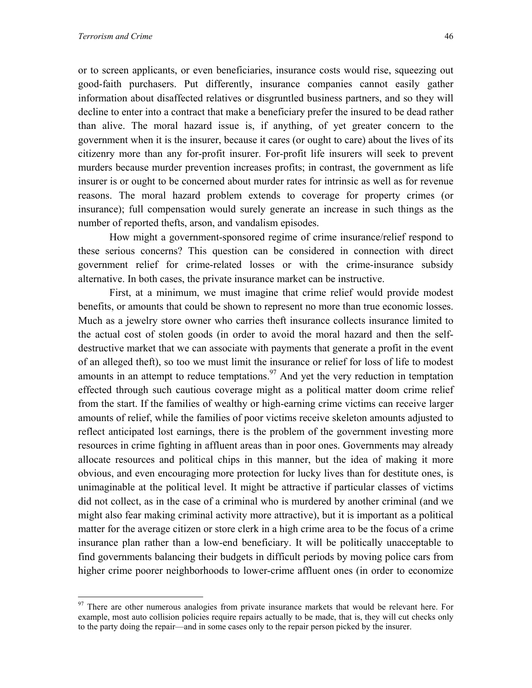$\overline{a}$ 

or to screen applicants, or even beneficiaries, insurance costs would rise, squeezing out good-faith purchasers. Put differently, insurance companies cannot easily gather information about disaffected relatives or disgruntled business partners, and so they will decline to enter into a contract that make a beneficiary prefer the insured to be dead rather than alive. The moral hazard issue is, if anything, of yet greater concern to the government when it is the insurer, because it cares (or ought to care) about the lives of its citizenry more than any for-profit insurer. For-profit life insurers will seek to prevent murders because murder prevention increases profits; in contrast, the government as life insurer is or ought to be concerned about murder rates for intrinsic as well as for revenue reasons. The moral hazard problem extends to coverage for property crimes (or insurance); full compensation would surely generate an increase in such things as the number of reported thefts, arson, and vandalism episodes.

How might a government-sponsored regime of crime insurance/relief respond to these serious concerns? This question can be considered in connection with direct government relief for crime-related losses or with the crime-insurance subsidy alternative. In both cases, the private insurance market can be instructive.

 First, at a minimum, we must imagine that crime relief would provide modest benefits, or amounts that could be shown to represent no more than true economic losses. Much as a jewelry store owner who carries theft insurance collects insurance limited to the actual cost of stolen goods (in order to avoid the moral hazard and then the selfdestructive market that we can associate with payments that generate a profit in the event of an alleged theft), so too we must limit the insurance or relief for loss of life to modest amounts in an attempt to reduce temptations.<sup>97</sup> And yet the very reduction in temptation effected through such cautious coverage might as a political matter doom crime relief from the start. If the families of wealthy or high-earning crime victims can receive larger amounts of relief, while the families of poor victims receive skeleton amounts adjusted to reflect anticipated lost earnings, there is the problem of the government investing more resources in crime fighting in affluent areas than in poor ones. Governments may already allocate resources and political chips in this manner, but the idea of making it more obvious, and even encouraging more protection for lucky lives than for destitute ones, is unimaginable at the political level. It might be attractive if particular classes of victims did not collect, as in the case of a criminal who is murdered by another criminal (and we might also fear making criminal activity more attractive), but it is important as a political matter for the average citizen or store clerk in a high crime area to be the focus of a crime insurance plan rather than a low-end beneficiary. It will be politically unacceptable to find governments balancing their budgets in difficult periods by moving police cars from higher crime poorer neighborhoods to lower-crime affluent ones (in order to economize

<span id="page-48-0"></span> $97$  There are other numerous analogies from private insurance markets that would be relevant here. For example, most auto collision policies require repairs actually to be made, that is, they will cut checks only to the party doing the repair—and in some cases only to the repair person picked by the insurer.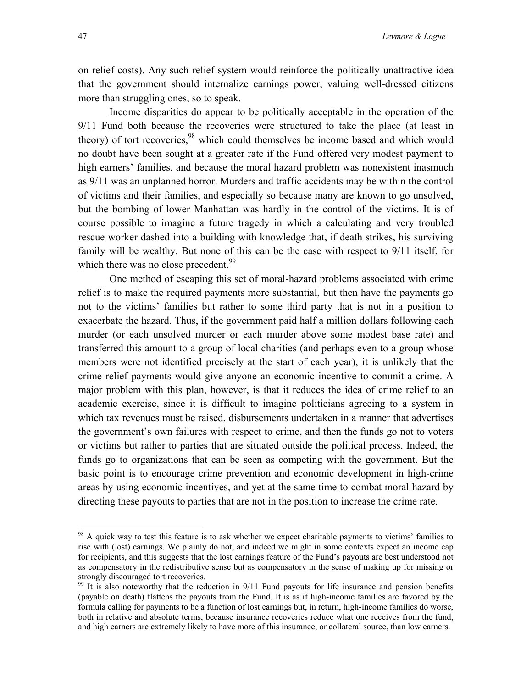on relief costs). Any such relief system would reinforce the politically unattractive idea that the government should internalize earnings power, valuing well-dressed citizens more than struggling ones, so to speak.

Income disparities do appear to be politically acceptable in the operation of the 9/11 Fund both because the recoveries were structured to take the place (at least in theory) of tort recoveries,<sup>98</sup> which could themselves be income based and which would no doubt have been sought at a greater rate if the Fund offered very modest payment to high earners' families, and because the moral hazard problem was nonexistent inasmuch as 9/11 was an unplanned horror. Murders and traffic accidents may be within the control of victims and their families, and especially so because many are known to go unsolved, but the bombing of lower Manhattan was hardly in the control of the victims. It is of course possible to imagine a future tragedy in which a calculating and very troubled rescue worker dashed into a building with knowledge that, if death strikes, his surviving family will be wealthy. But none of this can be the case with respect to 9/11 itself, for which there was no close precedent. $99$ 

One method of escaping this set of moral-hazard problems associated with crime relief is to make the required payments more substantial, but then have the payments go not to the victims' families but rather to some third party that is not in a position to exacerbate the hazard. Thus, if the government paid half a million dollars following each murder (or each unsolved murder or each murder above some modest base rate) and transferred this amount to a group of local charities (and perhaps even to a group whose members were not identified precisely at the start of each year), it is unlikely that the crime relief payments would give anyone an economic incentive to commit a crime. A major problem with this plan, however, is that it reduces the idea of crime relief to an academic exercise, since it is difficult to imagine politicians agreeing to a system in which tax revenues must be raised, disbursements undertaken in a manner that advertises the government's own failures with respect to crime, and then the funds go not to voters or victims but rather to parties that are situated outside the political process. Indeed, the funds go to organizations that can be seen as competing with the government. But the basic point is to encourage crime prevention and economic development in high-crime areas by using economic incentives, and yet at the same time to combat moral hazard by directing these payouts to parties that are not in the position to increase the crime rate.

1

<span id="page-49-0"></span><sup>&</sup>lt;sup>98</sup> A quick way to test this feature is to ask whether we expect charitable payments to victims' families to rise with (lost) earnings. We plainly do not, and indeed we might in some contexts expect an income cap for recipients, and this suggests that the lost earnings feature of the Fund's payouts are best understood not as compensatory in the redistributive sense but as compensatory in the sense of making up for missing or strongly discouraged tort recoveries.

<span id="page-49-1"></span> $\frac{99}{99}$  It is also noteworthy that the reduction in 9/11 Fund payouts for life insurance and pension benefits (payable on death) flattens the payouts from the Fund. It is as if high-income families are favored by the formula calling for payments to be a function of lost earnings but, in return, high-income families do worse, both in relative and absolute terms, because insurance recoveries reduce what one receives from the fund, and high earners are extremely likely to have more of this insurance, or collateral source, than low earners.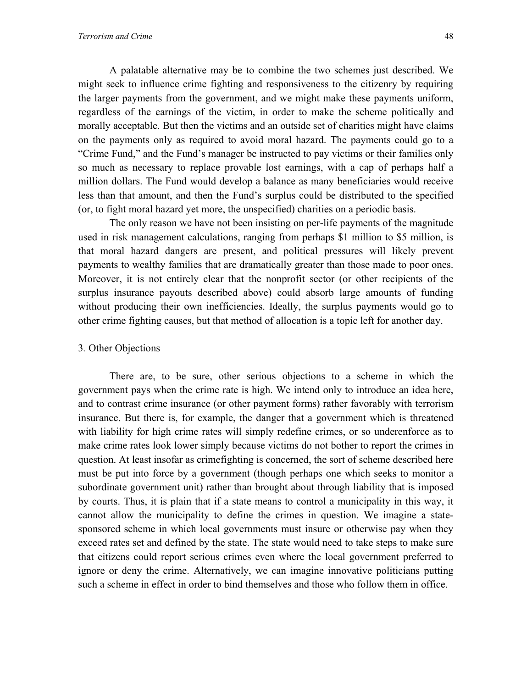A palatable alternative may be to combine the two schemes just described. We might seek to influence crime fighting and responsiveness to the citizenry by requiring the larger payments from the government, and we might make these payments uniform, regardless of the earnings of the victim, in order to make the scheme politically and morally acceptable. But then the victims and an outside set of charities might have claims on the payments only as required to avoid moral hazard. The payments could go to a "Crime Fund," and the Fund's manager be instructed to pay victims or their families only so much as necessary to replace provable lost earnings, with a cap of perhaps half a million dollars. The Fund would develop a balance as many beneficiaries would receive less than that amount, and then the Fund's surplus could be distributed to the specified (or, to fight moral hazard yet more, the unspecified) charities on a periodic basis.

 The only reason we have not been insisting on per-life payments of the magnitude used in risk management calculations, ranging from perhaps \$1 million to \$5 million, is that moral hazard dangers are present, and political pressures will likely prevent payments to wealthy families that are dramatically greater than those made to poor ones. Moreover, it is not entirely clear that the nonprofit sector (or other recipients of the surplus insurance payouts described above) could absorb large amounts of funding without producing their own inefficiencies. Ideally, the surplus payments would go to other crime fighting causes, but that method of allocation is a topic left for another day.

#### 3*.* Other Objections

 There are, to be sure, other serious objections to a scheme in which the government pays when the crime rate is high. We intend only to introduce an idea here, and to contrast crime insurance (or other payment forms) rather favorably with terrorism insurance. But there is, for example, the danger that a government which is threatened with liability for high crime rates will simply redefine crimes, or so underenforce as to make crime rates look lower simply because victims do not bother to report the crimes in question. At least insofar as crimefighting is concerned, the sort of scheme described here must be put into force by a government (though perhaps one which seeks to monitor a subordinate government unit) rather than brought about through liability that is imposed by courts. Thus, it is plain that if a state means to control a municipality in this way, it cannot allow the municipality to define the crimes in question. We imagine a statesponsored scheme in which local governments must insure or otherwise pay when they exceed rates set and defined by the state. The state would need to take steps to make sure that citizens could report serious crimes even where the local government preferred to ignore or deny the crime. Alternatively, we can imagine innovative politicians putting such a scheme in effect in order to bind themselves and those who follow them in office.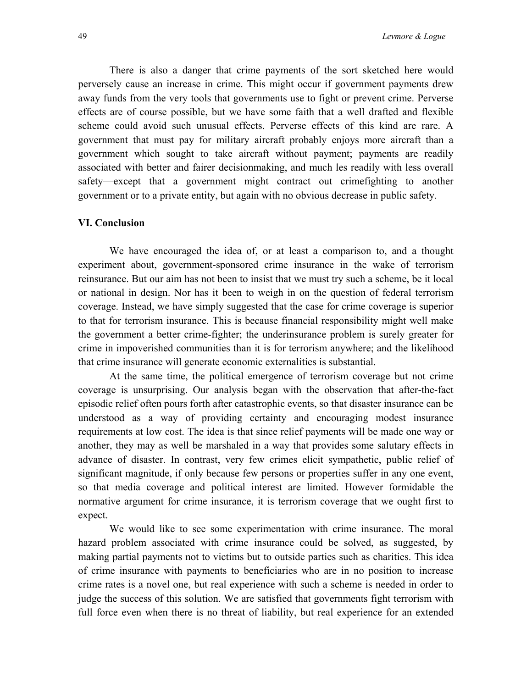There is also a danger that crime payments of the sort sketched here would perversely cause an increase in crime. This might occur if government payments drew away funds from the very tools that governments use to fight or prevent crime. Perverse effects are of course possible, but we have some faith that a well drafted and flexible scheme could avoid such unusual effects. Perverse effects of this kind are rare. A government that must pay for military aircraft probably enjoys more aircraft than a government which sought to take aircraft without payment; payments are readily associated with better and fairer decisionmaking, and much les readily with less overall safety—except that a government might contract out crimefighting to another government or to a private entity, but again with no obvious decrease in public safety.

#### **VI. Conclusion**

We have encouraged the idea of, or at least a comparison to, and a thought experiment about, government-sponsored crime insurance in the wake of terrorism reinsurance. But our aim has not been to insist that we must try such a scheme, be it local or national in design. Nor has it been to weigh in on the question of federal terrorism coverage. Instead, we have simply suggested that the case for crime coverage is superior to that for terrorism insurance. This is because financial responsibility might well make the government a better crime-fighter; the underinsurance problem is surely greater for crime in impoverished communities than it is for terrorism anywhere; and the likelihood that crime insurance will generate economic externalities is substantial.

At the same time, the political emergence of terrorism coverage but not crime coverage is unsurprising. Our analysis began with the observation that after-the-fact episodic relief often pours forth after catastrophic events, so that disaster insurance can be understood as a way of providing certainty and encouraging modest insurance requirements at low cost. The idea is that since relief payments will be made one way or another, they may as well be marshaled in a way that provides some salutary effects in advance of disaster. In contrast, very few crimes elicit sympathetic, public relief of significant magnitude, if only because few persons or properties suffer in any one event, so that media coverage and political interest are limited. However formidable the normative argument for crime insurance, it is terrorism coverage that we ought first to expect.

We would like to see some experimentation with crime insurance. The moral hazard problem associated with crime insurance could be solved, as suggested, by making partial payments not to victims but to outside parties such as charities. This idea of crime insurance with payments to beneficiaries who are in no position to increase crime rates is a novel one, but real experience with such a scheme is needed in order to judge the success of this solution. We are satisfied that governments fight terrorism with full force even when there is no threat of liability, but real experience for an extended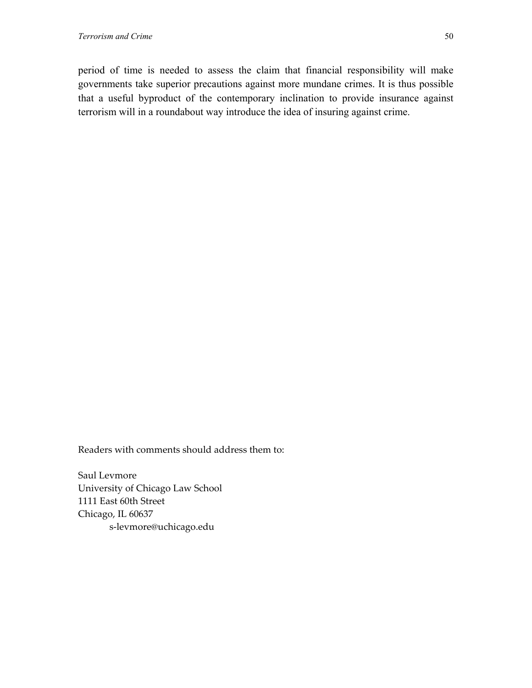period of time is needed to assess the claim that financial responsibility will make governments take superior precautions against more mundane crimes. It is thus possible that a useful byproduct of the contemporary inclination to provide insurance against terrorism will in a roundabout way introduce the idea of insuring against crime.

Readers with comments should address them to:

Saul Levmore University of Chicago Law School 1111 East 60th Street Chicago, IL 60637 s-levmore@uchicago.edu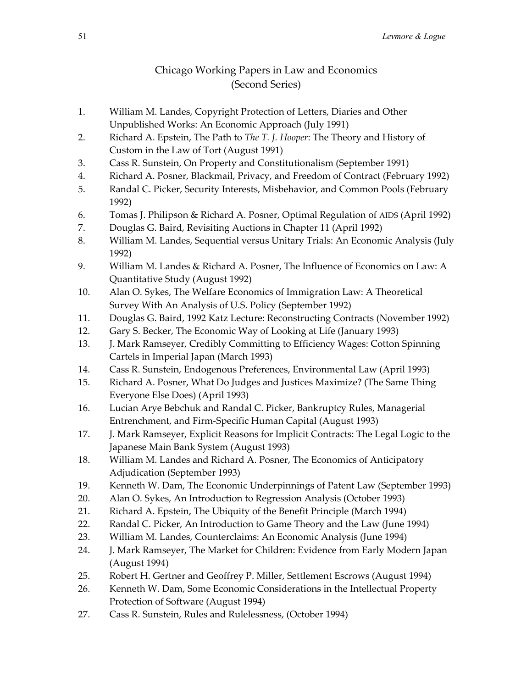# Chicago Working Papers in Law and Economics (Second Series)

- 1. William M. Landes, Copyright Protection of Letters, Diaries and Other Unpublished Works: An Economic Approach (July 1991)
- 2. Richard A. Epstein, The Path to *The T. J. Hooper*: The Theory and History of Custom in the Law of Tort (August 1991)
- 3. Cass R. Sunstein, On Property and Constitutionalism (September 1991)
- 4. Richard A. Posner, Blackmail, Privacy, and Freedom of Contract (February 1992)
- 5. Randal C. Picker, Security Interests, Misbehavior, and Common Pools (February 1992)
- 6. Tomas J. Philipson & Richard A. Posner, Optimal Regulation of AIDS (April 1992)
- 7. Douglas G. Baird, Revisiting Auctions in Chapter 11 (April 1992)
- 8. William M. Landes, Sequential versus Unitary Trials: An Economic Analysis (July 1992)
- 9. William M. Landes & Richard A. Posner, The Influence of Economics on Law: A Quantitative Study (August 1992)
- 10. Alan O. Sykes, The Welfare Economics of Immigration Law: A Theoretical Survey With An Analysis of U.S. Policy (September 1992)
- 11. Douglas G. Baird, 1992 Katz Lecture: Reconstructing Contracts (November 1992)
- 12. Gary S. Becker, The Economic Way of Looking at Life (January 1993)
- 13. J. Mark Ramseyer, Credibly Committing to Efficiency Wages: Cotton Spinning Cartels in Imperial Japan (March 1993)
- 14. Cass R. Sunstein, Endogenous Preferences, Environmental Law (April 1993)
- 15. Richard A. Posner, What Do Judges and Justices Maximize? (The Same Thing Everyone Else Does) (April 1993)
- 16. Lucian Arye Bebchuk and Randal C. Picker, Bankruptcy Rules, Managerial Entrenchment, and Firm-Specific Human Capital (August 1993)
- 17. J. Mark Ramseyer, Explicit Reasons for Implicit Contracts: The Legal Logic to the Japanese Main Bank System (August 1993)
- 18. William M. Landes and Richard A. Posner, The Economics of Anticipatory Adjudication (September 1993)
- 19. Kenneth W. Dam, The Economic Underpinnings of Patent Law (September 1993)
- 20. Alan O. Sykes, An Introduction to Regression Analysis (October 1993)
- 21. Richard A. Epstein, The Ubiquity of the Benefit Principle (March 1994)
- 22. Randal C. Picker, An Introduction to Game Theory and the Law (June 1994)
- 23. William M. Landes, Counterclaims: An Economic Analysis (June 1994)
- 24. J. Mark Ramseyer, The Market for Children: Evidence from Early Modern Japan (August 1994)
- 25. Robert H. Gertner and Geoffrey P. Miller, Settlement Escrows (August 1994)
- 26. Kenneth W. Dam, Some Economic Considerations in the Intellectual Property Protection of Software (August 1994)
- 27. Cass R. Sunstein, Rules and Rulelessness, (October 1994)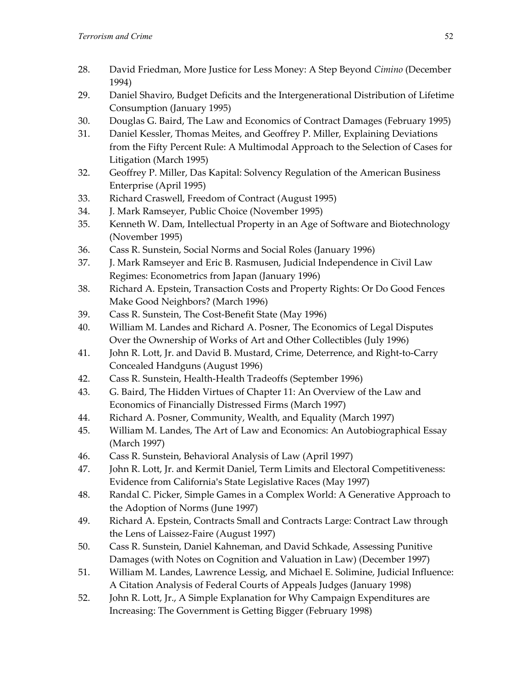- 28. David Friedman, More Justice for Less Money: A Step Beyond *Cimino* (December 1994)
- 29. Daniel Shaviro, Budget Deficits and the Intergenerational Distribution of Lifetime Consumption (January 1995)
- 30. Douglas G. Baird, The Law and Economics of Contract Damages (February 1995)
- 31. Daniel Kessler, Thomas Meites, and Geoffrey P. Miller, Explaining Deviations from the Fifty Percent Rule: A Multimodal Approach to the Selection of Cases for Litigation (March 1995)
- 32. Geoffrey P. Miller, Das Kapital: Solvency Regulation of the American Business Enterprise (April 1995)
- 33. Richard Craswell, Freedom of Contract (August 1995)
- 34. J. Mark Ramseyer, Public Choice (November 1995)
- 35. Kenneth W. Dam, Intellectual Property in an Age of Software and Biotechnology (November 1995)
- 36. Cass R. Sunstein, Social Norms and Social Roles (January 1996)
- 37. J. Mark Ramseyer and Eric B. Rasmusen, Judicial Independence in Civil Law Regimes: Econometrics from Japan (January 1996)
- 38. Richard A. Epstein, Transaction Costs and Property Rights: Or Do Good Fences Make Good Neighbors? (March 1996)
- 39. Cass R. Sunstein, The Cost-Benefit State (May 1996)
- 40. William M. Landes and Richard A. Posner, The Economics of Legal Disputes Over the Ownership of Works of Art and Other Collectibles (July 1996)
- 41. John R. Lott, Jr. and David B. Mustard, Crime, Deterrence, and Right-to-Carry Concealed Handguns (August 1996)
- 42. Cass R. Sunstein, Health-Health Tradeoffs (September 1996)
- 43. G. Baird, The Hidden Virtues of Chapter 11: An Overview of the Law and Economics of Financially Distressed Firms (March 1997)
- 44. Richard A. Posner, Community, Wealth, and Equality (March 1997)
- 45. William M. Landes, The Art of Law and Economics: An Autobiographical Essay (March 1997)
- 46. Cass R. Sunstein, Behavioral Analysis of Law (April 1997)
- 47. John R. Lott, Jr. and Kermit Daniel, Term Limits and Electoral Competitiveness: Evidence from California's State Legislative Races (May 1997)
- 48. Randal C. Picker, Simple Games in a Complex World: A Generative Approach to the Adoption of Norms (June 1997)
- 49. Richard A. Epstein, Contracts Small and Contracts Large: Contract Law through the Lens of Laissez-Faire (August 1997)
- 50. Cass R. Sunstein, Daniel Kahneman, and David Schkade, Assessing Punitive Damages (with Notes on Cognition and Valuation in Law) (December 1997)
- 51. William M. Landes, Lawrence Lessig, and Michael E. Solimine, Judicial Influence: A Citation Analysis of Federal Courts of Appeals Judges (January 1998)
- 52. John R. Lott, Jr., A Simple Explanation for Why Campaign Expenditures are Increasing: The Government is Getting Bigger (February 1998)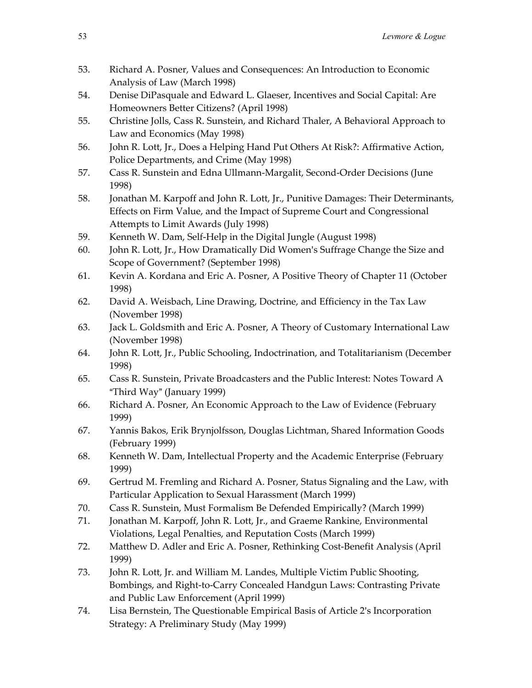- 53. Richard A. Posner, Values and Consequences: An Introduction to Economic Analysis of Law (March 1998)
- 54. Denise DiPasquale and Edward L. Glaeser, Incentives and Social Capital: Are Homeowners Better Citizens? (April 1998)
- 55. Christine Jolls, Cass R. Sunstein, and Richard Thaler, A Behavioral Approach to Law and Economics (May 1998)
- 56. John R. Lott, Jr., Does a Helping Hand Put Others At Risk?: Affirmative Action, Police Departments, and Crime (May 1998)
- 57. Cass R. Sunstein and Edna Ullmann-Margalit, Second-Order Decisions (June 1998)
- 58. Jonathan M. Karpoff and John R. Lott, Jr., Punitive Damages: Their Determinants, Effects on Firm Value, and the Impact of Supreme Court and Congressional Attempts to Limit Awards (July 1998)
- 59. Kenneth W. Dam, Self-Help in the Digital Jungle (August 1998)
- 60. John R. Lott, Jr., How Dramatically Did Women's Suffrage Change the Size and Scope of Government? (September 1998)
- 61. Kevin A. Kordana and Eric A. Posner, A Positive Theory of Chapter 11 (October 1998)
- 62. David A. Weisbach, Line Drawing, Doctrine, and Efficiency in the Tax Law (November 1998)
- 63. Jack L. Goldsmith and Eric A. Posner, A Theory of Customary International Law (November 1998)
- 64. John R. Lott, Jr., Public Schooling, Indoctrination, and Totalitarianism (December 1998)
- 65. Cass R. Sunstein, Private Broadcasters and the Public Interest: Notes Toward A "Third Way" (January 1999)
- 66. Richard A. Posner, An Economic Approach to the Law of Evidence (February 1999)
- 67. Yannis Bakos, Erik Brynjolfsson, Douglas Lichtman, Shared Information Goods (February 1999)
- 68. Kenneth W. Dam, Intellectual Property and the Academic Enterprise (February 1999)
- 69. Gertrud M. Fremling and Richard A. Posner, Status Signaling and the Law, with Particular Application to Sexual Harassment (March 1999)
- 70. Cass R. Sunstein, Must Formalism Be Defended Empirically? (March 1999)
- 71. Jonathan M. Karpoff, John R. Lott, Jr., and Graeme Rankine, Environmental Violations, Legal Penalties, and Reputation Costs (March 1999)
- 72. Matthew D. Adler and Eric A. Posner, Rethinking Cost-Benefit Analysis (April 1999)
- 73. John R. Lott, Jr. and William M. Landes, Multiple Victim Public Shooting, Bombings, and Right-to-Carry Concealed Handgun Laws: Contrasting Private and Public Law Enforcement (April 1999)
- 74. Lisa Bernstein, The Questionable Empirical Basis of Article 2's Incorporation Strategy: A Preliminary Study (May 1999)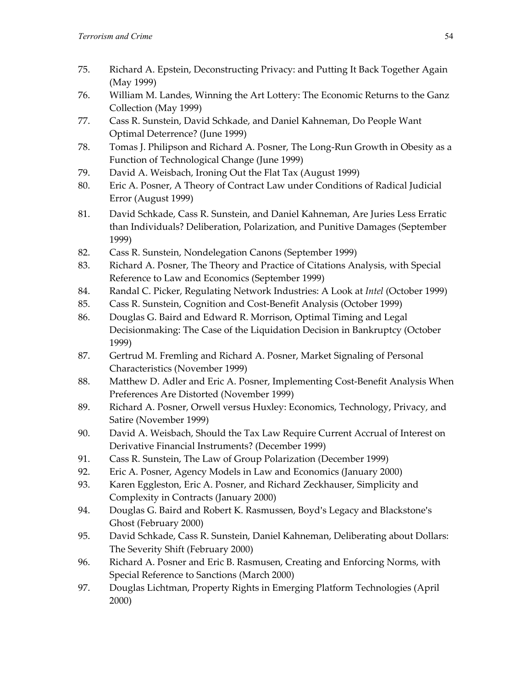- 75. Richard A. Epstein, Deconstructing Privacy: and Putting It Back Together Again (May 1999)
- 76. William M. Landes, Winning the Art Lottery: The Economic Returns to the Ganz Collection (May 1999)
- 77. Cass R. Sunstein, David Schkade, and Daniel Kahneman, Do People Want Optimal Deterrence? (June 1999)
- 78. Tomas J. Philipson and Richard A. Posner, The Long-Run Growth in Obesity as a Function of Technological Change (June 1999)
- 79. David A. Weisbach, Ironing Out the Flat Tax (August 1999)
- 80. Eric A. Posner, A Theory of Contract Law under Conditions of Radical Judicial Error (August 1999)
- 81. David Schkade, Cass R. Sunstein, and Daniel Kahneman, Are Juries Less Erratic than Individuals? Deliberation, Polarization, and Punitive Damages (September 1999)
- 82. Cass R. Sunstein, Nondelegation Canons (September 1999)
- 83. Richard A. Posner, The Theory and Practice of Citations Analysis, with Special Reference to Law and Economics (September 1999)
- 84. Randal C. Picker, Regulating Network Industries: A Look at *Intel* (October 1999)
- 85. Cass R. Sunstein, Cognition and Cost-Benefit Analysis (October 1999)
- 86. Douglas G. Baird and Edward R. Morrison, Optimal Timing and Legal Decisionmaking: The Case of the Liquidation Decision in Bankruptcy (October 1999)
- 87. Gertrud M. Fremling and Richard A. Posner, Market Signaling of Personal Characteristics (November 1999)
- 88. Matthew D. Adler and Eric A. Posner, Implementing Cost-Benefit Analysis When Preferences Are Distorted (November 1999)
- 89. Richard A. Posner, Orwell versus Huxley: Economics, Technology, Privacy, and Satire (November 1999)
- 90. David A. Weisbach, Should the Tax Law Require Current Accrual of Interest on Derivative Financial Instruments? (December 1999)
- 91. Cass R. Sunstein, The Law of Group Polarization (December 1999)
- 92. Eric A. Posner, Agency Models in Law and Economics (January 2000)
- 93. Karen Eggleston, Eric A. Posner, and Richard Zeckhauser, Simplicity and Complexity in Contracts (January 2000)
- 94. Douglas G. Baird and Robert K. Rasmussen, Boyd's Legacy and Blackstone's Ghost (February 2000)
- 95. David Schkade, Cass R. Sunstein, Daniel Kahneman, Deliberating about Dollars: The Severity Shift (February 2000)
- 96. Richard A. Posner and Eric B. Rasmusen, Creating and Enforcing Norms, with Special Reference to Sanctions (March 2000)
- 97. Douglas Lichtman, Property Rights in Emerging Platform Technologies (April 2000)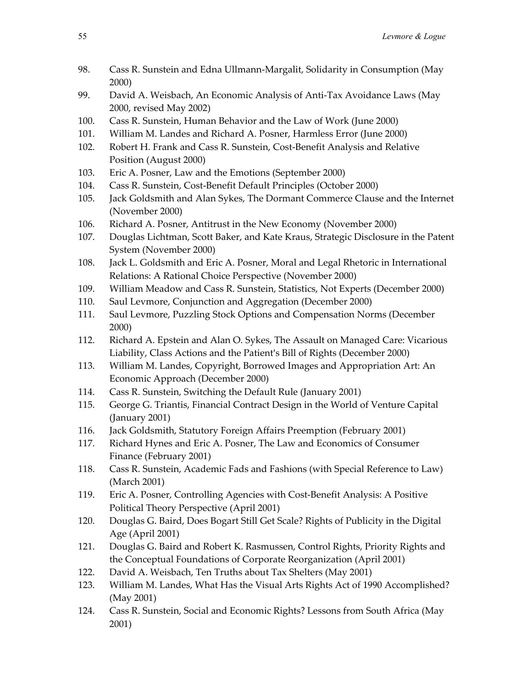- 98. Cass R. Sunstein and Edna Ullmann-Margalit, Solidarity in Consumption (May 2000)
- 99. David A. Weisbach, An Economic Analysis of Anti-Tax Avoidance Laws (May 2000, revised May 2002)
- 100. Cass R. Sunstein, Human Behavior and the Law of Work (June 2000)
- 101. William M. Landes and Richard A. Posner, Harmless Error (June 2000)
- 102. Robert H. Frank and Cass R. Sunstein, Cost-Benefit Analysis and Relative Position (August 2000)
- 103. Eric A. Posner, Law and the Emotions (September 2000)
- 104. Cass R. Sunstein, Cost-Benefit Default Principles (October 2000)
- 105. Jack Goldsmith and Alan Sykes, The Dormant Commerce Clause and the Internet (November 2000)
- 106. Richard A. Posner, Antitrust in the New Economy (November 2000)
- 107. Douglas Lichtman, Scott Baker, and Kate Kraus, Strategic Disclosure in the Patent System (November 2000)
- 108. Jack L. Goldsmith and Eric A. Posner, Moral and Legal Rhetoric in International Relations: A Rational Choice Perspective (November 2000)
- 109. William Meadow and Cass R. Sunstein, Statistics, Not Experts (December 2000)
- 110. Saul Levmore, Conjunction and Aggregation (December 2000)
- 111. Saul Levmore, Puzzling Stock Options and Compensation Norms (December 2000)
- 112. Richard A. Epstein and Alan O. Sykes, The Assault on Managed Care: Vicarious Liability, Class Actions and the Patient's Bill of Rights (December 2000)
- 113. William M. Landes, Copyright, Borrowed Images and Appropriation Art: An Economic Approach (December 2000)
- 114. Cass R. Sunstein, Switching the Default Rule (January 2001)
- 115. George G. Triantis, Financial Contract Design in the World of Venture Capital (January 2001)
- 116. Jack Goldsmith, Statutory Foreign Affairs Preemption (February 2001)
- 117. Richard Hynes and Eric A. Posner, The Law and Economics of Consumer Finance (February 2001)
- 118. Cass R. Sunstein, Academic Fads and Fashions (with Special Reference to Law) (March 2001)
- 119. Eric A. Posner, Controlling Agencies with Cost-Benefit Analysis: A Positive Political Theory Perspective (April 2001)
- 120. Douglas G. Baird, Does Bogart Still Get Scale? Rights of Publicity in the Digital Age (April 2001)
- 121. Douglas G. Baird and Robert K. Rasmussen, Control Rights, Priority Rights and the Conceptual Foundations of Corporate Reorganization (April 2001)
- 122. David A. Weisbach, Ten Truths about Tax Shelters (May 2001)
- 123. William M. Landes, What Has the Visual Arts Rights Act of 1990 Accomplished? (May 2001)
- 124. Cass R. Sunstein, Social and Economic Rights? Lessons from South Africa (May 2001)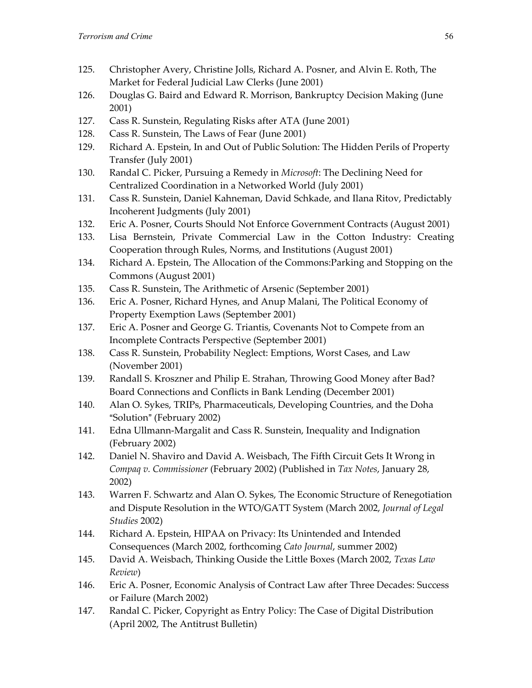- 125. Christopher Avery, Christine Jolls, Richard A. Posner, and Alvin E. Roth, The Market for Federal Judicial Law Clerks (June 2001)
- 126. Douglas G. Baird and Edward R. Morrison, Bankruptcy Decision Making (June 2001)
- 127. Cass R. Sunstein, Regulating Risks after ATA (June 2001)
- 128. Cass R. Sunstein, The Laws of Fear (June 2001)
- 129. Richard A. Epstein, In and Out of Public Solution: The Hidden Perils of Property Transfer (July 2001)
- 130. Randal C. Picker, Pursuing a Remedy in *Microsoft*: The Declining Need for Centralized Coordination in a Networked World (July 2001)
- 131. Cass R. Sunstein, Daniel Kahneman, David Schkade, and Ilana Ritov, Predictably Incoherent Judgments (July 2001)
- 132. Eric A. Posner, Courts Should Not Enforce Government Contracts (August 2001)
- 133. Lisa Bernstein, Private Commercial Law in the Cotton Industry: Creating Cooperation through Rules, Norms, and Institutions (August 2001)
- 134. Richard A. Epstein, The Allocation of the Commons:Parking and Stopping on the Commons (August 2001)
- 135. Cass R. Sunstein, The Arithmetic of Arsenic (September 2001)
- 136. Eric A. Posner, Richard Hynes, and Anup Malani, The Political Economy of Property Exemption Laws (September 2001)
- 137. Eric A. Posner and George G. Triantis, Covenants Not to Compete from an Incomplete Contracts Perspective (September 2001)
- 138. Cass R. Sunstein, Probability Neglect: Emptions, Worst Cases, and Law (November 2001)
- 139. Randall S. Kroszner and Philip E. Strahan, Throwing Good Money after Bad? Board Connections and Conflicts in Bank Lending (December 2001)
- 140. Alan O. Sykes, TRIPs, Pharmaceuticals, Developing Countries, and the Doha "Solution" (February 2002)
- 141. Edna Ullmann-Margalit and Cass R. Sunstein, Inequality and Indignation (February 2002)
- 142. Daniel N. Shaviro and David A. Weisbach, The Fifth Circuit Gets It Wrong in *Compaq v. Commissioner* (February 2002) (Published in *Tax Notes*, January 28, 2002)
- 143. Warren F. Schwartz and Alan O. Sykes, The Economic Structure of Renegotiation and Dispute Resolution in the WTO/GATT System (March 2002, *Journal of Legal Studies* 2002)
- 144. Richard A. Epstein, HIPAA on Privacy: Its Unintended and Intended Consequences (March 2002, forthcoming *Cato Journal*, summer 2002)
- 145. David A. Weisbach, Thinking Ouside the Little Boxes (March 2002, *Texas Law Review*)
- 146. Eric A. Posner, Economic Analysis of Contract Law after Three Decades: Success or Failure (March 2002)
- 147. Randal C. Picker, Copyright as Entry Policy: The Case of Digital Distribution (April 2002, The Antitrust Bulletin)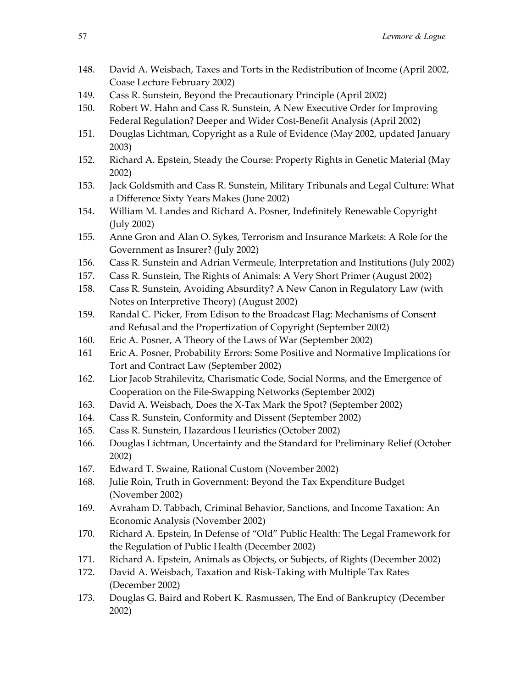- 148. David A. Weisbach, Taxes and Torts in the Redistribution of Income (April 2002, Coase Lecture February 2002)
- 149. Cass R. Sunstein, Beyond the Precautionary Principle (April 2002)
- 150. Robert W. Hahn and Cass R. Sunstein, A New Executive Order for Improving Federal Regulation? Deeper and Wider Cost-Benefit Analysis (April 2002)
- 151. Douglas Lichtman, Copyright as a Rule of Evidence (May 2002, updated January 2003)
- 152. Richard A. Epstein, Steady the Course: Property Rights in Genetic Material (May 2002)
- 153. Jack Goldsmith and Cass R. Sunstein, Military Tribunals and Legal Culture: What a Difference Sixty Years Makes (June 2002)
- 154. William M. Landes and Richard A. Posner, Indefinitely Renewable Copyright (July 2002)
- 155. Anne Gron and Alan O. Sykes, Terrorism and Insurance Markets: A Role for the Government as Insurer? (July 2002)
- 156. Cass R. Sunstein and Adrian Vermeule, Interpretation and Institutions (July 2002)
- 157. Cass R. Sunstein, The Rights of Animals: A Very Short Primer (August 2002)
- 158. Cass R. Sunstein, Avoiding Absurdity? A New Canon in Regulatory Law (with Notes on Interpretive Theory) (August 2002)
- 159. Randal C. Picker, From Edison to the Broadcast Flag: Mechanisms of Consent and Refusal and the Propertization of Copyright (September 2002)
- 160. Eric A. Posner, A Theory of the Laws of War (September 2002)
- 161 Eric A. Posner, Probability Errors: Some Positive and Normative Implications for Tort and Contract Law (September 2002)
- 162. Lior Jacob Strahilevitz, Charismatic Code, Social Norms, and the Emergence of Cooperation on the File-Swapping Networks (September 2002)
- 163. David A. Weisbach, Does the X-Tax Mark the Spot? (September 2002)
- 164. Cass R. Sunstein, Conformity and Dissent (September 2002)
- 165. Cass R. Sunstein, Hazardous Heuristics (October 2002)
- 166. Douglas Lichtman, Uncertainty and the Standard for Preliminary Relief (October 2002)
- 167. Edward T. Swaine, Rational Custom (November 2002)
- 168. Julie Roin, Truth in Government: Beyond the Tax Expenditure Budget (November 2002)
- 169. Avraham D. Tabbach, Criminal Behavior, Sanctions, and Income Taxation: An Economic Analysis (November 2002)
- 170. Richard A. Epstein, In Defense of "Old" Public Health: The Legal Framework for the Regulation of Public Health (December 2002)
- 171. Richard A. Epstein, Animals as Objects, or Subjects, of Rights (December 2002)
- 172. David A. Weisbach, Taxation and Risk-Taking with Multiple Tax Rates (December 2002)
- 173. Douglas G. Baird and Robert K. Rasmussen, The End of Bankruptcy (December 2002)